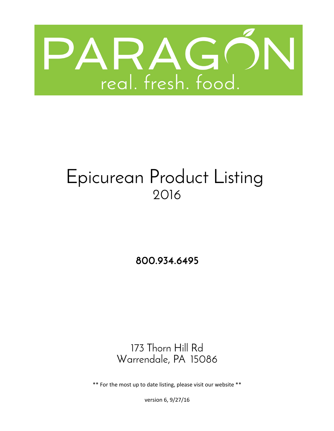

# Epicurean Product Listing 2016

**800.934.6495**

Warrendale, PA 15086 173 Thorn Hill Rd

\*\* For the most up to date listing, please visit our website \*\*

version 6, 9/27/16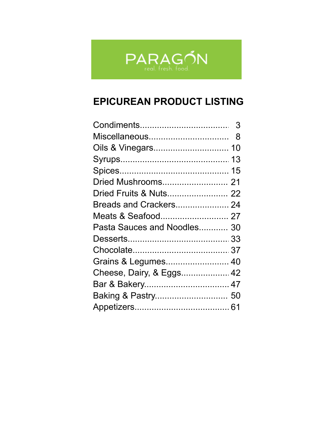

# **EPICUREAN PRODUCT LISTING**

| Miscellaneous               | 8 |
|-----------------------------|---|
| Oils & Vinegars 10          |   |
|                             |   |
|                             |   |
| Dried Mushrooms 21          |   |
| Dried Fruits & Nuts 22      |   |
| Breads and Crackers 24      |   |
|                             |   |
| Pasta Sauces and Noodles 30 |   |
|                             |   |
|                             |   |
| Grains & Legumes 40         |   |
| Cheese, Dairy, & Eggs 42    |   |
|                             |   |
| Baking & Pastry 50          |   |
|                             |   |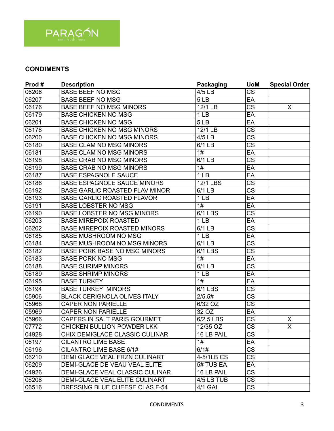

| Prod# | <b>Description</b>                    | <b>Packaging</b>   | <b>UoM</b>             | <b>Special Order</b>    |
|-------|---------------------------------------|--------------------|------------------------|-------------------------|
| 06206 | <b>BASE BEEF NO MSG</b>               | 4/5 LB             | $\overline{\text{CS}}$ |                         |
| 06207 | <b>BASE BEEF NO MSG</b>               | 5LB                | EA                     |                         |
| 06176 | <b>BASE BEEF NO MSG MINORS</b>        | 12/1 LB            | $\overline{\text{cs}}$ | X                       |
| 06179 | <b>BASE CHICKEN NO MSG</b>            | 1 LB               | EA                     |                         |
| 06201 | <b>BASE CHICKEN NO MSG</b>            | 5LB                | EA                     |                         |
| 06178 | <b>BASE CHICKEN NO MSG MINORS</b>     | 12/1 LB            | $\overline{\text{cs}}$ |                         |
| 06200 | <b>BASE CHICKEN NO MSG MINORS</b>     | 4/5 LB             | $\overline{\text{CS}}$ |                         |
| 06180 | <b>BASE CLAM NO MSG MINORS</b>        | 6/1 LB             | $\overline{\text{CS}}$ |                         |
| 06181 | <b>BASE CLAM NO MSG MINORS</b>        | 1#                 | EA                     |                         |
| 06198 | <b>BASE CRAB NO MSG MINORS</b>        | 6/1 LB             | CS                     |                         |
| 06199 | <b>BASE CRAB NO MSG MINORS</b>        | 1#                 | EA                     |                         |
| 06187 | <b>BASE ESPAGNOLE SAUCE</b>           | 1 <sub>LB</sub>    | EA                     |                         |
| 06186 | <b>BASE ESPAGNOLE SAUCE MINORS</b>    | 12/1 LBS           | <b>CS</b>              |                         |
| 06192 | <b>BASE GARLIC ROASTED FLAV MINOR</b> | 6/1 LB             | $\overline{\text{CS}}$ |                         |
| 06193 | <b>BASE GARLIC ROASTED FLAVOR</b>     | 1 <sub>LB</sub>    | EA                     |                         |
| 06191 | <b>BASE LOBSTER NO MSG</b>            | $\overline{1\#}$   | EA                     |                         |
| 06190 | <b>BASE LOBSTER NO MSG MINORS</b>     | 6/1 LBS            | $\overline{\text{CS}}$ |                         |
| 06203 | <b>BASE MIREPOIX ROASTED</b>          | 1 <sub>LB</sub>    | EA                     |                         |
| 06202 | <b>BASE MIREPOIX ROASTED MINORS</b>   | 6/1 LB             | $\overline{\text{cs}}$ |                         |
| 06185 | <b>BASE MUSHROOM NO MSG</b>           | 1 <sub>LB</sub>    | EA                     |                         |
| 06184 | BASE MUSHROOM NO MSG MINORS           | 6/1 LB             | $\overline{\text{CS}}$ |                         |
| 06182 | <b>BASE PORK BASE NO MSG MINORS</b>   | 6/1 LBS            | $\overline{\text{cs}}$ |                         |
| 06183 | <b>BASE PORK NO MSG</b>               | 1#                 | EA                     |                         |
| 06188 | <b>BASE SHRIMP MINORS</b>             | 6/1 LB             | $\overline{\text{CS}}$ |                         |
| 06189 | <b>BASE SHRIMP MINORS</b>             | 1 <sub>LB</sub>    | EA                     |                         |
| 06195 | <b>BASE TURKEY</b>                    | 1#                 | EA                     |                         |
| 06194 | <b>BASE TURKEY MINORS</b>             | 6/1 LBS            | <b>CS</b>              |                         |
| 05906 | <b>BLACK CERIGNOLA OLIVES ITALY</b>   | 2/5.5#             | $\overline{\text{cs}}$ |                         |
| 05968 | <b>CAPER NON PARIELLE</b>             | 6/32 OZ            | $\overline{\text{CS}}$ |                         |
| 05969 | <b>CAPER NON PARIELLE</b>             | $\overline{3}2$ OZ | EA                     |                         |
| 05966 | CAPERS IN SALT PARIS GOURMET          | 6/2.5 LBS          | $\overline{\text{cs}}$ | X                       |
| 07772 | <b>CHICKEN BULLION POWDER LKK</b>     | 12/35 OZ           | $\overline{\text{CS}}$ | $\overline{\mathsf{x}}$ |
| 04928 | CHIX DEMIGLACE CLASSIC CULINAR        | 16 LB PAIL         | $\overline{\text{CS}}$ |                         |
| 06197 | <b>CILANTRO LIME BASE</b>             | 1#                 | EA                     |                         |
| 06196 | CILANTRO LIME BASE 6/1#               | 6/1#               | <b>CS</b>              |                         |
| 06210 | DEMI GLACE VEAL FRZN CULINART         | 4-5/1LB CS         | CS                     |                         |
| 06209 | DEMI-GLACE DE VEAU VEAL ELITE         | 5# TUB EA          | EA                     |                         |
| 04926 | DEMI-GLACE VEAL CLASSIC CULINAR       | 16 LB PAIL         | <b>CS</b>              |                         |
| 06208 | DEMI-GLACE VEAL ELITE CULINART        | 4/5 LB TUB         | CS                     |                         |
| 06516 | DRESSING BLUE CHEESE CLAS F-54        | 4/1 GAL            | $\overline{\text{CS}}$ |                         |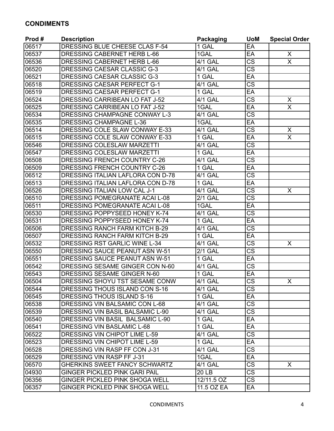| Prod # | <b>Description</b>                    | <b>Packaging</b>   | <b>UoM</b>             | <b>Special Order</b>    |
|--------|---------------------------------------|--------------------|------------------------|-------------------------|
| 06517  | DRESSING BLUE CHEESE CLAS F-54        | 1 GAL              | EA                     |                         |
| 06537  | DRESSING CABERNET HERB L-66           | 1GAL               | EA                     | X                       |
| 06536  | DRESSING CABERNET HERB L-66           | 4/1 GAL            | <b>CS</b>              | $\overline{\mathsf{x}}$ |
| 06520  | DRESSING CAESAR CLASSIC G-3           | 4/1 GAL            | $\overline{\text{CS}}$ |                         |
| 06521  | DRESSING CAESAR CLASSIC G-3           | 1 GAL              | EA                     |                         |
| 06518  | <b>DRESSING CAESAR PERFECT G-1</b>    | 4/1 GAL            | $\overline{\text{cs}}$ |                         |
| 06519  | <b>DRESSING CAESAR PERFECT G-1</b>    | 1 GAL              | EA                     |                         |
| 06524  | DRESSING CARRIBEAN LO FAT J-52        | 4/1 GAL            | $\overline{\text{CS}}$ | X                       |
| 06525  | <b>DRESSING CARRIBEAN LO FAT J-52</b> | 1GAL               | EA                     | $\overline{\mathsf{x}}$ |
| 06534  | DRESSING CHAMPAGNE CONWAY L-3         | 4/1 GAL            | $\overline{\text{CS}}$ |                         |
| 06535  | <b>DRESSING CHAMPAGNE L-36</b>        | 1GAL               | EA                     |                         |
| 06514  | DRESSING COLE SLAW CONWAY E-33        | 4/1 GAL            | $\overline{\text{CS}}$ | X                       |
| 06515  | DRESSING COLE SLAW CONWAY E-33        | 1 GAL              | EA                     | $\overline{\mathsf{x}}$ |
| 06546  | DRESSING COLESLAW MARZETTI            | 4/1 GAL            | <b>CS</b>              |                         |
| 06547  | DRESSING COLESLAW MARZETTI            | 1 GAL              | EA                     |                         |
| 06508  | DRESSING FRENCH COUNTRY C-26          | <b>4/1 GAL</b>     | $\overline{\text{CS}}$ |                         |
| 06509  | DRESSING FRENCH COUNTRY C-26          | 1 GAL              | EA                     |                         |
| 06512  | DRESSING ITALIAN LAFLORA CON D-78     | 4/1 GAL            | $\overline{\text{cs}}$ |                         |
| 06513  | DRESSING ITALIAN LAFLORA CON D-78     | $\overline{1}$ GAL | EA                     |                         |
| 06526  | DRESSING ITALIAN LOW CAL J-1          | <b>4/1 GAL</b>     | $\overline{\text{cs}}$ | X                       |
| 06510  | DRESSING POMEGRANATE ACAI L-08        | 2/1 GAL            | $\overline{\text{cs}}$ |                         |
| 06511  | DRESSING POMEGRANATE ACAI L-08        | 1GAL               | EA                     |                         |
| 06530  | DRESSING POPPYSEED HONEY K-74         | 4/1 GAL            | $\overline{\text{CS}}$ |                         |
| 06531  | DRESSING POPPYSEED HONEY K-74         | 1 GAL              | EA                     |                         |
| 06506  | <b>DRESSING RANCH FARM KITCH B-29</b> | 4/1 GAL            | <b>CS</b>              |                         |
| 06507  | DRESSING RANCH FARM KITCH B-29        | 1 GAL              | EA                     |                         |
| 06532  | DRESSING RST GARLIC WINE L-34         | <b>4/1 GAL</b>     | $\overline{\text{cs}}$ | X                       |
| 06550  | DRESSING SAUCE PEANUT ASN W-51        | 2/1 GAL            | <b>CS</b>              |                         |
| 06551  | DRESSING SAUCE PEANUT ASN W-51        | 1 GAL              | EA                     |                         |
| 06542  | DRESSING SESAME GINGER CON N-60       | <b>4/1 GAL</b>     | $\overline{\text{CS}}$ |                         |
| 06543  | DRESSING SESAME GINGER N-60           | 1 GAL              | EA                     |                         |
| 06504  | DRESSING SHOYU TST SESAME CONW        | 4/1 GAL            | CS                     | X.                      |
| 06544  | DRESSING THOUS ISLAND CON S-16        | 4/1 GAL            | $\overline{\text{CS}}$ |                         |
| 06545  | DRESSING THOUS ISLAND S-16            | 1 GAL              | EA                     |                         |
| 06538  | DRESSING VIN BALSAMIC CON L-68        | 4/1 GAL            | CS                     |                         |
| 06539  | DRESSING VIN BASIL BALSAMIC L-90      | 4/1 GAL            | $\overline{\text{CS}}$ |                         |
| 06540  | DRESSING VIN BASIL BALSAMIC L-90      | 1 GAL              | EA                     |                         |
| 06541  | DRESSING VIN BASLAMIC L-68            | 1 GAL              | EA                     |                         |
| 06522  | DRESSING VIN CHIPOT LIME L-59         | 4/1 GAL            | CS                     |                         |
| 06523  | DRESSING VIN CHIPOT LIME L-59         | 1 GAL              | EA                     |                         |
| 06528  | DRESSING VIN RASP FF CON J-31         | 4/1 GAL            | CS                     |                         |
| 06529  | DRESSING VIN RASP FF J-31             | 1GAL               | EA                     |                         |
| 06570  | GHERKINS SWEET FANCY SCHWARTZ         | 4/1 GAL            | $\overline{\text{CS}}$ | X                       |
| 04930  | <b>GINGER PICKLED PINK GARI PAIL</b>  | 20 LB              | CS                     |                         |
| 06356  | <b>GINGER PICKLED PINK SHOGA WELL</b> | 12/11.5 OZ         | $\overline{\text{CS}}$ |                         |
| 06357  | <b>GINGER PICKLED PINK SHOGA WELL</b> | 11.5 OZ EA         | EA                     |                         |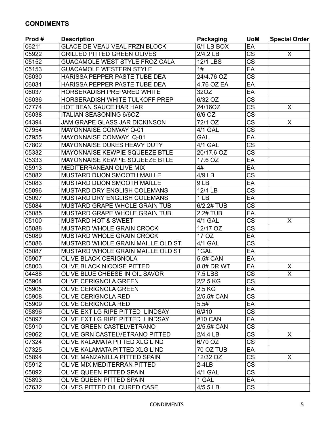| Prod# | <b>Description</b>                   | <b>Packaging</b> | <b>UoM</b>             | <b>Special Order</b>    |
|-------|--------------------------------------|------------------|------------------------|-------------------------|
| 06211 | <b>GLACE DE VEAU VEAL FRZN BLOCK</b> | 5/1 LB BOX       | EA                     |                         |
| 05922 | <b>GRILLED PITTED GREEN OLIVES</b>   | 2/4.2 LB         | $\overline{\text{CS}}$ | X.                      |
| 05152 | GUACAMOLE WEST STYLE FROZ CALA       | <b>12/1 LBS</b>  | $\overline{\text{cs}}$ |                         |
| 05153 | <b>GUACAMOLE WESTERN STYLE</b>       | 1#               | EA                     |                         |
| 06030 | HARISSA PEPPER PASTE TUBE DEA        | 24/4.76 OZ       | $\overline{\text{cs}}$ |                         |
| 06031 | HARISSA PEPPER PASTE TUBE DEA        | 4.76 OZ EA       | EA                     |                         |
| 06037 | <b>HORSERADISH PREPARED WHITE</b>    | 32OZ             | EA                     |                         |
| 06036 | HORSERADISH WHITE TULKOFF PREP       | 6/32 OZ          | $\overline{\text{CS}}$ |                         |
| 07774 | HOT BEAN SAUCE HAR HAR               | 24/16OZ          | $\overline{\text{CS}}$ | X                       |
| 06038 | <b>ITALIAN SEASONING 6/6OZ</b>       | 6/6 OZ           | $\overline{\text{cs}}$ |                         |
| 04394 | JAM GRAPE GLASS JAR DICKINSON        | 72/1 OZ          | $\overline{\text{CS}}$ | X.                      |
| 07954 | <b>MAYONNAISE CONWAY Q-01</b>        | 4/1 GAL          | $\overline{\text{cs}}$ |                         |
| 07955 | MAYONNAISE CONWAY Q-01               | <b>GAL</b>       | EA                     |                         |
| 07802 | MAYONNAISE DUKES HEAVY DUTY          | 4/1 GAL          | $\overline{\text{cs}}$ |                         |
| 05332 | MAYONNAISE KEWPIE SQUEEZE BTLE       | 20/17.6 OZ       | $\overline{\text{cs}}$ |                         |
| 05333 | MAYONNAISE KEWPIE SQUEEZE BTLE       | 17.6 OZ          | EA                     |                         |
| 05913 | MEDITERRANEAN OLIVE MIX              | 4#               | EA                     |                         |
| 05082 | MUSTARD DIJON SMOOTH MAILLE          | 4/9 LB           | $\overline{\text{cs}}$ |                         |
| 05083 | <b>MUSTARD DIJON SMOOTH MAILLE</b>   | 9LB              | EA                     |                         |
| 05096 | MUSTARD DRY ENGLISH COLEMANS         | 12/1 LB          | $\overline{\text{CS}}$ |                         |
| 05097 | MUSTARD DRY ENGLISH COLEMANS         | 1 <sub>LB</sub>  | EA                     |                         |
| 05084 | MUSTARD GRAPE WHOLE GRAIN TUB        | 6/2.2# TUB       | $\overline{\text{CS}}$ |                         |
| 05085 | MUSTARD GRAPE WHOLE GRAIN TUB        | 2.2# TUB         | EA                     |                         |
| 05100 | <b>MUSTARD HOT &amp; SWEET</b>       | 4/1 GAL          | $\overline{\text{cs}}$ | $\overline{\mathsf{x}}$ |
| 05088 | MUSTARD WHOLE GRAIN CROCK            | 12/17 OZ         | $\overline{\text{CS}}$ |                         |
| 05089 | <b>MUSTARD WHOLE GRAIN CROCK</b>     | 17 OZ            | EA                     |                         |
| 05086 | MUSTARD WHOLE GRAIN MAILLE OLD ST    | 4/1 GAL          | $\overline{\text{CS}}$ |                         |
| 05087 | MUSTARD WHOLE GRAIN MAILLE OLD ST    | 1GAL             | EA                     |                         |
| 05907 | <b>OLIVE BLACK CERIGNOLA</b>         | 5.5# CAN         | EA                     |                         |
| 08003 | OLIVE BLACK NICOISE PITTED           | 8.8# DR WT       | EA                     | X                       |
| 04488 | OLIVE BLUE CHEESE IN OIL SAVOR       | <b>7.5 LBS</b>   | $\overline{\text{CS}}$ | $\overline{\sf x}$      |
| 05904 | <b>OLIVE CERIGNOLA GREEN</b>         | $2/2.5$ KG       | CS                     |                         |
| 05905 | OLIVE CERIGNOLA GREEN                | 2.5 KG           | EA                     |                         |
| 05908 | <b>OLIVE CERIGNOLA RED</b>           | 2/5.5# CAN       | $\overline{\text{CS}}$ |                         |
| 05909 | <b>OLIVE CERIGNOLA RED</b>           | 5.5#             | EA                     |                         |
| 05896 | OLIVE EXT LG RIPE PITTED LINDSAY     | 6/#10            | CS                     |                         |
| 05897 | OLIVE EXT LG RIPE PITTED LINDSAY     | #10 CAN          | EA                     |                         |
| 05910 | OLIVE GREEN CASTELVETRANO            | 2/5.5# CAN       | CS                     |                         |
| 09062 | OLIVE GRN CASTELVETRANO PITTED       | $2/4.4$ LB       | $\overline{\text{CS}}$ | $\mathsf{X}$            |
| 07324 | OLIVE KALAMATA PITTED XLG LIND       | 6/70 OZ          | $\overline{\text{cs}}$ |                         |
| 07325 | OLIVE KALAMATA PITTED XLG LIND       | 70 OZ TUB        | EA                     |                         |
| 05894 | OLIVE MANZANILLA PITTED SPAIN        | 12/32 OZ         | $\overline{\text{CS}}$ | X                       |
| 05912 | OLIVE MIX MEDITERRAN PITTED          | $2-4LB$          | $\overline{\text{CS}}$ |                         |
| 05892 | OLIVE QUEEN PITTED SPAIN             | 4/1 GAL          | $\overline{\text{CS}}$ |                         |
| 05893 | OLIVE QUEEN PITTED SPAIN             | 1 GAL            | EA                     |                         |
| 07632 | OLIVES PITTED OIL CURED CASE         | 4/5.5 LB         | $\overline{\text{CS}}$ |                         |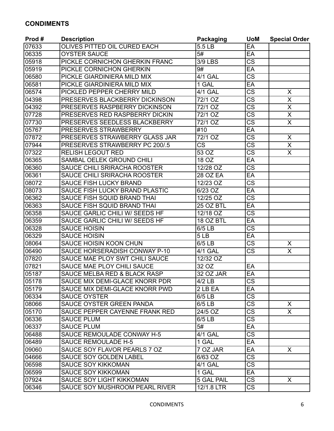| Prod# | <b>Description</b>                      | <b>Packaging</b>   | <b>UoM</b>             | <b>Special Order</b>    |
|-------|-----------------------------------------|--------------------|------------------------|-------------------------|
| 07633 | OLIVES PITTED OIL CURED EACH            | 5.5 LB             | EA                     |                         |
| 06335 | <b>OYSTER SAUCE</b>                     | 5#                 | EA                     |                         |
| 05918 | PICKLE CORNICHON GHERKIN FRANC          | <b>3/9 LBS</b>     | $\overline{\text{CS}}$ |                         |
| 05919 | PICKLE CORNICHON GHERKIN                | 9#                 | EA                     |                         |
| 06580 | PICKLE GIARDINIERA MILD MIX             | <b>4/1 GAL</b>     | $\overline{\text{CS}}$ |                         |
| 06581 | PICKLE GIARDINIERA MILD MIX             | 1 GAL              | EA                     |                         |
| 06574 | PICKLED PEPPER CHERRY MILD              | <b>4/1 GAL</b>     | $\overline{\text{CS}}$ | X                       |
| 04398 | PRESERVES BLACKBERRY DICKINSON          | 72/1 OZ            | $\overline{\text{CS}}$ | X                       |
| 04392 | PRESERVES RASPBERRY DICKINSON           | $72/1$ OZ          | $\overline{\text{cs}}$ | $\overline{\sf X}$      |
| 07728 | PRESERVES RED RASPBERRY DICKIN          | 72/1 OZ            | $\overline{\text{CS}}$ | $\overline{\mathsf{X}}$ |
| 07730 | PRESERVES SEEDLESS BLACKBERRY           | 72/1 OZ            | $\overline{\text{cs}}$ | $\overline{\mathsf{x}}$ |
| 05767 | PRESERVES STRAWBERRY                    | #10                | EA                     |                         |
| 07872 | PRESERVES STRAWBERRY GLASS JAR          | 72/1 OZ            | $\overline{\text{CS}}$ | X                       |
| 07944 | PRESERVES STRAWBERRY PC 200/.5          | <b>CS</b>          | $\overline{\text{CS}}$ | $\overline{\mathsf{x}}$ |
| 07322 | <b>RELISH LEGOUT RED</b>                | 53 OZ              | $\overline{\text{cs}}$ | $\overline{\mathsf{x}}$ |
| 06365 | SAMBAL OELEK GROUND CHILI               | 18 OZ              | EA                     |                         |
| 06360 | SAUCE CHILI SRIRACHA ROOSTER            | 12/28 OZ           | $\overline{\text{CS}}$ |                         |
| 06361 | SAUCE CHILI SRIRACHA ROOSTER            | <b>28 OZ EA</b>    | $E$ A                  |                         |
| 08072 | <b>SAUCE FISH LUCKY BRAND</b>           | 12/23 OZ           | $\overline{\text{CS}}$ |                         |
| 08073 | SAUCE FISH LUCKY BRAND PLASTIC          | 6/23 OZ            | EA                     |                         |
| 06362 | SAUCE FISH SQUID BRAND THAI             | 12/25 OZ           | $\overline{\text{CS}}$ |                         |
| 06363 | SAUCE FISH SQUID BRAND THAI             | 25 OZ BTL          | EA                     |                         |
| 06358 | SAUCE GARLIC CHILI W/ SEEDS HF          | 12/18 OZ           | $\overline{\text{CS}}$ |                         |
| 06359 | SAUCE GARLIC CHILI W/ SEEDS HF          | 18 OZ BTL          | EA                     |                         |
| 06328 | <b>SAUCE HOISIN</b>                     | 6/5 LB             | $\overline{\text{CS}}$ |                         |
| 06329 | <b>SAUCE HOISIN</b>                     | 5LB                | EA                     |                         |
| 08064 | SAUCE HOISIN KOON CHUN                  | 6/5 LB             | $\overline{\text{CS}}$ | X.                      |
| 06490 | SAUCE HORSERADISH CONWAY P-10           | 4/1 GAL            | $\overline{\text{CS}}$ | X                       |
| 07820 | SAUCE MAE PLOY SWT CHILI SAUCE          | 12/32 OZ           |                        |                         |
| 07821 | SAUCE MAE PLOY CHILI SAUCE              | $\overline{3}2$ OZ | EA                     |                         |
| 05187 | <b>SAUCE MELBA RED &amp; BLACK RASP</b> | 32 OZ JAR          | EA                     |                         |
| 05178 | SAUCE MIX DEMI-GLACE KNORR PDR          | $4/2$ LB           | $\overline{\text{CS}}$ |                         |
| 05179 | SAUCE MIX DEMI-GLACE KNORR PWD          | 2 LB EA            | EA                     |                         |
| 06334 | <b>SAUCE OYSTER</b>                     | 6/5 LB             | $\overline{\text{CS}}$ |                         |
| 08066 | SAUCE OYSTER GREEN PANDA                | 6/5 LB             | <b>CS</b>              | X                       |
| 05170 | SAUCE PEPPER CAYENNE FRANK RED          | 24/5 OZ            | $\overline{\text{CS}}$ | $\overline{X}$          |
| 06336 | <b>SAUCE PLUM</b>                       | 6/5 LB             | $\overline{\text{cs}}$ |                         |
| 06337 | <b>SAUCE PLUM</b>                       | 5#                 | EA                     |                         |
| 06488 | SAUCE REMOULADE CONWAY H-5              | 4/1 GAL            | $\overline{\text{CS}}$ |                         |
| 06489 | <b>SAUCE REMOULADE H-5</b>              | 1 GAL              | EA                     |                         |
| 09060 | SAUCE SOY FLAVOR PEARLS 7 OZ            | 7 OZ JAR           | EA                     | $\mathsf{X}$            |
| 04666 | <b>SAUCE SOY GOLDEN LABEL</b>           | 6/63 OZ            | <b>CS</b>              |                         |
| 06598 | <b>SAUCE SOY KIKKOMAN</b>               | 4/1 GAL            | $\overline{\text{CS}}$ |                         |
| 06599 | <b>SAUCE SOY KIKKOMAN</b>               | 1 GAL              | EA                     |                         |
| 07924 | SAUCE SOY LIGHT KIKKOMAN                | 5 GAL PAIL         | $\overline{\text{CS}}$ | $\mathsf{X}$            |
| 06346 | SAUCE SOY MUSHROOM PEARL RIVER          | 12/1.8 LTR         | $\overline{\text{CS}}$ |                         |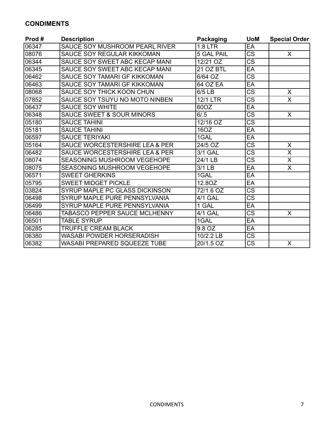| Prod# | <b>Description</b>                        | Packaging         | <b>UoM</b>             | <b>Special Order</b>    |
|-------|-------------------------------------------|-------------------|------------------------|-------------------------|
| 06347 | SAUCE SOY MUSHROOM PEARL RIVER            | <b>1.8 LTR</b>    | EA                     |                         |
| 08076 | SAUCE SOY REGULAR KIKKOMAN                | <b>5 GAL PAIL</b> | $\overline{\text{cs}}$ | $\mathsf{X}$            |
| 06344 | SAUCE SOY SWEET ABC KECAP MANI            | 12/21 OZ          | $\overline{\text{CS}}$ |                         |
| 06345 | SAUCE SOY SWEET ABC KECAP MANI            | 21 OZ BTL         | EA                     |                         |
| 06462 | SAUCE SOY TAMARI GF KIKKOMAN              | 6/64 OZ           | $\overline{\text{CS}}$ |                         |
| 06463 | SAUCE SOY TAMARI GF KIKKOMAN              | <b>64 OZ EA</b>   | EA                     |                         |
| 08068 | SAUCE SOY THICK KOON CHUN                 | 6/5 LB            | $\overline{\text{cs}}$ | $\overline{\mathsf{x}}$ |
| 07852 | SAUCE SOY TSUYU NO MOTO NINBEN            | <b>12/1 LTR</b>   | $\overline{\text{CS}}$ | $\overline{\mathsf{x}}$ |
| 06437 | <b>SAUCE SOY WHITE</b>                    | 60OZ              | EA                     |                         |
| 06348 | <b>SAUCE SWEET &amp; SOUR MINORS</b>      | 6/0.5             | $\overline{\text{cs}}$ | $\mathsf{X}$            |
| 05180 | <b>SAUCE TAHINI</b>                       | 12/16 OZ          | $\overline{\text{cs}}$ |                         |
| 05181 | <b>SAUCE TAHINI</b>                       | 16OZ              | EA                     |                         |
| 06597 | <b>SAUCE TERIYAKI</b>                     | 1GAL              | EA                     |                         |
| 05164 | <b>SAUCE WORCESTERSHIRE LEA &amp; PER</b> | 24/5 OZ           | <b>CS</b>              | $\overline{\mathsf{X}}$ |
| 06482 | SAUCE WORCESTERSHIRE LEA & PER            | 3/1 GAL           | $\overline{\text{CS}}$ | $\overline{\mathsf{X}}$ |
| 08074 | <b>SEASONING MUSHROOM VEGEHOPE</b>        | 24/1 LB           | $\overline{\text{CS}}$ | X                       |
| 08075 | <b>SEASONING MUSHROOM VEGEHOPE</b>        | 3/1 LB            | EA                     | $\overline{\mathsf{x}}$ |
| 06571 | <b>SWEET GHERKINS</b>                     | 1GAL              | EA                     |                         |
| 05795 | <b>SWEET MIDGET PICKLE</b>                | 12.8OZ            | EA                     |                         |
| 03824 | SYRUP MAPLE PC GLASS DICKINSON            | 72/1.6 OZ         | $\overline{\text{CS}}$ |                         |
| 06498 | SYRUP MAPLE PURE PENNSYLVANIA             | <b>4/1 GAL</b>    | <b>CS</b>              |                         |
| 06499 | SYRUP MAPLE PURE PENNSYLVANIA             | 1 GAL             | EA                     |                         |
| 06486 | TABASCO PEPPER SAUCE MCLHENNY             | 4/1 GAL           | $\overline{\text{CS}}$ | $\overline{X}$          |
| 06501 | <b>TABLE SYRUP</b>                        | 1GAL              | EA                     |                         |
| 06285 | <b>TRUFFLE CREAM BLACK</b>                | 9.8 OZ            | EA                     |                         |
| 06380 | <b>WASABI POWDER HORSERADISH</b>          | 10/2.2 LB         | $\overline{\text{CS}}$ |                         |
| 06382 | <b>WASABI PREPARED SQUEEZE TUBE</b>       | 20/1.5 OZ         | $\overline{\text{CS}}$ | X                       |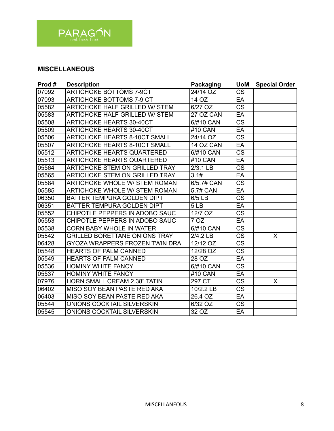

#### **MISCELLANEOUS**

| Prod# | <b>Description</b>                    | Packaging  | <b>UoM</b>             | <b>Special Order</b> |
|-------|---------------------------------------|------------|------------------------|----------------------|
| 07092 | <b>ARTICHOKE BOTTOMS 7-9CT</b>        | 24/14 OZ   | $\overline{\text{cs}}$ |                      |
| 07093 | <b>ARTICHOKE BOTTOMS 7-9 CT</b>       | 14 OZ      | EA                     |                      |
| 05582 | ARTICHOKE HALF GRILLED W/ STEM        | 6/27 OZ    | $\overline{\text{CS}}$ |                      |
| 05583 | <b>ARTICHOKE HALF GRILLED W/ STEM</b> | 27 OZ CAN  | EA                     |                      |
| 05508 | <b>ARTICHOKE HEARTS 30-40CT</b>       | 6/#10 CAN  | $\overline{\text{CS}}$ |                      |
| 05509 | <b>ARTICHOKE HEARTS 30-40CT</b>       | #10 CAN    | EA                     |                      |
| 05506 | <b>ARTICHOKE HEARTS 8-10CT SMALL</b>  | 24/14 OZ   | <b>CS</b>              |                      |
| 05507 | <b>ARTICHOKE HEARTS 8-10CT SMALL</b>  | 14 OZ CAN  | EA                     |                      |
| 05512 | <b>ARTICHOKE HEARTS QUARTERED</b>     | 6/#10 CAN  | $\overline{\text{CS}}$ |                      |
| 05513 | <b>ARTICHOKE HEARTS QUARTERED</b>     | #10 CAN    | EA                     |                      |
| 05564 | <b>ARTICHOKE STEM ON GRILLED TRAY</b> | $2/3.1$ LB | $\overline{\text{CS}}$ |                      |
| 05565 | <b>ARTICHOKE STEM ON GRILLED TRAY</b> | 3.1#       | EA                     |                      |
| 05584 | <b>ARTICHOKE WHOLE W/ STEM ROMAN</b>  | 6/5.7# CAN | $\overline{\text{CS}}$ |                      |
| 05585 | <b>ARTICHOKE WHOLE W/ STEM ROMAN</b>  | 5.7# CAN   | EA                     |                      |
| 06350 | <b>BATTER TEMPURA GOLDEN DIPT</b>     | 6/5 LB     | $\overline{\text{CS}}$ |                      |
| 06351 | BATTER TEMPURA GOLDEN DIPT            | 5LB        | EA                     |                      |
| 05552 | CHIPOTLE PEPPERS IN ADOBO SAUC        | 12/7 OZ    | $\overline{\text{CS}}$ |                      |
| 05553 | CHIPOTLE PEPPERS IN ADOBO SAUC        | 7 OZ       | EA                     |                      |
| 05538 | <b>CORN BABY WHOLE IN WATER</b>       | 6/#10 CAN  | $\overline{\text{CS}}$ |                      |
| 05542 | <b>GRILLED BORETTANE ONIONS TRAY</b>  | 2/4.2 LB   | <b>CS</b>              | X                    |
| 06428 | GYOZA WRAPPERS FROZEN TWIN DRA        | 12/12 OZ   | $\overline{\text{CS}}$ |                      |
| 05548 | <b>HEARTS OF PALM CANNED</b>          | 12/28 OZ   | $\overline{\text{cs}}$ |                      |
| 05549 | <b>HEARTS OF PALM CANNED</b>          | 28 OZ      | EA                     |                      |
| 05536 | <b>HOMINY WHITE FANCY</b>             | 6/#10 CAN  | $\overline{\text{cs}}$ |                      |
| 05537 | <b>HOMINY WHITE FANCY</b>             | #10 CAN    | EA                     |                      |
| 07976 | <b>HORN SMALL CREAM 2.38" TATIN</b>   | 297 CT     | $\overline{\text{CS}}$ | X                    |
| 06402 | MISO SOY BEAN PASTE RED AKA           | 10/2.2 LB  | $\overline{\text{CS}}$ |                      |
| 06403 | MISO SOY BEAN PASTE RED AKA           | 26.4 OZ    | EA                     |                      |
| 05544 | <b>ONIONS COCKTAIL SILVERSKIN</b>     | 6/32 OZ    | $\overline{\text{cs}}$ |                      |
| 05545 | <b>ONIONS COCKTAIL SILVERSKIN</b>     | 32 OZ      | EA                     |                      |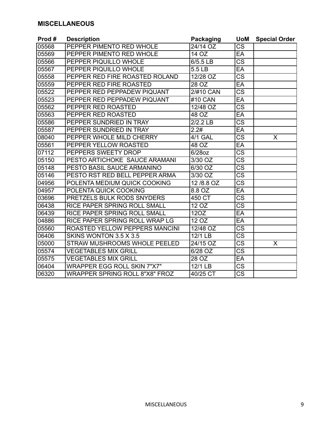#### **MISCELLANEOUS**

| Prod# | <b>Description</b>                    | <b>Packaging</b> | <b>UoM</b>             | <b>Special Order</b> |
|-------|---------------------------------------|------------------|------------------------|----------------------|
| 05568 | PEPPER PIMENTO RED WHOLE              | 24/14 OZ         | $\overline{\text{CS}}$ |                      |
| 05569 | PEPPER PIMENTO RED WHOLE              | 14 OZ            | EA                     |                      |
| 05566 | PEPPER PIQUILLO WHOLE                 | 6/5.5 LB         | $\overline{\text{CS}}$ |                      |
| 05567 | PEPPER PIQUILLO WHOLE                 | 5.5 LB           | EA                     |                      |
| 05558 | PEPPER RED FIRE ROASTED ROLAND        | 12/28 OZ         | $\overline{\text{CS}}$ |                      |
| 05559 | PEPPER RED FIRE ROASTED               | 28 OZ            | EA                     |                      |
| 05522 | PEPPER RED PEPPADEW PIQUANT           | 2/#10 CAN        | $\overline{\text{cs}}$ |                      |
| 05523 | PEPPER RED PEPPADEW PIQUANT           | #10 CAN          | EA                     |                      |
| 05562 | PEPPER RED ROASTED                    | 12/48 OZ         | $\overline{\text{CS}}$ |                      |
| 05563 | PEPPER RED ROASTED                    | 48 OZ            | EA                     |                      |
| 05586 | PEPPER SUNDRIED IN TRAY               | 2/2.2 LB         | $\overline{\text{cs}}$ |                      |
| 05587 | PEPPER SUNDRIED IN TRAY               | 2.2#             | EA                     |                      |
| 08040 | PEPPER WHOLE MILD CHERRY              | 4/1 GAL          | $\overline{\text{CS}}$ | X                    |
| 05561 | PEPPER YELLOW ROASTED                 | 48 OZ            | EA                     |                      |
| 07112 | PEPPERS SWEETY DROP                   | 6/28oz           | $\overline{\text{CS}}$ |                      |
| 05150 | PESTO ARTICHOKE SAUCE ARAMANI         | 3/30 OZ          | <b>CS</b>              |                      |
| 05148 | PESTO BASIL SAUCE ARMANINO            | 6/30 OZ          | $\overline{\text{CS}}$ |                      |
| 05146 | PESTO RST RED BELL PEPPER ARMA        | 3/30 OZ          | <b>CS</b>              |                      |
| 04956 | POLENTA MEDIUM QUICK COOKING          | 12/8.8 OZ        | <b>CS</b>              |                      |
| 04957 | POLENTA QUICK COOKING                 | 8.8 OZ           | EA                     |                      |
| 03696 | PRETZELS BULK RODS SNYDERS            | 450 CT           | $\overline{\text{CS}}$ |                      |
| 06438 | RICE PAPER SPRING ROLL SMALL          | 12 OZ            | <b>CS</b>              |                      |
| 06439 | RICE PAPER SPRING ROLL SMALL          | 12OZ             | EA                     |                      |
| 04886 | RICE PAPER SPRING ROLL WRAP LG        | 12 OZ            | EA                     |                      |
| 05560 | ROASTED YELLOW PEPPERS MANCINI        | 12/48 OZ         | $\overline{\text{CS}}$ |                      |
| 06406 | SKINS WONTON 3.5 X 3.5                | $12/1$ LB        | $\overline{\text{CS}}$ |                      |
| 05000 | STRAW MUSHROOMS WHOLE PEELED          | 24/15 OZ         | $\overline{\text{CS}}$ | X                    |
| 05574 | <b>VEGETABLES MIX GRILL</b>           | 6/28 OZ          | <b>CS</b>              |                      |
| 05575 | <b>VEGETABLES MIX GRILL</b>           | 28 OZ            | EA                     |                      |
| 06404 | <b>WRAPPER EGG ROLL SKIN 7"X7"</b>    | 12/1 LB          | <b>CS</b>              |                      |
| 06320 | <b>WRAPPER SPRING ROLL 8"X8" FROZ</b> | 40/25 CT         | $\overline{\text{CS}}$ |                      |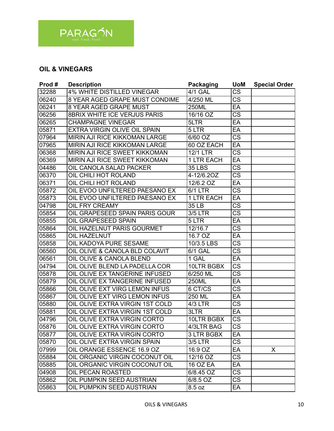

### **OIL & VINEGARS**

| Prod# | <b>Description</b>                    | <b>Packaging</b>  | <b>UoM</b>             | <b>Special Order</b> |
|-------|---------------------------------------|-------------------|------------------------|----------------------|
| 32288 | <b>4% WHITE DISTILLED VINEGAR</b>     | <b>4/1 GAL</b>    | $\overline{\text{CS}}$ |                      |
| 06240 | 8 YEAR AGED GRAPE MUST CONDIME        | 4/250 ML          | $\overline{\text{CS}}$ |                      |
| 06241 | 8 YEAR AGED GRAPE MUST                | 250ML             | EA                     |                      |
| 06256 | 8BRIX WHITE ICE VERJUS PARIS          | 16/16 OZ          | $\overline{\text{cs}}$ |                      |
| 06265 | <b>CHAMPAGNE VINEGAR</b>              | 5LTR              | EA                     |                      |
| 05871 | EXTRA VIRGIN OLIVE OIL SPAIN          | 5 LTR             | EA                     |                      |
| 07964 | <b>MIRIN AJI RICE KIKKOMAN LARGE</b>  | 6/60 OZ           | $\overline{\text{CS}}$ |                      |
| 07965 | MIRIN AJI RICE KIKKOMAN LARGE         | 60 OZ EACH        | EA                     |                      |
| 06368 | <b>MIRIN AJI RICE SWEET KIKKOMAN</b>  | <b>12/1 LTR</b>   | $\overline{\text{cs}}$ |                      |
| 06369 | MIRIN AJI RICE SWEET KIKKOMAN         | 1 LTR EACH        | EA                     |                      |
| 04486 | OIL CANOLA SALAD PACKER               | <b>35 LBS</b>     | <b>CS</b>              |                      |
| 06370 | OIL CHILI HOT ROLAND                  | 4-12/6.20Z        | $\overline{\text{cs}}$ |                      |
| 06371 | OIL CHILI HOT ROLAND                  | 12/6.2 OZ         | EA                     |                      |
| 05872 | OIL EVOO UNFILTERED PAESANO EX        | $6/1$ LTR         | $\overline{\text{CS}}$ |                      |
| 05873 | OIL EVOO UNFILTERED PAESANO EX        | <b>1 LTR EACH</b> | EA                     |                      |
| 04798 | OIL FRY CREAMY                        | 35 LB             | $\overline{\text{CS}}$ |                      |
| 05854 | <b>OIL GRAPESEED SPAIN PARIS GOUR</b> | 3/5 LTR           | $\overline{\text{CS}}$ |                      |
| 05855 | OIL GRAPESEED SPAIN                   | 5 LTR             | EA                     |                      |
| 05864 | OIL HAZELNUT PARIS GOURMET            | 12/16.7           | <b>CS</b>              |                      |
| 05865 | <b>OIL HAZELNUT</b>                   | 16.7 OZ           | EA                     |                      |
| 05858 | OIL KADOYA PURE SESAME                | 10/3.5 LBS        | $\overline{\text{cs}}$ |                      |
| 06560 | OIL OLIVE & CANOLA BLD COLAVIT        | $6/1$ GAL         | <b>CS</b>              |                      |
| 06561 | OIL OLIVE & CANOLA BLEND              | 1 GAL             | EA                     |                      |
| 04794 | OIL OLIVE BLEND LA PADELLA COR        | 10LTR BGBX        | $\overline{\text{cs}}$ |                      |
| 05878 | OIL OLIVE EX TANGERINE INFUSED        | 6/250 ML          | $\overline{\text{CS}}$ |                      |
| 05879 | OIL OLIVE EX TANGERINE INFUSED        | 250ML             | EA                     |                      |
| 05866 | OIL OLIVE EXT VIRG LEMON INFUS        | 6 CT/CS           | $\overline{\text{CS}}$ |                      |
| 05867 | OIL OLIVE EXT VIRG LEMON INFUS        | 250 ML            | EA                     |                      |
| 05880 | OIL OLIVE EXTRA VIRGIN 1ST COLD       | 4/3 LTR           | $\overline{\text{CS}}$ |                      |
| 05881 | OIL OLIVE EXTRA VIRGIN 1ST COLD       | 3LTR              | EA                     |                      |
| 04796 | OIL OLIVE EXTRA VIRGIN CORTO          | 10LTR BGBX        | $\overline{\text{CS}}$ |                      |
| 05876 | OIL OLIVE EXTRA VIRGIN CORTO          | 4/3LTR BAG        | CS.                    |                      |
| 05877 | OIL OLIVE EXTRA VIRGIN CORTO          | 3 LTR BGBX        | EA                     |                      |
| 05870 | OIL OLIVE EXTRA VIRGIN SPAIN          | 3/5 LTR           | $\overline{\text{CS}}$ |                      |
| 07999 | OIL ORANGE ESSENCE 16.9 OZ            | 16.9 OZ           | EA                     | X                    |
| 05884 | OIL ORGANIC VIRGIN COCONUT OIL        | 12/16 OZ          | CS                     |                      |
| 05885 | OIL ORGANIC VIRGIN COCONUT OIL        | 16 OZ EA          | EA                     |                      |
| 04908 | <b>OIL PECAN ROASTED</b>              | 6/8.45 OZ         | CS                     |                      |
| 05862 | OIL PUMPKIN SEED AUSTRIAN             | 6/8.5 OZ          | CS.                    |                      |
| 05863 | OIL PUMPKIN SEED AUSTRIAN             | 8.5 oz            | EA                     |                      |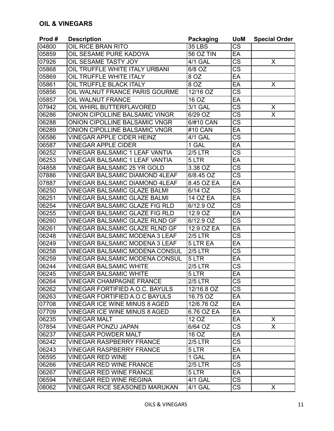| Prod# | <b>Description</b>                    | <b>Packaging</b> | <b>UoM</b>             | <b>Special Order</b> |
|-------|---------------------------------------|------------------|------------------------|----------------------|
| 04800 | OIL RICE BRAN RITO                    | <b>35 LBS</b>    | <b>CS</b>              |                      |
| 05859 | OIL SESAME PURE KADOYA                | <b>56 OZ TIN</b> | EA                     |                      |
| 07926 | OIL SESAME TASTY JOY                  | 4/1 GAL          | $\overline{\text{cs}}$ | X                    |
| 05868 | OIL TRUFFLE WHITE ITALY URBANI        | 6/8 OZ           | <b>CS</b>              |                      |
| 05869 | OIL TRUFFLE WHITE ITALY               | 8 OZ             | EA                     |                      |
| 05861 | OIL TRUFFLE BLACK ITALY               | 8 OZ             | EA                     | X                    |
| 05856 | OIL WALNUT FRANCE PARIS GOURME        | 12/16 OZ         | $\overline{\text{CS}}$ |                      |
| 05857 | <b>OIL WALNUT FRANCE</b>              | 16 OZ            | EA                     |                      |
| 07942 | <b>OIL WHIRL BUTTERFLAVORED</b>       | 3/1 GAL          | $\overline{\text{cs}}$ | X                    |
| 06286 | ONION CIPOLLINE BALSAMIC VINGR        | 6/29 OZ          | CS                     | X                    |
| 06288 | ONION CIPOLLINE BALSAMIC VNGR         | 6/#10 CAN        | $\overline{\text{CS}}$ |                      |
| 06289 | ONION CIPOLLINE BALSAMIC VNGR         | #10 CAN          | EA                     |                      |
| 06586 | <b>VINEGAR APPLE CIDER HEINZ</b>      | <b>4/1 GAL</b>   | <b>CS</b>              |                      |
| 06587 | <b>VINEGAR APPLE CIDER</b>            | 1 GAL            | EA                     |                      |
| 06252 | <b>VINEGAR BALSAMIC 1 LEAF VANTIA</b> | <b>2/5 LTR</b>   | $\overline{\text{CS}}$ |                      |
| 06253 | <b>VINEGAR BALSAMIC 1 LEAF VANTIA</b> | 5 LTR            | EA                     |                      |
| 04858 | <b>VINEGAR BALSAMIC 25 YR GOLD</b>    | 3.38 OZ          | <b>CS</b>              |                      |
| 07886 | <b>VINEGAR BALSAMIC DIAMOND 4LEAF</b> | $6/8.45$ OZ      | $\overline{\text{CS}}$ |                      |
| 07887 | <b>VINEGAR BALSAMIC DIAMOND 4LEAF</b> | 8.45 OZ EA       | EA                     |                      |
| 06250 | <b>VINEGAR BALSAMIC GLAZE BALMI</b>   | 6/14 OZ          | $\overline{\text{CS}}$ |                      |
| 06251 | <b>VINEGAR BALSAMIC GLAZE BALMI</b>   | <b>14 OZ EA</b>  | EA                     |                      |
| 06254 | <b>VINEGAR BALSAMIC GLAZE FIG RLD</b> | 6/12.9 OZ        | $\overline{\text{cs}}$ |                      |
| 06255 | <b>VINEGAR BALSAMIC GLAZE FIG RLD</b> | 12.9 OZ          | EA                     |                      |
| 06260 | <b>VINEGAR BALSAMIC GLAZE RLND GF</b> | 6/12.9 OZ        | $\overline{\text{CS}}$ |                      |
| 06261 | <b>VINEGAR BALSAMIC GLAZE RLND GF</b> | 12.9 OZ EA       | EA                     |                      |
| 06248 | <b>VINEGAR BALSAMIC MODENA 3 LEAF</b> | <b>2/5 LTR</b>   | <b>CS</b>              |                      |
| 06249 | VINEGAR BALSAMIC MODENA 3 LEAF        | 5 LTR EA         | EA                     |                      |
| 06258 | <b>VINEGAR BALSAMIC MODENA CONSUL</b> | <b>2/5 LTR</b>   | $\overline{\text{cs}}$ |                      |
| 06259 | <b>VINEGAR BALSAMIC MODENA CONSUL</b> | 5 LTR            | EA                     |                      |
| 06244 | <b>VINEGAR BALSAMIC WHITE</b>         | <b>2/5 LTR</b>   | <b>CS</b>              |                      |
| 06245 | <b>VINEGAR BALSAMIC WHITE</b>         | 5 LTR            | EA                     |                      |
| 06264 | <b>VINEGAR CHAMPAGNE FRANCE</b>       | $2/5$ LTR        | $\overline{\text{CS}}$ |                      |
| 06262 | VINEGAR FORTIFIED A.O.C. BAYULS       | 12/16.8 OZ       | CS                     |                      |
| 06263 | <b>VINEGAR FORTIFIED A.O.C BAYULS</b> | 16.75 OZ         | EA                     |                      |
| 07708 | <b>VINEGAR ICE WINE MINUS 8 AGED</b>  | 12/6.76 OZ       | EA                     |                      |
| 07709 | <b>VINEGAR ICE WINE MINUS 8 AGED</b>  | 6.76 OZ EA       | EA                     |                      |
| 06235 | <b>VINEGAR MALT</b>                   | 12 OZ            | EA                     | X                    |
| 07854 | <b>VINEGAR PONZU JAPAN</b>            | 6/64 OZ          | <b>CS</b>              | X.                   |
| 06237 | <b>VINEGAR POWDER MALT</b>            | 16 OZ            | EA                     |                      |
| 06242 | <b>VINEGAR RASPBERRY FRANCE</b>       | <b>2/5 LTR</b>   | $\overline{\text{CS}}$ |                      |
| 06243 | <b>VINEGAR RASPBERRY FRANCE</b>       | 5 LTR            | EA                     |                      |
| 06595 | <b>VINEGAR RED WINE</b>               | 1 GAL            | EA                     |                      |
| 06266 | <b>VINEGAR RED WINE FRANCE</b>        | $2/5$ LTR        | $\overline{\text{CS}}$ |                      |
| 06267 | <b>VINEGAR RED WINE FRANCE</b>        | 5 LTR            | EA                     |                      |
| 06594 | <b>VINEGAR RED WINE REGINA</b>        | 4/1 GAL          | CS                     |                      |
| 08062 | <b>VINEGAR RICE SEASONED MARUKAN</b>  | <b>4/1 GAL</b>   | CS                     | X.                   |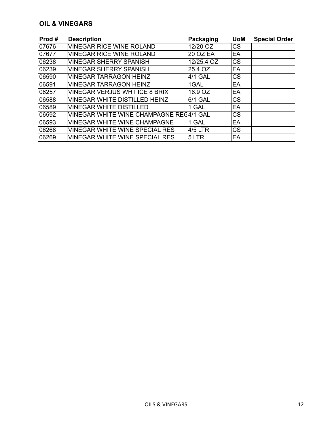#### **OIL & VINEGARS**

| Prod#  | <b>Description</b>                      | Packaging       | <b>UoM</b> | <b>Special Order</b> |
|--------|-----------------------------------------|-----------------|------------|----------------------|
| 07676  | <b>VINEGAR RICE WINE ROLAND</b>         | 12/20 OZ        | <b>CS</b>  |                      |
| 07677  | <b>VINEGAR RICE WINE ROLAND</b>         | <b>20 OZ EA</b> | EA         |                      |
| 06238  | <b>VINEGAR SHERRY SPANISH</b>           | 12/25.4 OZ      | <b>CS</b>  |                      |
| 106239 | <b>VINEGAR SHERRY SPANISH</b>           | 25.4 OZ         | EA         |                      |
| 06590  | <b>VINEGAR TARRAGON HEINZ</b>           | 4/1 GAL         | <b>CS</b>  |                      |
| 06591  | <b>VINEGAR TARRAGON HEINZ</b>           | 1GAL            | EA         |                      |
| 06257  | <b>VINEGAR VERJUS WHT ICE 8 BRIX</b>    | 16.9 OZ         | EA         |                      |
| 06588  | <b>VINEGAR WHITE DISTILLED HEINZ</b>    | 6/1 GAL         | <b>CS</b>  |                      |
| 06589  | <b>VINEGAR WHITE DISTILLED</b>          | 1 GAL           | EA         |                      |
| 06592  | VINEGAR WHITE WINE CHAMPAGNE REC4/1 GAL |                 | <b>CS</b>  |                      |
| 06593  | <b>VINEGAR WHITE WINE CHAMPAGNE</b>     | 1 GAL           | EA         |                      |
| 106268 | <b>VINEGAR WHITE WINE SPECIAL RES</b>   | <b>4/5 LTR</b>  | <b>CS</b>  |                      |
| 06269  | <b>VINEGAR WHITE WINE SPECIAL RES</b>   | 5 LTR           | EA         |                      |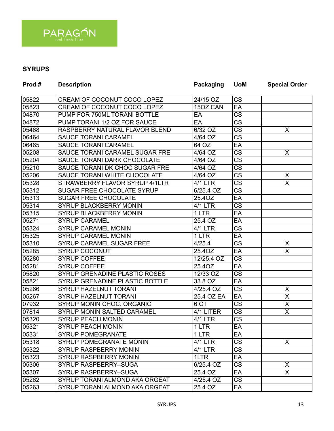

# **SYRUPS**

| Prod# | <b>Description</b>                | <b>Packaging</b>      | <b>UoM</b>             | <b>Special Order</b>    |
|-------|-----------------------------------|-----------------------|------------------------|-------------------------|
| 05822 | CREAM OF COCONUT COCO LOPEZ       | 24/15 OZ              | <b>CS</b>              |                         |
| 05823 | CREAM OF COCONUT COCO LOPEZ       | 15OZ CAN              | EA                     |                         |
| 04870 | PUMP FOR 750ML TORANI BOTTLE      | EA                    | <b>CS</b>              |                         |
| 04872 | PUMP TORANI 1/2 OZ FOR SAUCE      | EA                    | <b>CS</b>              |                         |
| 05468 | RASPBERRY NATURAL FLAVOR BLEND    | 6/32 OZ               | <b>CS</b>              | X                       |
| 06464 | <b>SAUCE TORANI CARAMEL</b>       | 4/64 OZ               | $\overline{\text{CS}}$ |                         |
| 06465 | <b>SAUCE TORANI CARAMEL</b>       | 64 OZ                 | EA                     |                         |
| 05208 | SAUCE TORANI CARAMEL SUGAR FRE    | 4/64 OZ               | $\overline{\text{CS}}$ | X                       |
| 05204 | SAUCE TORANI DARK CHOCOLATE       | $\overline{4/64}$ OZ  | $\overline{\text{CS}}$ |                         |
| 05210 | SAUCE TORANI DK CHOC SUGAR FRE    | 4/64 OZ               | <b>CS</b>              |                         |
| 05206 | SAUCE TORANI WHITE CHOCOLATE      | 4/64 OZ               | $\overline{\text{CS}}$ | X                       |
| 05328 | STRAWBERRY FLAVOR SYRUP 4/1LTR    | 4/1 LTR               | <b>CS</b>              | X                       |
| 05312 | <b>SUGAR FREE CHOCOLATE SYRUP</b> | 6/25.4 OZ             | $\overline{\text{CS}}$ |                         |
| 05313 | <b>SUGAR FREE CHOCOLATE</b>       | 25.4OZ                | EA                     |                         |
| 05314 | SYRUP BLACKBERRY MONIN            | <b>4/1 LTR</b>        | $\overline{\text{CS}}$ |                         |
| 05315 | SYRUP BLACKBERRY MONIN            | 1 LTR                 | EA                     |                         |
| 05271 | <b>SYRUP CARAMEL</b>              | 25.4 OZ               | EA                     |                         |
| 05324 | <b>SYRUP CARAMEL MONIN</b>        | $\overline{4/1}$ LTR  | $\overline{\text{CS}}$ |                         |
| 05325 | <b>SYRUP CARAMEL MONIN</b>        | 1 LTR                 | EA                     |                         |
| 05310 | SYRUP CARAMEL SUGAR FREE          | 4/25.4                | $\overline{\text{CS}}$ | X                       |
| 05285 | <b>SYRUP COCONUT</b>              | 25.4OZ                | EA                     | X                       |
| 05280 | <b>SYRUP COFFEE</b>               | 12/25.4 OZ            | <b>CS</b>              |                         |
| 05281 | <b>SYRUP COFFEE</b>               | 25.4OZ                | EA                     |                         |
| 05820 | SYRUP GRENADINE PLASTIC ROSES     | $\overline{12/33}$ OZ | $\overline{\text{CS}}$ |                         |
| 05821 | SYRUP GRENADINE PLASTIC BOTTLE    | 33.8 OZ               | EA                     |                         |
| 05266 | SYRUP HAZELNUT TORANI             | $4/25.4$ OZ           | <b>CS</b>              | X                       |
| 05267 | <b>SYRUP HAZELNUT TORANI</b>      | 25.4 OZ EA            | EA                     | $\overline{\mathsf{x}}$ |
| 07932 | SYRUP MONIN CHOC. ORGANIC         | 6 CT                  | <b>CS</b>              | X                       |
| 07814 | <b>SYRUP MONIN SALTED CARAMEL</b> | 4/1 LITER             | <b>CS</b>              | X                       |
| 05320 | <b>SYRUP PEACH MONIN</b>          | <b>4/1 LTR</b>        | <b>CS</b>              |                         |
| 05321 | <b>SYRUP PEACH MONIN</b>          | 1 LTR                 | EA                     |                         |
| 05331 | <b>SYRUP POMEGRANATE</b>          | 1 LTR                 | EA                     |                         |
| 05318 | <b>SYRUP POMEGRANATE MONIN</b>    | <b>4/1 LTR</b>        | $\overline{\text{CS}}$ | X                       |
| 05322 | <b>SYRUP RASPBERRY MONIN</b>      | 4/1 LTR               | <b>CS</b>              |                         |
| 05323 | <b>SYRUP RASPBERRY MONIN</b>      | 1LTR                  | EA                     |                         |
| 05306 | SYRUP RASPBERRY--SUGA             | 6/25.4 OZ             | <b>CS</b>              | X                       |
| 05307 | <b>SYRUP RASPBERRY--SUGA</b>      | 25.4 OZ               | EA                     | X                       |
| 05262 | SYRUP TORANI ALMOND AKA ORGEAT    | 4/25.4 OZ             | CS                     |                         |
| 05263 | SYRUP TORANI ALMOND AKA ORGEAT    | 25.4 OZ               | EA                     |                         |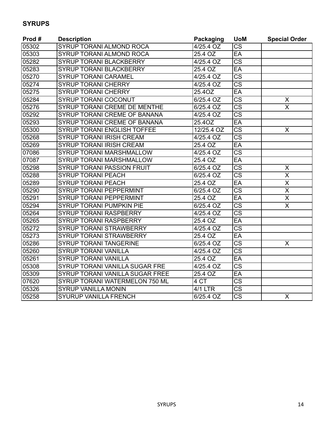# **SYRUPS**

| Prod# | <b>Description</b>                | <b>Packaging</b>     | <b>UoM</b>             | <b>Special Order</b>    |
|-------|-----------------------------------|----------------------|------------------------|-------------------------|
| 05302 | SYRUP TORANI ALMOND ROCA          | $4/25.4$ OZ          | <b>CS</b>              |                         |
| 05303 | SYRUP TORANI ALMOND ROCA          | 25.4 OZ              | EA                     |                         |
| 05282 | <b>SYRUP TORANI BLACKBERRY</b>    | 4/25.4 OZ            | $\overline{\text{CS}}$ |                         |
| 05283 | <b>SYRUP TORANI BLACKBERRY</b>    | 25.4 OZ              | EA                     |                         |
| 05270 | <b>SYRUP TORANI CARAMEL</b>       | 4/25.4 OZ            | $\overline{\text{cs}}$ |                         |
| 05274 | <b>SYRUP TORANI CHERRY</b>        | 4/25.4 OZ            | $\overline{\text{cs}}$ |                         |
| 05275 | <b>SYRUP TORANI CHERRY</b>        | 25.4OZ               | EA                     |                         |
| 05284 | <b>SYRUP TORANI COCONUT</b>       | 6/25.4 OZ            | $\overline{\text{CS}}$ | X                       |
| 05276 | SYRUP TORANI CREME DE MENTHE      | $6/25.4$ OZ          | <b>CS</b>              | $\overline{\mathsf{x}}$ |
| 05292 | SYRUP TORANI CREME OF BANANA      | 4/25.4 OZ            | $\overline{\text{CS}}$ |                         |
| 05293 | SYRUP TORANI CREME OF BANANA      | 25.4OZ               | EA                     |                         |
| 05300 | SYRUP TORANI ENGLISH TOFFEE       | 12/25.4 OZ           | $\overline{\text{CS}}$ | X                       |
| 05268 | <b>SYRUP TORANI IRISH CREAM</b>   | 4/25.4 OZ            | $\overline{\text{CS}}$ |                         |
| 05269 | <b>SYRUP TORANI IRISH CREAM</b>   | 25.4 OZ              | EA                     |                         |
| 07086 | <b>SYRUP TORANI MARSHMALLOW</b>   | 4/25.4 OZ            | $\overline{\text{CS}}$ |                         |
| 07087 | SYRUP TORANI MARSHMALLOW          | 25.4 OZ              | EA                     |                         |
| 05298 | <b>SYRUP TORANI PASSION FRUIT</b> | 6/25.4 OZ            | $\overline{\text{CS}}$ | X                       |
| 05288 | <b>SYRUP TORANI PEACH</b>         | 6/25.4 OZ            | $\overline{\text{CS}}$ | X                       |
| 05289 | <b>SYRUP TORANI PEACH</b>         | 25.4 OZ              | EA                     | $\overline{\mathsf{x}}$ |
| 05290 | <b>SYRUP TORANI PEPPERMINT</b>    | 6/25.4 OZ            | $\overline{\text{cs}}$ | $\overline{\mathsf{x}}$ |
| 05291 | <b>SYRUP TORANI PEPPERMINT</b>    | 25.4 OZ              | EA                     | $\overline{\mathsf{x}}$ |
| 05294 | <b>SYRUP TORANI PUMPKIN PIE</b>   | 6/25.4 OZ            | <b>CS</b>              | $\overline{\mathsf{x}}$ |
| 05264 | <b>SYRUP TORANI RASPBERRY</b>     | 4/25.4 OZ            | $\overline{\text{CS}}$ |                         |
| 05265 | <b>SYRUP TORANI RASPBERRY</b>     | 25.4 OZ              | EA                     |                         |
| 05272 | <b>SYRUP TORANI STRAWBERRY</b>    | 4/25.4 OZ            | $\overline{\text{CS}}$ |                         |
| 05273 | <b>SYRUP TORANI STRAWBERRY</b>    | 25.4 OZ              | EA                     |                         |
| 05286 | <b>SYRUP TORANI TANGERINE</b>     | 6/25.4 OZ            | $\overline{\text{CS}}$ | X                       |
| 05260 | <b>SYRUP TORANI VANILLA</b>       | $4/25.4$ OZ          | $\overline{\text{CS}}$ |                         |
| 05261 | <b>SYRUP TORANI VANILLA</b>       | 25.4 OZ              | EA                     |                         |
| 05308 | SYRUP TORANI VANILLA SUGAR FRE    | 4/25.4 OZ            | <b>CS</b>              |                         |
| 05309 | SYRUP TORANI VANILLA SUGAR FREE   | 25.4 OZ              | EA                     |                         |
| 07620 | SYRUP TORANI WATERMELON 750 ML    | 4 CT                 | $\overline{\text{CS}}$ |                         |
| 05326 | <b>SYRUP VANILLA MONIN</b>        | $\overline{4/1}$ LTR | <b>CS</b>              |                         |
| 05258 | SYURUP VANILLA FRENCH             | 6/25.4 OZ            | $\overline{\text{cs}}$ | X                       |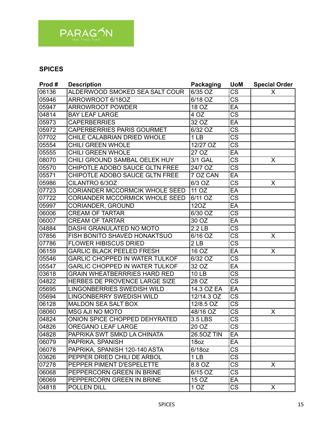

| Prod# | <b>Description</b>                    | <b>Packaging</b>     | <b>UoM</b>             | <b>Special Order</b> |
|-------|---------------------------------------|----------------------|------------------------|----------------------|
| 06136 | ALDERWOOD SMOKED SEA SALT COUR        | 6/35 OZ              | $\overline{\text{CS}}$ | X                    |
| 05946 | ARROWROOT 6/18OZ                      | $\overline{6/18}$ OZ | $\overline{\text{CS}}$ |                      |
| 05947 | <b>ARROWROOT POWDER</b>               | 18 OZ                | EA                     |                      |
| 04814 | <b>BAY LEAF LARGE</b>                 | 4 OZ                 | $\overline{\text{CS}}$ |                      |
| 05973 | <b>CAPERBERRIES</b>                   | 32 OZ                | EA                     |                      |
| 05972 | <b>CAPERBERRIES PARIS GOURMET</b>     | $\overline{6}/32$ OZ | $\overline{\text{cs}}$ |                      |
| 07702 | CHILE CALABRIAN DRIED WHOLE           | $\overline{1}$ LB    | $\overline{\text{CS}}$ |                      |
| 05554 | <b>CHILI GREEN WHOLE</b>              | 12/27 OZ             | $\overline{\text{cs}}$ |                      |
| 05555 | <b>CHILI GREEN WHOLE</b>              | 27OZ                 | EA                     |                      |
| 08070 | CHILI GROUND SAMBAL OELEK HUY         | 3/1 GAL              | <b>CS</b>              | X                    |
| 05570 | CHIPOTLE ADOBO SAUCE GLTN FREE        | 24/7 OZ              | $\overline{\text{cs}}$ |                      |
| 05571 | CHIPOTLE ADOBO SAUCE GLTN FREE        | 7 OZ CAN             | EA                     |                      |
| 05986 | CILANTRO 6/30Z                        | $\overline{6}/3$ OZ  | $\overline{\text{CS}}$ | X                    |
| 07723 | <b>CORIANDER MCCORMCIK WHOLE SEED</b> | 11 OZ                | EA                     |                      |
| 07722 | <b>CORIANDER MCCORMICK WHOLE SEED</b> | 6/11 OZ              | $\overline{\text{cs}}$ |                      |
| 05997 | CORIANDER, GROUND                     | 120Z                 | EA                     |                      |
| 06006 | <b>CREAM OF TARTAR</b>                | 6/30 OZ              | $\overline{\text{CS}}$ |                      |
| 06007 | <b>CREAM OF TARTAR</b>                | 30 OZ                | EA                     |                      |
| 04884 | DASHI GRANULATED NO MOTO              | 2.2 <sub>LB</sub>    | $\overline{\text{CS}}$ |                      |
| 07856 | FISH BONITO SHAVED HONAKTSUO          | 6/16 OZ              | $\overline{\text{CS}}$ | X                    |
| 07786 | <b>FLOWER HIBISCUS DRIED</b>          | 2 <sub>LB</sub>      | $\overline{\text{cs}}$ |                      |
| 06159 | <b>GARLIC BLACK PEELED FRESH</b>      | 16 OZ                | EA                     | X                    |
| 05546 | <b>GARLIC CHOPPED IN WATER TULKOF</b> | 6/32 OZ              | $\overline{\text{CS}}$ |                      |
| 05547 | <b>GARLIC CHOPPED IN WATER TULKOF</b> | 32 OZ                | EA                     |                      |
| 03618 | <b>GRAIN WHEATBERRRIES HARD RED</b>   | <b>10 LB</b>         | $\overline{\text{cs}}$ |                      |
| 04822 | HERBES DE PROVENCE LARGE SIZE         | 28 OZ                | $\overline{\text{cs}}$ |                      |
| 05695 | <b>LINGONBERRIES SWEDISH WILD</b>     | 14.3 OZ EA           | EA                     |                      |
| 05694 | <b>LINGONBERRY SWEDISH WILD</b>       | 12/14.3 OZ           | $\overline{\text{CS}}$ |                      |
| 06128 | <b>MALDON SEA SALT BOX</b>            | 12/8.5 OZ            | $\overline{\text{CS}}$ |                      |
| 08060 | MSG AJI NO MOTO                       | 48/16 OZ             | $\overline{\text{cs}}$ | X                    |
| 04824 | ONION SPICE CHOPPED DEHYRATED         | 3.5 LBS              | $\overline{\text{cs}}$ |                      |
| 04826 | <b>OREGANO LEAF LARGE</b>             | 20OZ                 | $\overline{\text{cs}}$ |                      |
| 04828 | PAPRIKA SWT SMKD LA CHINATA           | 26.50Z TIN           | EA                     |                      |
| 06079 | PAPRIKA, SPANISH                      | 18oz                 | EA                     |                      |
| 06078 | PAPRIKA, SPANISH 120-140 ASTA         | $6/18$ oz            | <b>CS</b>              |                      |
| 03626 | PEPPER DRIED CHILI DE ARBOL           | 1 <sub>LB</sub>      | $\overline{\text{CS}}$ |                      |
| 07278 | PEPPER PIMENT D'ESPELETTE             | 8.8 OZ               | $\overline{\text{CS}}$ | $\mathsf{X}$         |
| 06068 | PEPPERCORN GREEN IN BRINE             | 6/15 OZ              | <b>CS</b>              |                      |
| 06069 | PEPPERCORN GREEN IN BRINE             | 15 OZ                | EA                     |                      |
| 04818 | POLLEN DILL                           | 1 <sub>OZ</sub>      | $\overline{\text{CS}}$ | X                    |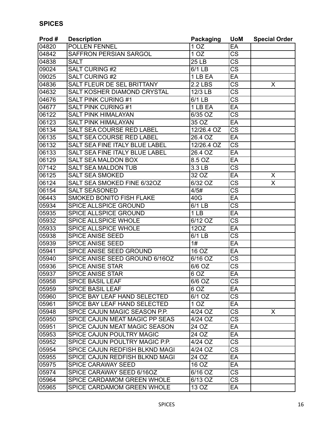| Prod# | <b>Description</b>                 | <b>Packaging</b>     | <b>UoM</b>             | <b>Special Order</b> |
|-------|------------------------------------|----------------------|------------------------|----------------------|
| 04820 | <b>POLLEN FENNEL</b>               | 1 <sub>OZ</sub>      | EA                     |                      |
| 04842 | <b>SAFFRON PERSIAN SARGOL</b>      | 1 <sub>OZ</sub>      | $\overline{\text{CS}}$ |                      |
| 04838 | <b>SALT</b>                        | 25 LB                | $\overline{\text{CS}}$ |                      |
| 09024 | <b>SALT CURING #2</b>              | 6/1 LB               | $\overline{\text{CS}}$ |                      |
| 09025 | <b>SALT CURING #2</b>              | 1 LB EA              | EA                     |                      |
| 04836 | SALT FLEUR DE SEL BRITTANY         | <b>2.2 LBS</b>       | $\overline{\text{CS}}$ | X                    |
| 04632 | <b>SALT KOSHER DIAMOND CRYSTAL</b> | 12/3 LB              | $\overline{\text{CS}}$ |                      |
| 04676 | <b>SALT PINK CURING #1</b>         | 6/1 LB               | <b>CS</b>              |                      |
| 04677 | <b>SALT PINK CURING #1</b>         | 1 LB EA              | EA                     |                      |
| 06122 | <b>SALT PINK HIMALAYAN</b>         | 6/35 OZ              | <b>CS</b>              |                      |
| 06123 | <b>SALT PINK HIMALAYAN</b>         | 35 OZ                | EA                     |                      |
| 06134 | <b>SALT SEA COURSE RED LABEL</b>   | 12/26.4 OZ           | $\overline{\text{CS}}$ |                      |
| 06135 | <b>SALT SEA COURSE RED LABEL</b>   | 26.4 OZ              | EA                     |                      |
| 06132 | SALT SEA FINE ITALY BLUE LABEL     | 12/26.4 OZ           | <b>CS</b>              |                      |
| 06133 | SALT SEA FINE ITALY BLUE LABEL     | 26.4 OZ              | EA                     |                      |
| 06129 | <b>SALT SEA MALDON BOX</b>         | 8.5 OZ               | EA                     |                      |
| 07142 | <b>SALT SEA MALDON TUB</b>         | 3.3 LB               | <b>CS</b>              |                      |
| 06125 | <b>SALT SEA SMOKED</b>             | 32 OZ                | EA                     | X                    |
| 06124 | <b>SALT SEA SMOKED FINE 6/32OZ</b> | $\overline{6}/32$ OZ | CS                     | X                    |
| 06154 | <b>SALT SEASONED</b>               | 4/5#                 | $\overline{\text{CS}}$ |                      |
| 06443 | SMOKED BONITO FISH FLAKE           | 40G                  | EA                     |                      |
| 05934 | SPICE ALLSPICE GROUND              | 6/1 LB               | $\overline{\text{cs}}$ |                      |
| 05935 | SPICE ALLSPICE GROUND              | 1 <sub>LB</sub>      | EA                     |                      |
| 05932 | <b>SPICE ALLSPICE WHOLE</b>        | 6/12 OZ              | $\overline{\text{CS}}$ |                      |
| 05933 | <b>SPICE ALLSPICE WHOLE</b>        | 12OZ                 | EA                     |                      |
| 05938 | <b>SPICE ANISE SEED</b>            | 6/1 LB               | <b>CS</b>              |                      |
| 05939 | <b>SPICE ANISE SEED</b>            | 1#                   | EA                     |                      |
| 05941 | SPICE ANISE SEED GROUND            | 16 OZ                | EA                     |                      |
| 05940 | SPICE ANISE SEED GROUND 6/16OZ     | 6/16 OZ              | <b>CS</b>              |                      |
| 05936 | <b>SPICE ANISE STAR</b>            | 6/6 OZ               | <b>CS</b>              |                      |
| 05937 | <b>SPICE ANISE STAR</b>            | 6 OZ                 | EA                     |                      |
| 05958 | <b>SPICE BASIL LEAF</b>            | 6/6 OZ               | $\overline{\text{cs}}$ |                      |
| 05959 | <b>SPICE BASIL LEAF</b>            | 6 OZ                 | EA                     |                      |
| 05960 | SPICE BAY LEAF HAND SELECTED       | 6/1 OZ               | $\overline{\text{CS}}$ |                      |
| 05961 | SPICE BAY LEAF HAND SELECTED       | 1 <sub>OZ</sub>      | EA                     |                      |
| 05948 | SPICE CAJUN MAGIC SEASON P.P.      | 4/24 OZ              | <b>CS</b>              | $\mathsf{X}$         |
| 05950 | SPICE CAJUN MEAT MAGIC PP SEAS     | 4/24 OZ              | <b>CS</b>              |                      |
| 05951 | SPICE CAJUN MEAT MAGIC SEASON      | 24 OZ                | EA                     |                      |
| 05953 | <b>SPICE CAJUN POULTRY MAGIC</b>   | 24 OZ                | EA                     |                      |
| 05952 | SPICE CAJUN POULTRY MAGIC P.P.     | 4/24 OZ              | $\overline{\text{CS}}$ |                      |
| 05954 | SPICE CAJUN REDFISH BLKND MAGI     | 4/24 OZ              | <b>CS</b>              |                      |
| 05955 | SPICE CAJUN REDFISH BLKND MAGI     | 24 OZ                | EA                     |                      |
| 05975 | <b>SPICE CARAWAY SEED</b>          | 16 OZ                | EA                     |                      |
| 05974 | SPICE CARAWAY SEED 6/16OZ          | 6/16 OZ              | <b>CS</b>              |                      |
| 05964 | SPICE CARDAMOM GREEN WHOLE         | 6/13 OZ              | <b>CS</b>              |                      |
| 05965 | SPICE CARDAMOM GREEN WHOLE         | 13 OZ                | EA                     |                      |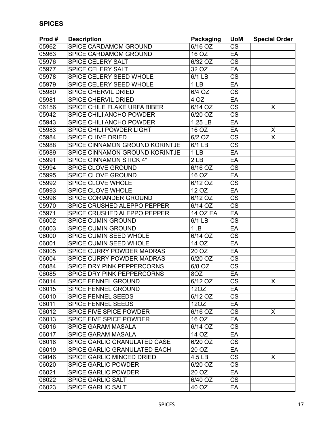| Prod# | <b>Description</b>                  | <b>Packaging</b>     | <b>UoM</b>             | <b>Special Order</b> |
|-------|-------------------------------------|----------------------|------------------------|----------------------|
| 05962 | SPICE CARDAMOM GROUND               | $\overline{6/16}$ OZ | CS                     |                      |
| 05963 | SPICE CARDAMOM GROUND               | $16$ OZ              | EA                     |                      |
| 05976 | <b>SPICE CELERY SALT</b>            | 6/32 OZ              | $\overline{\text{CS}}$ |                      |
| 05977 | <b>SPICE CELERY SALT</b>            | 32 OZ                | EA                     |                      |
| 05978 | <b>SPICE CELERY SEED WHOLE</b>      | 6/1 LB               | $\overline{\text{CS}}$ |                      |
| 05979 | <b>SPICE CELERY SEED WHOLE</b>      | 1 <sub>LB</sub>      | EA                     |                      |
| 05980 | <b>SPICE CHERVIL DRIED</b>          | 6/4 OZ               | $\overline{\text{CS}}$ |                      |
| 05981 | <b>SPICE CHERVIL DRIED</b>          | 4OZ                  | EA                     |                      |
| 06156 | <b>SPICE CHILE FLAKE URFA BIBER</b> | $\overline{6}/14$ OZ | $\overline{\text{CS}}$ | X                    |
| 05942 | SPICE CHILI ANCHO POWDER            | 6/20 OZ              | CS                     |                      |
| 05943 | SPICE CHILI ANCHO POWDER            | 1.25 LB              | EA                     |                      |
| 05983 | SPICE CHILI POWDER LIGHT            | 16 OZ                | EA                     | X                    |
| 05984 | <b>SPICE CHIVE DRIED</b>            | 6/2 OZ               | CS                     | $\overline{\sf X}$   |
| 05988 | SPICE CINNAMON GROUND KORINTJE      | 6/1 LB               | $\overline{\text{CS}}$ |                      |
| 05989 | SPICE CINNAMON GROUND KORINTJE      | 1 <sub>LB</sub>      | EA                     |                      |
| 05991 | <b>SPICE CINNAMON STICK 4"</b>      | 2 <sub>LB</sub>      | EA                     |                      |
| 05994 | <b>SPICE CLOVE GROUND</b>           | 6/16 OZ              | $\overline{\text{cs}}$ |                      |
| 05995 | <b>SPICE CLOVE GROUND</b>           | $16\overline{OZ}$    | EA                     |                      |
| 05992 | <b>SPICE CLOVE WHOLE</b>            | 6/12 OZ              | CS                     |                      |
| 05993 | <b>SPICE CLOVE WHOLE</b>            | 12 OZ                | EA                     |                      |
| 05996 | SPICE CORIANDER GROUND              | 6/12 OZ              | $\overline{\text{cs}}$ |                      |
| 05970 | SPICE CRUSHED ALEPPO PEPPER         | 6/14 OZ              | $\overline{\text{CS}}$ |                      |
| 05971 | SPICE CRUSHED ALEPPO PEPPER         | <b>14 OZ EA</b>      | EA                     |                      |
| 06002 | <b>SPICE CUMIN GROUND</b>           | 6/1 LB               | $\overline{\text{cs}}$ |                      |
| 06003 | <b>SPICE CUMIN GROUND</b>           | 1.B                  | EA                     |                      |
| 06000 | SPICE CUMIN SEED WHOLE              | 6/14 OZ              | CS                     |                      |
| 06001 | <b>SPICE CUMIN SEED WHOLE</b>       | 14 OZ                | EA                     |                      |
| 06005 | SPICE CURRY POWDER MADRAS           | 20 OZ                | EA                     |                      |
| 06004 | SPICE CURRY POWDER MADRAS           | 6/20 OZ              | CS                     |                      |
| 06084 | SPICE DRY PINK PEPPERCORNS          | 6/8 OZ               | $\overline{\text{CS}}$ |                      |
| 06085 | SPICE DRY PINK PEPPERCORNS          | 8OZ                  | EA                     |                      |
| 06014 | <b>SPICE FENNEL GROUND</b>          | 6/12 OZ              | CS                     | X                    |
| 06015 | SPICE FENNEL GROUND                 | 120Z                 | EA                     |                      |
| 06010 | <b>SPICE FENNEL SEEDS</b>           | 6/12 OZ              | <b>CS</b>              |                      |
| 06011 | <b>SPICE FENNEL SEEDS</b>           | 120Z                 | EA                     |                      |
| 06012 | SPICE FIVE SPICE POWDER             | 6/16 OZ              | $\overline{\text{CS}}$ | X                    |
| 06013 | SPICE FIVE SPICE POWDER             | 16 OZ                | EA                     |                      |
| 06016 | <b>SPICE GARAM MASALA</b>           | 6/14 OZ              | CS                     |                      |
| 06017 | <b>SPICE GARAM MASALA</b>           | 14 OZ                | EA                     |                      |
| 06018 | SPICE GARLIC GRANULATED CASE        | 6/20 OZ              | $\overline{\text{CS}}$ |                      |
| 06019 | SPICE GARLIC GRANULATED EACH        | 20 OZ                | EA                     |                      |
| 09046 | SPICE GARLIC MINCED DRIED           | 4.5 LB               | CS                     | X                    |
| 06020 | <b>SPICE GARLIC POWDER</b>          | 6/20 OZ              | $\overline{\text{CS}}$ |                      |
| 06021 | <b>SPICE GARLIC POWDER</b>          | 20 OZ                | EA                     |                      |
| 06022 | <b>SPICE GARLIC SALT</b>            | $\overline{6}/40$ OZ | CS                     |                      |
| 06023 | <b>SPICE GARLIC SALT</b>            | 40 OZ                | EA                     |                      |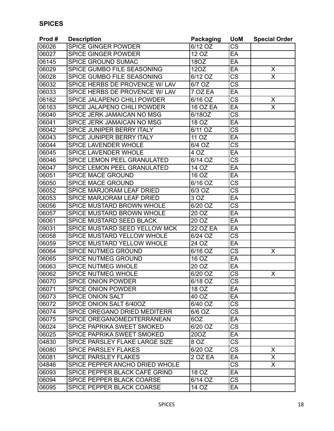| Prod# | <b>Description</b>                 | Packaging         | <b>UoM</b>             | <b>Special Order</b>    |
|-------|------------------------------------|-------------------|------------------------|-------------------------|
| 06026 | <b>SPICE GINGER POWDER</b>         | 6/12 OZ           | <b>CS</b>              |                         |
| 06027 | <b>SPICE GINGER POWDER</b>         | 12 OZ             | EA                     |                         |
| 06145 | SPICE GROUND SUMAC                 | 180Z              | EA                     |                         |
| 06029 | SPICE GUMBO FILE SEASONING         | 12OZ              | EA                     | X                       |
| 06028 | SPICE GUMBO FILE SEASONING         | 6/12 OZ           | $\overline{\text{cs}}$ | $\overline{\mathsf{x}}$ |
| 06032 | SPICE HERBS DE PROVENCE W/ LAV     | 6/7 OZ            | $\overline{\text{cs}}$ |                         |
| 06033 | SPICE HERBS DE PROVENCE W/ LAV     | 7 OZ EA           | EA                     |                         |
| 06162 | <b>SPICE JALAPENO CHILI POWDER</b> | $6/16$ OZ         | $\overline{\text{CS}}$ | X                       |
| 06163 | SPICE JALAPENO CHILI POWDER        | <b>16 OZ EA</b>   | EA                     | X                       |
| 06040 | SPICE JERK JAMAICAN NO MSG         | 6/18OZ            | <b>CS</b>              |                         |
| 06041 | SPICE JERK JAMAICAN NO MSG         | 18 OZ             | EA                     |                         |
| 06042 | SPICE JUNIPER BERRY ITALY          | 6/11 OZ           | $\overline{\text{cs}}$ |                         |
| 06043 | SPICE JUNIPER BERRY ITALY          | 11 OZ             | EA                     |                         |
| 06044 | <b>SPICE LAVENDER WHOLE</b>        | 6/4 OZ            | $\overline{\text{CS}}$ |                         |
| 06045 | <b>SPICE LAVENDER WHOLE</b>        | $\overline{4 OZ}$ | EA                     |                         |
| 06046 | SPICE LEMON PEEL GRANULATED        | 6/14 OZ           | $\overline{\text{CS}}$ |                         |
| 06047 | SPICE LEMON PEEL GRANULATED        | 14 OZ             | EA                     |                         |
| 06051 | <b>SPICE MACE GROUND</b>           | 16 OZ             | EA                     |                         |
| 06050 | <b>SPICE MACE GROUND</b>           | 6/16 OZ           | $\overline{\text{cs}}$ |                         |
| 06052 | SPICE MARJORAM LEAF DRIED          | 6/3 OZ            | <b>CS</b>              |                         |
| 06053 | SPICE MARJORAM LEAF DRIED          | 3 OZ              | EA                     |                         |
| 06056 | SPICE MUSTARD BROWN WHOLE          | 6/20 OZ           | $\overline{\text{CS}}$ |                         |
| 06057 | SPICE MUSTARD BROWN WHOLE          | 20 OZ             | EA                     |                         |
| 06061 | <b>SPICE MUSTARD SEED BLACK</b>    | 20 OZ             | EA                     |                         |
| 09031 | SPICE MUSTARD SEED YELLOW MCK      | <b>22 OZ EA</b>   | EA                     |                         |
| 06058 | SPICE MUSTARD YELLOW WHOLE         | 6/24 OZ           | <b>CS</b>              |                         |
| 06059 | SPICE MUSTARD YELLOW WHOLE         | 24 OZ             | EA                     |                         |
| 06064 | SPICE NUTMEG GROUND                | 6/16 OZ           | $\overline{\text{cs}}$ | X                       |
| 06065 | <b>SPICE NUTMEG GROUND</b>         | 16 OZ             | EA                     |                         |
| 06063 | <b>SPICE NUTMEG WHOLE</b>          | 20 OZ             | EA                     |                         |
| 06062 | <b>SPICE NUTMEG WHOLE</b>          | 6/20 OZ           | $\overline{\text{cs}}$ | X                       |
| 06070 | <b>SPICE ONION POWDER</b>          | $6/18$ OZ         | $\overline{\text{cs}}$ |                         |
| 06071 | <b>SPICE ONION POWDER</b>          | 18 OZ             | EA                     |                         |
| 06073 | <b>SPICE ONION SALT</b>            | 40 OZ             | EA                     |                         |
| 06072 | SPICE ONION SALT 6/40OZ            | 6/40 OZ           | <b>CS</b>              |                         |
| 06074 | SPICE OREGANO DRIED MEDITERR       | 6/6 OZ            | <b>CS</b>              |                         |
| 06075 | SPICE OREGANOMEDITERRANEAN         | 6OZ               | EA                     |                         |
| 06024 | SPICE PAPRIKA SWEET SMOKED         | 6/20 OZ           | <b>CS</b>              |                         |
| 06025 | SPICE PAPRIKA SWEET SMOKED         | 20OZ              | EA                     |                         |
| 04830 | SPICE PARSLEY FLAKE LARGE SIZE     | 8 OZ              | $\overline{\text{CS}}$ |                         |
| 06080 | <b>SPICE PARSLEY FLAKES</b>        | 6/20 OZ           | <b>CS</b>              | X                       |
| 06081 | <b>SPICE PARSLEY FLAKES</b>        | 2 OZ EA           | EA                     | X                       |
| 04846 | SPICE PEPPER ANCHO DRIED WHOLE     |                   | $\overline{\text{CS}}$ | X.                      |
| 06093 | SPICE PEPPER BLACK CAFÉ GRIND      | 18 OZ             | EA                     |                         |
| 06094 | SPICE PEPPER BLACK COARSE          | 6/14 OZ           | <b>CS</b>              |                         |
| 06095 | SPICE PEPPER BLACK COARSE          | 14 OZ             | EA                     |                         |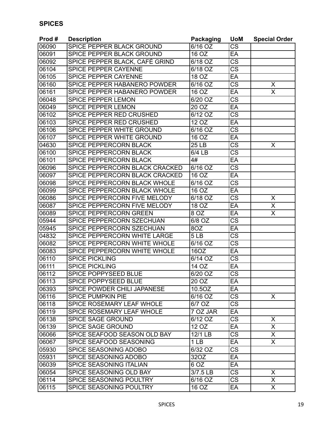| Prod#              | <b>Description</b>             | <b>Packaging</b>     | <b>UoM</b>             | <b>Special Order</b>    |
|--------------------|--------------------------------|----------------------|------------------------|-------------------------|
| 06090              | SPICE PEPPER BLACK GROUND      | 6/16 OZ              | <b>CS</b>              |                         |
| 06091              | SPICE PEPPER BLACK GROUND      | 16 OZ                | EA                     |                         |
| 06092              | SPICE PEPPER BLACK, CAFÉ GRIND | $\overline{6}/18$ OZ | $\overline{\text{CS}}$ |                         |
| 06104              | <b>SPICE PEPPER CAYENNE</b>    | 6/18 OZ              | <b>CS</b>              |                         |
| 06105              | SPICE PEPPER CAYENNE           | 18 OZ                | EA                     |                         |
| 06160              | SPICE PEPPER HABANERO POWDER   | 6/16 OZ              | $\overline{\text{cs}}$ | X                       |
| 06161              | SPICE PEPPER HABANERO POWDER   | 16 OZ                | EA                     | $\overline{\mathsf{x}}$ |
| 06048              | <b>SPICE PEPPER LEMON</b>      | 6/20 OZ              | $\overline{\text{CS}}$ |                         |
| 06049              | <b>SPICE PEPPER LEMON</b>      | 20 OZ                | EA                     |                         |
| 06102              | SPICE PEPPER RED CRUSHED       | 6/12 OZ              | <b>CS</b>              |                         |
| 06103              | SPICE PEPPER RED CRUSHED       | 12 OZ                | EA                     |                         |
| 06106              | SPICE PEPPER WHITE GROUND      | 6/16 OZ              | $\overline{\text{cs}}$ |                         |
| 06107              | SPICE PEPPER WHITE GROUND      | 16 OZ                | EA                     |                         |
| 04630              | SPICE PEPPERCORN BLACK         | <b>25 LB</b>         | $\overline{\text{CS}}$ | X                       |
| 06100              | SPICE PEPPERCORN BLACK         | $6/4$ LB             | $\overline{\text{cs}}$ |                         |
| 06101              | SPICE PEPPERCORN BLACK         | 4#                   | EA                     |                         |
| 06096              | SPICE PEPPERCORN BLACK CRACKED | 6/16 OZ              | $\overline{\text{cs}}$ |                         |
| 06097              | SPICE PEPPERCORN BLACK CRACKED | 16 OZ                | EA                     |                         |
| 06098              | SPICE PEPPERCORN BLACK WHOLE   | 6/16 OZ              | $\overline{\text{cs}}$ |                         |
| 06099              | SPICE PEPPERCORN BLACK WHOLE   | 16 OZ                | EA                     |                         |
| 06086              | SPICE PEPPERCORN FIVE MELODY   | 6/18 OZ              | $\overline{\text{CS}}$ | X                       |
| 06087              | SPICE PEPPERCORN FIVE MELODY   | 18 OZ                | EA                     | $\overline{\mathsf{X}}$ |
| 06089              | SPICE PEPPERCORN GREEN         | 8 OZ                 | EA                     | $\overline{\mathsf{X}}$ |
| 05944              | SPICE PEPPERCORN SZECHUAN      | 6/8 OZ               | $\overline{\text{CS}}$ |                         |
| 05945              | SPICE PEPPERCORN SZECHUAN      | 8OZ                  | EA                     |                         |
| 04832              | SPICE PEPPERCORN WHITE LARGE   | 5LB                  | CS                     |                         |
| 06082              | SPICE PEPPERCORN WHITE WHOLE   | $\overline{6/16}$ OZ | <b>CS</b>              |                         |
| 06083              | SPICE PEPPERCORN WHITE WHOLE   | 16OZ                 | EA                     |                         |
| 06110              | <b>SPICE PICKLING</b>          | 6/14 OZ              | <b>CS</b>              |                         |
| 06111              | <b>SPICE PICKLING</b>          | $\overline{14}$ OZ   | EA                     |                         |
| 06112              | <b>SPICE POPPYSEED BLUE</b>    | 6/20 OZ              | $\overline{\text{cs}}$ |                         |
| 06113              | <b>SPICE POPPYSEED BLUE</b>    | 20OZ                 | EA                     |                         |
| 06393              | SPICE POWDER CHILI JAPANESE    | 10.5OZ               | EA                     |                         |
| 06116              | <b>SPICE PUMPKIN PIE</b>       | 6/16 OZ              | $\overline{\text{CS}}$ | X.                      |
| 06118              | SPICE ROSEMARY LEAF WHOLE      | 6/7 OZ               | <b>CS</b>              |                         |
| 06119              | SPICE ROSEMARY LEAF WHOLE      | 7 OZ JAR             | EA                     |                         |
| 06138              | <b>SPICE SAGE GROUND</b>       | 6/12 OZ              | $\overline{\text{CS}}$ | X                       |
| 06139              | <b>SPICE SAGE GROUND</b>       | 12 OZ                | EA                     | X.                      |
| 06066              | SPICE SEAFOOD SEASON OLD BAY   | 12/1 LB              | <b>CS</b>              | X                       |
| 06067              | SPICE SEAFOOD SEASONING        | 1 <sub>LB</sub>      | EA                     | $\overline{X}$          |
| 05930              | SPICE SEASONING ADOBO          | 6/32 OZ              | <b>CS</b>              |                         |
| 05931              | SPICE SEASONING ADOBO          | 32OZ                 | EA                     |                         |
| 06039              | SPICE SEASONING ITALIAN        | 6 OZ                 | EA                     |                         |
| 06054              | SPICE SEASONING OLD BAY        | 3/7.5 LB             | <b>CS</b>              | X.                      |
| 06114              | SPICE SEASONING POULTRY        | 6/16 OZ              | <b>CS</b>              | X                       |
| $\overline{06115}$ | SPICE SEASONING POULTRY        | 16 OZ                | EA                     | $\mathsf{X}$            |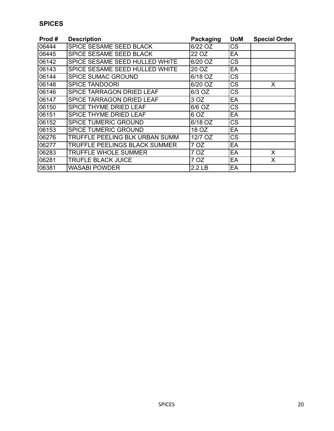| Prod# | <b>Description</b>               | Packaging         | <b>UoM</b> | <b>Special Order</b> |
|-------|----------------------------------|-------------------|------------|----------------------|
| 06444 | SPICE SESAME SEED BLACK          | 6/22 OZ           | <b>CS</b>  |                      |
| 06445 | SPICE SESAME SEED BLACK          | 22 OZ             | EA         |                      |
| 06142 | SPICE SESAME SEED HULLED WHITE   | 6/20 OZ           | <b>CS</b>  |                      |
| 06143 | SPICE SESAME SEED HULLED WHITE   | 20 OZ             | EA         |                      |
| 06144 | <b>SPICE SUMAC GROUND</b>        | 6/18 OZ           | <b>CS</b>  |                      |
| 06148 | <b>SPICE TANDOORI</b>            | 6/20 OZ           | <b>CS</b>  | X                    |
| 06146 | SPICE TARRAGON DRIED LEAF        | 6/3 OZ            | <b>CS</b>  |                      |
| 06147 | <b>SPICE TARRAGON DRIED LEAF</b> | 3 OZ              | EA         |                      |
| 06150 | SPICE THYME DRIED LEAF           | 6/6 OZ            | <b>CS</b>  |                      |
| 06151 | <b>SPICE THYME DRIED LEAF</b>    | 6 OZ              | EA         |                      |
| 06152 | <b>SPICE TUMERIC GROUND</b>      | 6/18 OZ           | <b>CS</b>  |                      |
| 06153 | <b>SPICE TUMERIC GROUND</b>      | 18 OZ             | EA         |                      |
| 06276 | TRUFFLE PEELING BLK URBAN SUMM   | 12/7 OZ           | <b>CS</b>  |                      |
| 06277 | TRUFFLE PEELINGS BLACK SUMMER    | 7 OZ              | EA         |                      |
| 06283 | <b>TRUFFLE WHOLE SUMMER</b>      | 7 OZ              | EA         | X                    |
| 06281 | <b>TRUFLE BLACK JUICE</b>        | 7 OZ              | EA         | X                    |
| 06381 | WASABI POWDER                    | 2.2 <sub>LB</sub> | EA         |                      |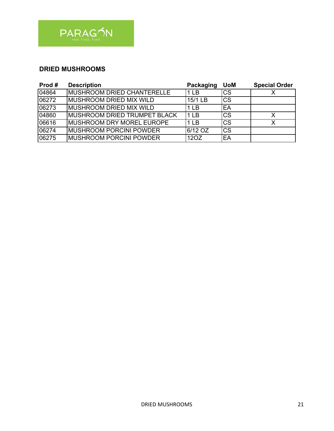

#### **DRIED MUSHROOMS**

| Prod# | <b>Description</b>                  | Packaging       | <b>UoM</b> | <b>Special Order</b> |
|-------|-------------------------------------|-----------------|------------|----------------------|
| 04864 | MUSHROOM DRIED CHANTERELLE          | 1 LB            | <b>CS</b>  |                      |
| 06272 | <b>MUSHROOM DRIED MIX WILD</b>      | 15/1 LB         | lcs        |                      |
| 06273 | MUSHROOM DRIED MIX WILD             | 1 LB            | lEA        |                      |
| 04860 | <b>MUSHROOM DRIED TRUMPET BLACK</b> | 1 <sub>LB</sub> | <b>CS</b>  | X                    |
| 06616 | <b>MUSHROOM DRY MOREL EUROPE</b>    | 1 LB            | <b>CS</b>  |                      |
| 06274 | <b>MUSHROOM PORCINI POWDER</b>      | 6/12 OZ         | <b>ICS</b> |                      |
| 06275 | <b>MUSHROOM PORCINI POWDER</b>      | 12OZ            | 'EA        |                      |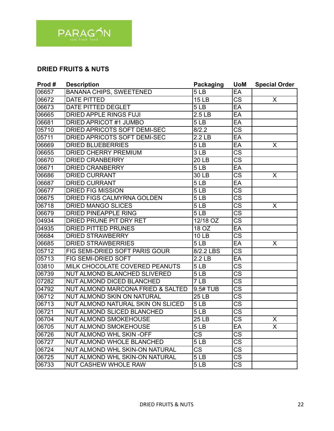

#### **DRIED FRUITS & NUTS**

| Prod# | <b>Description</b>                | <b>Packaging</b>       | <b>UoM</b>             | <b>Special Order</b> |
|-------|-----------------------------------|------------------------|------------------------|----------------------|
| 06657 | <b>BANANA CHIPS, SWEETENED</b>    | 5 <sub>LB</sub>        | EA                     |                      |
| 06672 | <b>DATE PITTED</b>                | 15 <sub>LB</sub>       | $\overline{\text{CS}}$ | X                    |
| 06673 | DATE PITTED DEGLET                | 5LB                    | EA                     |                      |
| 06665 | <b>DRIED APPLE RINGS FUJI</b>     | 2.5 <sub>LB</sub>      | EA                     |                      |
| 06681 | <b>DRIED APRICOT #1 JUMBO</b>     | 5LB                    | EA                     |                      |
| 05710 | DRIED APRICOTS SOFT DEMI-SEC      | 8/2.2                  | <b>CS</b>              |                      |
| 05711 | DRIED APRICOTS SOFT DEMI-SEC      | 2.2 <sub>LB</sub>      | EA                     |                      |
| 06669 | <b>DRIED BLUEBERRIES</b>          | $\overline{5}$ LB      | EA                     | X                    |
| 06655 | <b>DRIED CHERRY PREMIUM</b>       | 3LB                    | $\overline{\text{CS}}$ |                      |
| 06670 | <b>DRIED CRANBERRY</b>            | 20 LB                  | <b>CS</b>              |                      |
| 06671 | <b>DRIED CRANBERRY</b>            | 5LB                    | EA                     |                      |
| 06686 | <b>DRIED CURRANT</b>              | 30 LB                  | <b>CS</b>              | X                    |
| 06687 | <b>DRIED CURRANT</b>              | 5LB                    | EA                     |                      |
| 06677 | <b>DRIED FIG MISSION</b>          | 5 <sub>LB</sub>        | $\overline{\text{CS}}$ |                      |
| 06675 | DRIED FIGS CALMYRNA GOLDEN        | 5LB                    | $\overline{\text{cs}}$ |                      |
| 06718 | <b>DRIED MANGO SLICES</b>         | 5LB                    | <b>CS</b>              | X                    |
| 06679 | <b>DRIED PINEAPPLE RING</b>       | 5LB                    | $\overline{\text{CS}}$ |                      |
| 04934 | <b>DRIED PRUNE PIT DRY RET</b>    | 12/18 OZ               | $\overline{\text{cs}}$ |                      |
| 04935 | <b>DRIED PITTED PRUNES</b>        | 18 OZ                  | EA                     |                      |
| 06684 | <b>DRIED STRAWBERRY</b>           | <b>10 LB</b>           | $\overline{\text{CS}}$ |                      |
| 06685 | <b>DRIED STRAWBERRIES</b>         | 5LB                    | EA                     | X                    |
| 05712 | FIG SEMI-DRIED SOFT PARIS GOUR    | 8/2.2 LBS              | CS                     |                      |
| 05713 | FIG SEMI-DRIED SOFT               | 2.2 <sub>LB</sub>      | EA                     |                      |
| 03810 | MILK CHOCOLATE COVERED PEANUTS    | 5LB                    | $\overline{\text{cs}}$ |                      |
| 06739 | NUT ALMOND BLANCHED SLIVERED      | 5LB                    | $\overline{\text{CS}}$ |                      |
| 07282 | NUT ALMOND DICED BLANCHED         | 7LB                    | $\overline{\text{CS}}$ |                      |
| 04792 | NUT ALMOND MARCONA FRIED & SALTED | 9.5# TUB               | $\overline{\text{CS}}$ |                      |
| 06712 | NUT ALMOND SKIN ON NATURAL        | <b>25 LB</b>           | CS                     |                      |
| 06713 | NUT ALMOND NATURAL SKIN ON SLICED | 5LB                    | $\overline{\text{CS}}$ |                      |
| 06721 | NUT ALMOND SLICED BLANCHED        | $\overline{5}$ LB      | $\overline{\text{CS}}$ |                      |
| 06704 | <b>NUT ALMOND SMOKEHOUSE</b>      | 25 LB                  | CS                     | X                    |
| 06705 | NUT ALMOND SMOKEHOUSE             | 5 LB                   | EA                     | X.                   |
| 06726 | NUT ALMOND WHL SKIN -OFF          | $\overline{\text{CS}}$ | $\overline{\text{CS}}$ |                      |
| 06727 | NUT ALMOND WHOLE BLANCHED         | 5 <sub>LB</sub>        | $\overline{\text{CS}}$ |                      |
| 06724 | NUT ALMOND WHL SKIN-ON NATURAL    | CS                     | CS                     |                      |
| 06725 | NUT ALMOND WHL SKIN-ON NATURAL    | 5LB                    | $\overline{\text{CS}}$ |                      |
| 06733 | <b>NUT CASHEW WHOLE RAW</b>       | 5LB                    | CS                     |                      |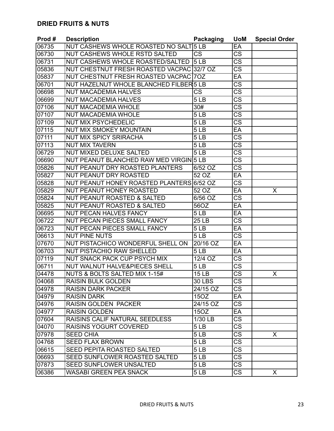| Prod# | <b>Description</b>                        | <b>Packaging</b>       | <b>UoM</b>             | <b>Special Order</b> |
|-------|-------------------------------------------|------------------------|------------------------|----------------------|
| 06735 | NUT CASHEWS WHOLE ROASTED NO SALT 5 LB    |                        | EA                     |                      |
| 06730 | NUT CASHEWS WHOLE RSTD SALTED             | <b>CS</b>              | <b>CS</b>              |                      |
| 06731 | NUT CASHEWS WHOLE ROASTED/SALTED          | 15 <sub>LB</sub>       | $\overline{\text{CS}}$ |                      |
| 05836 | NUT CHESTNUT FRESH ROASTED VACPAC 32/7 OZ |                        | CS                     |                      |
| 05837 | NUT CHESTNUT FRESH ROASTED VACPAC 70Z     |                        | EA                     |                      |
| 06701 | NUT HAZELNUT WHOLE BLANCHED FILBER 5 LB   |                        | $\overline{\text{CS}}$ |                      |
| 06698 | <b>NUT MACADEMIA HALVES</b>               | $\overline{\text{CS}}$ | $\overline{\text{CS}}$ |                      |
| 06699 | <b>NUT MACADEMIA HALVES</b>               | 5 <sub>LB</sub>        | CS                     |                      |
| 07106 | <b>NUT MACADEMIA WHOLE</b>                | $\overline{30#}$       | CS                     |                      |
| 07107 | <b>NUT MACADEMIA WHOLE</b>                | 5 <sub>LB</sub>        | $\overline{\text{cs}}$ |                      |
| 07109 | <b>NUT MIX PSYCHEDELIC</b>                | 5LB                    | CS                     |                      |
| 07115 | <b>NUT MIX SMOKEY MOUNTAIN</b>            | 5 <sub>LB</sub>        | EA                     |                      |
| 07111 | <b>NUT MIX SPICY SRIRACHA</b>             | 5 <sub>LB</sub>        | <b>CS</b>              |                      |
| 07113 | <b>NUT MIX TAVERN</b>                     | 5 <sub>LB</sub>        | $\overline{\text{CS}}$ |                      |
| 06729 | NUT MIXED DELUXE SALTED                   | 5 <sub>LB</sub>        | $\overline{\text{CS}}$ |                      |
| 06690 | NUT PEANUT BLANCHED RAW MED VIRGIN 5 LB   |                        | CS                     |                      |
| 05826 | NUT PEANUT DRY ROASTED PLANTERS           | 6/52 OZ                | $\overline{\text{cs}}$ |                      |
| 05827 | <b>NUT PEANUT DRY ROASTED</b>             | 52 OZ                  | EA                     |                      |
| 05828 | NUT PEANUT HONEY ROASTED PLANTERS 6/52 OZ |                        | <b>CS</b>              |                      |
| 05829 | <b>NUT PEANUT HONEY ROASTED</b>           | 52 OZ                  | EA                     | X                    |
| 05824 | NUT PEANUT ROASTED & SALTED               | 6/56 OZ                | $\overline{\text{cs}}$ |                      |
| 05825 | NUT PEANUT ROASTED & SALTED               | 56OZ                   | EA                     |                      |
| 06695 | <b>NUT PECAN HALVES FANCY</b>             | 5LB                    | EA                     |                      |
| 06722 | <b>NUT PECAN PIECES SMALL FANCY</b>       | <b>25 LB</b>           | $\overline{\text{CS}}$ |                      |
| 06723 | NUT PECAN PIECES SMALL FANCY              | 5 <sub>LB</sub>        | EA                     |                      |
| 06613 | <b>NUT PINE NUTS</b>                      | 5LB                    | $\overline{\text{CS}}$ |                      |
| 07670 | NUT PISTACHICO WONDERFUL SHELL ON         | 20/16 OZ               | EA                     |                      |
| 06703 | <b>NUT PISTACHIO RAW SHELLED</b>          | 5LB                    | <b>EA</b>              |                      |
| 07119 | NUT SNACK PACK CUP PSYCH MIX              | 12/4 OZ                | <b>CS</b>              |                      |
| 06711 | NUT WALNUT HALVE&PIECES SHELL             | 5 <sub>LB</sub>        | <b>CS</b>              |                      |
| 04478 | NUTS & BOLTS SALTED MIX 1-15#             | <b>15 LB</b>           | $\overline{\text{CS}}$ | X                    |
| 04068 | <b>RAISIN BULK GOLDEN</b>                 | 30 LBS                 | CS                     |                      |
| 04978 | <b>RAISIN DARK PACKER</b>                 | 24/15 OZ               | CS                     |                      |
| 04979 | <b>RAISIN DARK</b>                        | 15OZ                   | EA                     |                      |
| 04976 | <b>RAISIN GOLDEN PACKER</b>               | 24/15 OZ               | CS                     |                      |
| 04977 | <b>RAISIN GOLDEN</b>                      | 15OZ                   | EA                     |                      |
| 07604 | RAISINS CALIF NATURAL SEEDLESS            | 1/30 LB                | <b>CS</b>              |                      |
| 04070 | <b>RAISINS YOGURT COVERED</b>             | 5 LB                   | CS                     |                      |
| 07978 | <b>SEED CHIA</b>                          | 5LB                    | <b>CS</b>              | $\sf X$              |
| 04768 | <b>SEED FLAX BROWN</b>                    | 5LB                    | $\overline{\text{CS}}$ |                      |
| 06615 | <b>SEED PEPITA ROASTED SALTED</b>         | 5LB                    | CS                     |                      |
| 06693 | SEED SUNFLOWER ROASTED SALTED             | 5 <sub>LB</sub>        | CS                     |                      |
| 07873 | <b>SEED SUNFLOWER UNSALTED</b>            | 5LB                    | CS                     |                      |
| 06386 | <b>WASABI GREEN PEA SNACK</b>             | 5LB                    | <b>CS</b>              | X                    |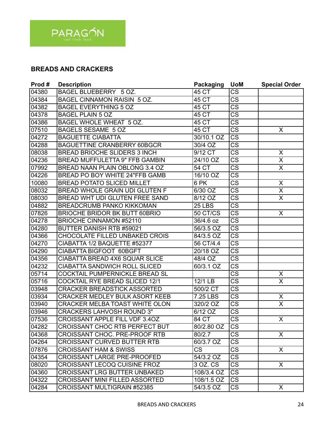

# **BREADS AND CRACKERS**

| Prod# | <b>Description</b>                    | <b>Packaging</b> | <b>UoM</b>             | <b>Special Order</b>    |
|-------|---------------------------------------|------------------|------------------------|-------------------------|
| 04380 | BAGEL BLUEBERRY 5 OZ.                 | 45 CT            | $\overline{\text{CS}}$ |                         |
| 04384 | BAGEL CINNAMON RAISIN 5 OZ.           | 45 CT            | $\overline{\text{CS}}$ |                         |
| 04382 | <b>BAGEL EVERYTHING 5 OZ</b>          | 45 CT            | $\overline{\text{CS}}$ |                         |
| 04378 | <b>BAGEL PLAIN 5 OZ</b>               | 45 CT            | $\overline{\text{CS}}$ |                         |
| 04386 | BAGEL WHOLE WHEAT 5 OZ.               | 45 CT            | $\overline{\text{CS}}$ |                         |
| 07510 | BAGELS SESAME 5 OZ                    | 45 CT            | $\overline{\text{CS}}$ | X                       |
| 04272 | <b>BAGUETTE CIABATTA</b>              | 30/10.1 OZ       | <b>CS</b>              |                         |
| 04288 | <b>BAGUETTINE CRANBERRY 60BGCR</b>    | $30/4$ OZ        | $\overline{\text{CS}}$ |                         |
| 08038 | <b>BREAD BRIOCHE SLIDERS 3 INCH</b>   | $9/12$ CT        | $\overline{\text{CS}}$ | X                       |
| 04236 | BREAD MUFFULETTA 9" FFB GAMBIN        | 24/10 OZ         | <b>CS</b>              | $\overline{\mathsf{x}}$ |
| 07992 | BREAD NAAN PLAIN OBLONG 3.4 OZ        | 54 CT            | $\overline{\text{cs}}$ | $\overline{\mathsf{x}}$ |
| 04226 | <b>BREAD PO BOY WHITE 24"FFB GAMB</b> | 16/10 OZ         | <b>CS</b>              |                         |
| 10080 | <b>BREAD POTATO SLICED MILLET</b>     | 6 PK             | <b>CS</b>              | X                       |
| 08032 | <b>BREAD WHOLE GRAIN UDI GLUTEN F</b> | 6/30 OZ          | $\overline{\text{CS}}$ | X                       |
| 08030 | BREAD WHT UDI GLUTEN FREE SAND        | 8/12 OZ          | $\overline{\text{CS}}$ | $\overline{\mathsf{x}}$ |
| 04882 | <b>BREADCRUMB PANKO KIKKOMAN</b>      | <b>25 LBS</b>    | $\overline{\text{CS}}$ |                         |
| 07826 | <b>BRIOCHE BRIDOR BK BUTT 60BRIO</b>  | 50 CT/CS         | $\overline{\text{CS}}$ | $\overline{\mathsf{X}}$ |
| 04278 | <b>BRIOCHE CINNAMON #52110</b>        | 36/4.6 oz        | $\overline{\text{CS}}$ |                         |
| 04280 | <b>BUTTER DANISH RTB #59021</b>       | 56/3.5 OZ        | <b>CS</b>              |                         |
| 04366 | CHOCOLATE FILLED UNBAKED CROIS        | 84/3.5 OZ        | $\overline{\text{CS}}$ |                         |
| 04270 | CIABATTA 1/2 BAQUETTE #52377          | 56 CT/4.4        | $\overline{\text{CS}}$ |                         |
| 04290 | CIABATTA BIGFOOT 60BGFT               | 20/18 OZ         | $\overline{\text{CS}}$ |                         |
| 04356 | CIABATTA BREAD 4X6 SQUAR SLICE        | 48/4 OZ          | $\overline{\text{CS}}$ |                         |
| 04232 | <b>CIABATTA SANDWICH ROLL SLICED</b>  | 60/3.1 OZ        | $\overline{\text{CS}}$ |                         |
| 05714 | COCKTAIL PUMPERNICKLE BREAD SL        |                  | CS                     | X                       |
| 05716 | <b>COCKTAIL RYE BREAD SLICED 12/1</b> | 12/1 LB          | $\overline{\text{CS}}$ | $\overline{\mathsf{x}}$ |
| 03948 | CRACKER BREADSTICK ASSORTED           | 500/2 CT         | $\overline{\text{CS}}$ |                         |
| 03934 | <b>CRACKER MEDLEY BULK ASORT KEEB</b> | 7.25 LBS         | <b>CS</b>              | X                       |
| 03940 | <b>CRACKER MELBA TOAST WHITE OLON</b> | 320/2 OZ         | $\overline{\text{CS}}$ | $\overline{\sf x}$      |
| 03946 | <b>CRACKERS LAHVOSH ROUND 3"</b>      | $6/12$ OZ        | $\overline{\text{CS}}$ |                         |
| 07536 | <b>CROISSANT APPLE FILL VDF 3.40Z</b> | 84 CT            | $\overline{\text{CS}}$ | X                       |
| 04282 | <b>CROISSANT CHOC RTB PERFECT BUT</b> | 80/2.80 OZ       | CS                     |                         |
| 04368 | <b>CROISSANT CHOC. PRE-PROOF RTB</b>  | 80/2.7           | <b>CS</b>              | X                       |
| 04264 | <b>CROISSANT CURVED BUTTER RTB</b>    | 60/3.7 OZ        | CS                     |                         |
| 07876 | <b>CROISSANT HAM &amp; SWISS</b>      | CS               | CS                     | X                       |
| 04354 | <b>CROISSANT LARGE PRE-PROOFED</b>    | 54/3.2 OZ        | $\overline{\text{CS}}$ |                         |
| 08020 | CROISSANT LECOQ CUISINE FROZ          | 3 OZ. CS         | <b>CS</b>              | X                       |
| 04360 | CROISSANT LRG BUTTER UNBAKED          | 108/3.4 OZ       | <b>CS</b>              |                         |
| 04322 | CROISSANT MINI FILLED ASSORTED        | 108/1.5 OZ       | <b>CS</b>              |                         |
| 04284 | <b>CROISSANT MULTIGRAIN #52385</b>    | 54/3.5 OZ        | <b>CS</b>              | X                       |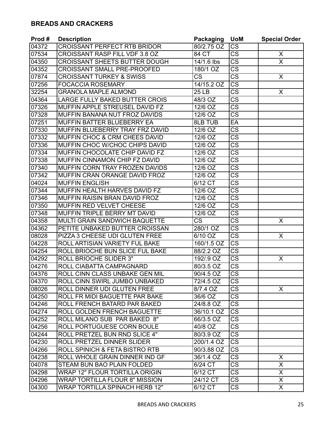#### **BREADS AND CRACKERS**

| Prod # | <b>Description</b>                    | Packaging              | <b>UoM</b>             | <b>Special Order</b> |
|--------|---------------------------------------|------------------------|------------------------|----------------------|
| 04372  | <b>CROISSANT PERFECT RTB BRIDOR</b>   | 80/2.75 OZ             | <b>CS</b>              |                      |
| 07534  | CROISSANT RASP FILL VDF 3.8 OZ        | 84 CT                  | $\overline{\text{CS}}$ | X                    |
| 04350  | <b>CROISSANT SHEETS BUTTER DOUGH</b>  | 14/1.6 lbs             | CS                     | X                    |
| 04352  | <b>CROISSANT SMALL PRE-PROOFED</b>    | 180/1 OZ               | $\overline{\text{CS}}$ |                      |
| 07874  | <b>CROISSANT TURKEY &amp; SWISS</b>   | $\overline{\text{CS}}$ | $\overline{\text{CS}}$ | X                    |
| 07256  | <b>FOCACCIA ROSEMARY</b>              | 14/15.2 OZ             | $\overline{\text{CS}}$ |                      |
| 32254  | <b>GRANOLA MAPLE ALMOND</b>           | 25 <sub>LB</sub>       | $\overline{\text{CS}}$ | X                    |
| 04364  | LARGE FULLY BAKED BUTTER CROIS        | 48/3 OZ                | $\overline{\text{CS}}$ |                      |
| 07326  | MUFFIN APPLE STREUSEL DAVID FZ        | 12/6 OZ                | $\overline{\text{CS}}$ |                      |
| 07328  | MUFFIN BANANA NUT FROZ DAVIDS         | 12/6 OZ                | <b>CS</b>              |                      |
| 07251  | MUFFIN BATTER BLUEBERRY EA            | <b>8LB TUB</b>         | EA                     |                      |
| 07330  | MUFFIN BLUEBERRY TRAY FRZ DAVID       | 12/6 OZ                | <b>CS</b>              |                      |
| 07332  | MUFFIN CHOC & CRM CHEES DAVID         | 12/6 OZ                | <b>CS</b>              |                      |
| 07336  | MUFFIN CHOC W/CHOC CHIPS DAVID        | 12/6 OZ                | <b>CS</b>              |                      |
| 07334  | MUFFIN CHOCOLATE CHIP DAVID FZ        | 12/6 OZ                | $\overline{\text{cs}}$ |                      |
| 07338  | MUFFIN CINNAMON CHIP FZ DAVID         | 12/6 OZ                | $\overline{\text{CS}}$ |                      |
| 07340  | MUFFIN CORN TRAY FROZEN DAVIDS        | 12/6 OZ                | $\overline{\text{CS}}$ |                      |
| 07342  | MUFFIN CRAN ORANGE DAVID FROZ         | 12/6 OZ                | $\overline{\text{cs}}$ |                      |
| 04024  | <b>MUFFIN ENGLISH</b>                 | 6/12 CT                | <b>CS</b>              |                      |
| 07344  | MUFFIN HEALTH HARVES DAVID FZ         | 12/6 OZ                | $\overline{\text{CS}}$ |                      |
| 07346  | MUFFIN RAISIN BRAN DAVID FROZ         | 12/6 OZ                | $\overline{\text{CS}}$ |                      |
| 07350  | MUFFIN RED VELVET CHEESE              | $12/6$ OZ              | $\overline{\text{CS}}$ |                      |
| 07348  | MUFFIN TRIPLE BERRY MT DAVID          | 12/6 OZ                | $\overline{\text{CS}}$ |                      |
| 04358  | MULTI GRAIN SANDWICH BAQUETTE         | $\overline{\text{CS}}$ | $\overline{\text{CS}}$ | X                    |
| 04362  | PETITE UNBAKED BUTTER CROISSAN        | 280/1 OZ               | <b>CS</b>              |                      |
| 08028  | PIZZA 3 CHEESE UDI GLUTEN FREE        | 6/10 OZ                | $\overline{\text{CS}}$ | X                    |
| 04228  | ROLL ARTISIAN VARIETY FUL BAKE        | 160/1.5 OZ             | $\overline{\text{cs}}$ |                      |
| 04254  | ROLL BRIOCHE BUN SLICE FUL BAKE       | 88/2.2 OZ              | <b>CS</b>              |                      |
| 04292  | <b>ROLL BRIOCHE SLIDER 3"</b>         | 192/.9 OZ              | $\overline{\text{CS}}$ | X                    |
| 04276  | ROLL CIABATTA CAMPAGNARD              | 80/3.5 OZ              | $\overline{\text{CS}}$ |                      |
| 04376  | ROLL CINN CLASS UNBAKE GEN MIL        | 90/4.5 OZ              | $\overline{\text{CS}}$ |                      |
| 04370  | ROLL CINN SWIRL JUMBO UNBAKED         | 72/4.5 OZ              | <b>CS</b>              |                      |
| 08026  | ROLL DINNER UDI GLUTEN FREE           | 8/7.4 OZ               | <b>CS</b>              | X                    |
| 04250  | ROLL FR MIDI BAGUETTE PAR BAKE        | 36/6 OZ                | <b>CS</b>              |                      |
| 04246  | ROLL FRENCH BATARD PAR BAKED          | 24/8.8 OZ              | <b>CS</b>              |                      |
| 04274  | ROLL GOLDEN FRENCH BAGUETTE           | 36/10.1 OZ             | $\overline{\text{CS}}$ |                      |
| 04252  | ROLL MILANO SUB PAR BAKED 8"          | 66/3.5 OZ              | <b>CS</b>              |                      |
| 04256  | ROLL PORTUGUESE CORN BOULE            | 40/8 OZ                | <b>CS</b>              |                      |
| 04244  | ROLL PRETZEL BUN RND SLICE 4"         | 80/3.9 OZ              | <b>CS</b>              |                      |
| 04230  | ROLL PRETZEL DINNER SLIDER            | 200/1.4 OZ             | CS                     |                      |
| 04266  | ROLL SPINICH & FETA BISTRO RTB        | 90/3.88 OZ             | <b>CS</b>              |                      |
| 04238  | ROLL WHOLE GRAIN DINNER IND GF        | 36/1.4 OZ              | <b>CS</b>              | X                    |
| 04078  | STEAM BUN BAO PLAIN FOLDED            | 6/24 CT                | <b>CS</b>              | X                    |
| 04298  | <b>WRAP 12" FLOUR TORTILLA ORIGIN</b> | 6/12 CT                | CS                     | X                    |
| 04296  | <b>WRAP TORTILLA FLOUR 8" MISSION</b> | 24/12 CT               | CS                     | X                    |
| 04300  | <b>WRAP TORTILLA SPINACH HERB 12"</b> | 6/12 CT                | CS                     | X                    |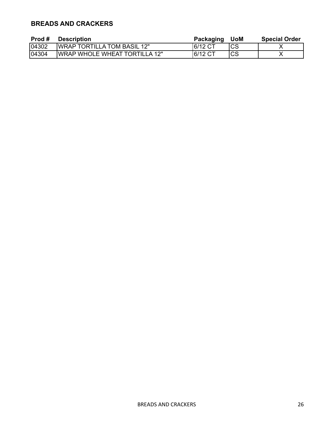# **BREADS AND CRACKERS**

| Prod # | <b>Description</b>                    | Packaging | <b>UoM</b> | <b>Special Order</b> |
|--------|---------------------------------------|-----------|------------|----------------------|
| 04302  | <b>IWRAP TORTILLA TOM BASIL 12"</b>   | 16/12 CT  | ICS        |                      |
| 04304  | <b>IWRAP WHOLE WHEAT TORTILLA 12"</b> | 16/12 CT  | lCS        |                      |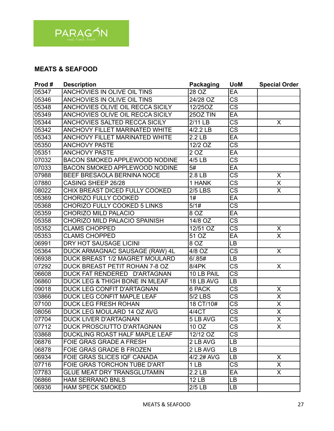

#### **MEATS & SEAFOOD**

| Prod# | <b>Description</b>                     | <b>Packaging</b>    | <b>UoM</b>             | <b>Special Order</b>    |
|-------|----------------------------------------|---------------------|------------------------|-------------------------|
| 05347 | ANCHOVIES IN OLIVE OIL TINS            | 28 OZ               | EA                     |                         |
| 05346 | ANCHOVIES IN OLIVE OIL TINS            | 24/28 OZ            | $\overline{\text{CS}}$ |                         |
| 05348 | ANCHOVIES OLIVE OIL RECCA SICILY       | 12/25OZ             | $\overline{\text{CS}}$ |                         |
| 05349 | ANCHOVIES OLIVE OIL RECCA SICILY       | $250Z$ TIN          | EA                     |                         |
| 05344 | ANCHOVIES SALTED RECCA SICILY          | 2/11 LB             | $\overline{\text{cs}}$ | X                       |
| 05342 | ANCHOVY FILLET MARINATED WHITE         | 4/2.2 LB            | $\overline{\text{CS}}$ |                         |
| 05343 | ANCHOVY FILLET MARINATED WHITE         | 2.2 <sub>LB</sub>   | EA                     |                         |
| 05350 | <b>ANCHOVY PASTE</b>                   | $12/2$ OZ           | $\overline{\text{cs}}$ |                         |
| 05351 | <b>ANCHOVY PASTE</b>                   | 2 OZ                | EA                     |                         |
| 07032 | <b>BACON SMOKED APPLEWOOD NODINE</b>   | 4/5 LB              | $\overline{\text{CS}}$ |                         |
| 07033 | <b>BACON SMOKED APPLEWOOD NODINE</b>   | 5#                  | EA                     |                         |
| 07988 | BEEF BRESAOLA BERNINA NOCE             | $2.8 \overline{LB}$ | <b>CS</b>              | X                       |
| 07880 | CASING SHEEP 26/28                     | 1 HANK              | $\overline{\text{CS}}$ | $\overline{\mathsf{x}}$ |
| 08022 | CHIX BREAST DICED FULLY COOKED         | <b>2/5 LBS</b>      | $\overline{\text{CS}}$ | X                       |
| 05369 | <b>CHORIZO FULLY COOKED</b>            | 1#                  | EA                     |                         |
| 05368 | CHORIZO FULLY COOKED 5 LINKS           | 5/1#                | $\overline{\text{CS}}$ |                         |
| 05359 | <b>CHORIZO MILD PALACIO</b>            | 8 OZ                | EA                     |                         |
| 05358 | CHORIZO MILD PALACIO SPAINISH          | 14/8 OZ             | $\overline{\text{cs}}$ |                         |
| 05352 | <b>CLAMS CHOPPED</b>                   | 12/51 OZ            | $\overline{\text{CS}}$ | X                       |
| 05353 | <b>CLAMS CHOPPED</b>                   | 51 OZ               | EA                     | X                       |
| 06991 | DRY HOT SAUSAGE LICINI                 | 8 OZ                | LB                     |                         |
| 05364 | DUCK ARMAGNAC SAUSAGE (RAW) 4L         | 4/8 OZ              | $\overline{\text{CS}}$ | $\pmb{\times}$          |
| 06938 | DUCK BREAST 1/2 MAGRET MOULARD         | 6/0.85#             | LB                     |                         |
| 07292 | DUCK BREAST PETIT ROHAN 7-8 OZ         | <b>8/4PK</b>        | $\overline{\text{CS}}$ | X                       |
| 06608 | <b>DUCK FAT RENDERED</b><br>D'ARTAGNAN | 10 LB PAIL          | $\overline{\text{CS}}$ |                         |
| 06860 | DUCK LEG & THIGH BONE IN MLEAF         | 18 LB AVG           | LB                     |                         |
| 09018 | DUCK LEG CONFIT D'ARTAGNAN             | 6 PACK              | $\overline{\text{CS}}$ | X                       |
| 03866 | DUCK LEG CONFIT MAPLE LEAF             | <b>5/2 LBS</b>      | CS                     | $\overline{\mathsf{X}}$ |
| 07100 | <b>DUCK LEG FRESH ROHAN</b>            | 18 CT/10#           | $\overline{\text{CS}}$ | $\overline{\sf x}$      |
| 08056 | DUCK LEG MOULARD 14 OZ AVG             | 4/4CT               | $\overline{\text{cs}}$ | $\overline{\mathsf{x}}$ |
| 07704 | <b>DUCK LIVER D'ARTAGNAN</b>           | 5 LB AVG            | $\overline{\text{CS}}$ | $\overline{\mathsf{x}}$ |
| 07712 | <b>DUCK PROSCIUTTO D'ARTAGNAN</b>      | 10 OZ               | CS                     | X.                      |
| 03868 | DUCKLING ROAST HALF MAPLE LEAF         | 12/12 OZ            | $\overline{\text{CS}}$ |                         |
| 06876 | <b>FOIE GRAS GRADE A FRESH</b>         | 2 LB AVG            | LB                     |                         |
| 06878 | FOIE GRAS GRADE B FROZEN               | 2 LB AVG            | LB                     |                         |
| 06934 | <b>FOIE GRAS SLICES IQF CANADA</b>     | 4/2.2# AVG          | LB                     | X                       |
| 07716 | FOIE GRAS TORCHON TUBE D'ART           | 1 LB                | <b>CS</b>              | X.                      |
| 07783 | <b>GLUE MEAT DRY TRANSGLUTAMIN</b>     | 2.2 <sub>LB</sub>   | EA                     | X.                      |
| 06866 | <b>HAM SERRANO BNLS</b>                | <b>12 LB</b>        | LB                     |                         |
| 06936 | <b>HAM SPECK SMOKED</b>                | 2/5 LB              | LB                     |                         |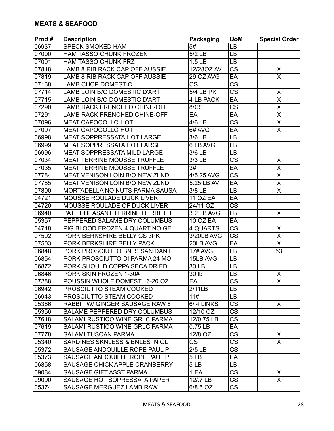| Prod# | <b>Description</b>                    | Packaging              | <b>UoM</b>             | <b>Special Order</b>    |
|-------|---------------------------------------|------------------------|------------------------|-------------------------|
| 06937 | <b>SPECK SMOKED HAM</b>               | 5#                     | LB                     |                         |
| 07000 | HAM TASSO CHUNK FROZEN                | 5/2 LB                 | LB                     |                         |
| 07001 | <b>HAM TASSO CHUNK FRZ</b>            | 1.5 <sub>LB</sub>      | LB                     |                         |
| 07818 | LAMB 8 RIB RACK CAP OFF AUSSIE        | 12/280Z AV             | <b>CS</b>              | X                       |
| 07819 | LAMB 8 RIB RACK CAP OFF AUSSIE        | 29 OZ AVG              | EA                     | $\overline{\mathsf{x}}$ |
| 07138 | <b>LAMB CHOP DOMESTIC</b>             | $\overline{\text{CS}}$ | $\overline{\text{cs}}$ |                         |
| 07714 | <b>LAMB LOIN B/O DOMESTIC D'ART</b>   | <b>5/4 LB PK</b>       | $\overline{\text{CS}}$ | X                       |
| 07715 | LAMB LOIN B/O DOMESTIC D'ART          | 4 LB PACK              | EA                     | $\pmb{\times}$          |
| 07290 | <b>LAMB RACK FRENCHED CHINE-OFF</b>   | 8/CS                   | $\overline{\text{CS}}$ | $\overline{\mathsf{x}}$ |
| 07291 | <b>LAMB RACK FRENCHED CHINE-OFF</b>   | EA                     | EA                     | $\overline{\mathsf{X}}$ |
| 07096 | <b>MEAT CAPOCOLLO HOT</b>             | 4/6 LB                 | $\overline{\text{CS}}$ | $\overline{\mathsf{x}}$ |
| 07097 | <b>MEAT CAPOCOLLO HOT</b>             | 6# AVG                 | EA                     | $\overline{\mathsf{x}}$ |
| 06998 | <b>MEAT SOPPRESSATA HOT LARGE</b>     | 3/6 LB                 | LB                     |                         |
| 06999 | <b>MEAT SOPPRESSATA HOT LARGE</b>     | 6 LB AVG               | LB                     |                         |
| 06996 | <b>MEAT SOPPRESSATA MILD LARGE</b>    | 3/6 LB                 | LB                     |                         |
| 07034 | <b>MEAT TERRINE MOUSSE TRUFFLE</b>    | 3/3 LB                 | <b>CS</b>              | X                       |
| 07035 | <b>MEAT TERRINE MOUSSE TRUFFLE</b>    | 3#                     | EA                     | $\overline{\mathsf{x}}$ |
| 07784 | <b>MEAT VENISON LOIN B/O NEW ZLND</b> | 4/5.25 AVG             | $\overline{\text{CS}}$ | $\overline{\mathsf{x}}$ |
| 07785 | MEAT VENISON LOIN B/O NEW ZLND        | 5.25 LB AV             | EA                     | $\overline{\mathsf{X}}$ |
| 07800 | MORTADELLA NO NUTS PARMA SAUSA        | 3/8 LB                 | LB                     | $\overline{\sf x}$      |
| 04721 | MOUSSE ROULADE DUCK LIVER             | <b>11 OZ EA</b>        | EA                     |                         |
| 04720 | MOUSSE ROULADE OF DUCK LIVER          | 24/11 OZ               | $\overline{\text{CS}}$ |                         |
| 06940 | PATE PHEASANT TERRINE HERBETTE        | 3.2 LB AVG             | LB                     | X                       |
| 05357 | PEPPERED SALAME DRY COLUMBUS          | <b>10 OZ EA</b>        | EA                     |                         |
| 04718 | PIG BLOOD FROZEN 4 QUART NO GE        | 4 QUARTS               | $\overline{\text{CS}}$ | $\pmb{\times}$          |
| 07502 | PORK BERKSHIRE BELLY CS 3PK           | 3/20LB AVG             | CS                     | $\overline{\mathsf{x}}$ |
| 07503 | PORK BERKSHIRE BELLY PACK             | 20LB AVG               | EA                     | $\overline{\mathsf{x}}$ |
| 06848 | PORK PROSCIUTTO BNLS SAN DANIE        | <b>17# AVG</b>         | <b>LB</b>              | 53                      |
| 06854 | PORK PROSCIUTTO DI PARMA 24 MO        | 15LB AVG               | LB                     |                         |
| 06872 | PORK SHOULD COPPA SECA DRIED          | 30 LB                  | LB                     |                         |
| 06846 | PORK SKIN FROZEN 1-30#                | 30 lb                  | LB                     | $\overline{X}$          |
| 07288 | POUSSIN WHOLE DOMEST 16-20 OZ         | EA                     | $\overline{\text{cs}}$ | $\overline{\mathsf{x}}$ |
| 06942 | PROSCIUTTO STEAM COOKED               | 2/11LB                 | LВ                     |                         |
| 06943 | PROSCIUTTO STEAM COOKED               | 11#                    | <b>LB</b>              |                         |
| 05366 | RABBIT W/ GINGER SAUSAGE RAW 6        | 6/4 LINKS              | <b>CS</b>              | X                       |
| 05356 | SALAME PEPPERED DRY COLUMBUS          | 12/10 OZ               | <b>CS</b>              |                         |
| 07618 | SALAMI RUSTICO WINE GRLC PARMA        | 12/0.75 LB             | <b>CS</b>              |                         |
| 07619 | <b>SALAMI RUSTICO WINE GRLC PARMA</b> | $0.75$ LB              | EA                     |                         |
| 07778 | <b>SALAMI TUSCAN PARMA</b>            | 12/8 OZ                | CS                     | X                       |
| 05340 | SARDINES SKNLESS & BNLES IN OL        | $\overline{\text{CS}}$ | CS                     | $\overline{X}$          |
| 05372 | SAUSAGE ANDOUILLE ROPE PAUL P         | $2/5$ LB               | <b>CS</b>              |                         |
| 05373 | SAUSAGE ANDOUILLE ROPE PAUL P         | 5LB                    | EA                     |                         |
| 06858 | SAUSAGE CHICK APPLE CRANBERRY         | 5 <sub>LB</sub>        | LB.                    |                         |
| 09084 | SAUSAGE GIFT ASST PARMA               | 1 EA                   | <b>CS</b>              | X.                      |
| 09090 | SAUSAGE HOT SOPRESSATA PAPER          | 12/.7 LB               | <b>CS</b>              | X                       |
| 05374 | SAUSAGE MERGUEZ LAMB RAW              | 6/8.5 OZ               | CS                     |                         |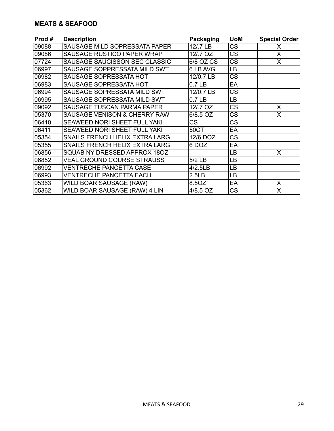#### **MEATS & SEAFOOD**

| Prod# | <b>Description</b>                | Packaging             | <b>UoM</b> | <b>Special Order</b> |
|-------|-----------------------------------|-----------------------|------------|----------------------|
| 09088 | SAUSAGE MILD SOPRESSATA PAPER     | 12/.7 LB              | <b>CS</b>  | X                    |
| 09086 | SAUSAGE RUSTICO PAPER WRAP        | 12/.7 OZ              | CS         | X                    |
| 07724 | SAUSAGE SAUCISSON SEC CLASSIC     | 6/8 OZ CS             | CS         | X                    |
| 06997 | SAUSAGE SOPPRESSATA MILD SWT      | 6 LB AVG              | LВ         |                      |
| 06982 | SAUSAGE SOPRESSATA HOT            | 12/0.7 LB             | CS         |                      |
| 06983 | SAUSAGE SOPRESSATA HOT            | 0.7 <sub>LB</sub>     | EA         |                      |
| 06994 | SAUSAGE SOPRESSATA MILD SWT       | 12/0.7 LB             | CS         |                      |
| 06995 | SAUSAGE SOPRESSATA MILD SWT       | 0.7 <sub>LB</sub>     | LВ         |                      |
| 09092 | SAUSAGE TUSCAN PARMA PAPER        | 12/.7 OZ              | <b>CS</b>  | X                    |
| 05370 | SAUSAGE VENISON & CHERRY RAW      | 6/8.5 OZ              | CS         | X                    |
| 06410 | SEAWEED NORI SHEET FULL YAKI      | CS                    | CS         |                      |
| 06411 | SEAWEED NORI SHEET FULL YAKI      | 50CT                  | EA         |                      |
| 05354 | SNAILS FRENCH HELIX EXTRA LARG    | $\overline{12}/6$ DOZ | <b>CS</b>  |                      |
| 05355 | SNAILS FRENCH HELIX EXTRA LARG    | 6 DOZ                 | EA         |                      |
| 06856 | SQUAB NY DRESSED APPROX 180Z      |                       | LВ         | X                    |
| 06852 | <b>VEAL GROUND COURSE STRAUSS</b> | 5/2 LB                | LВ         |                      |
| 06992 | VENTRECHE PANCETTA CASE           | 4/2.5LB               | LВ         |                      |
| 06993 | <b>VENTRECHE PANCETTA EACH</b>    | 2.5 <sub>LB</sub>     | LВ         |                      |
| 05363 | WILD BOAR SAUSAGE (RAW)           | 8.5OZ                 | EA         | X                    |
| 05362 | WILD BOAR SAUSAGE (RAW) 4 LIN     | 4/8.5 OZ              | CS         | X                    |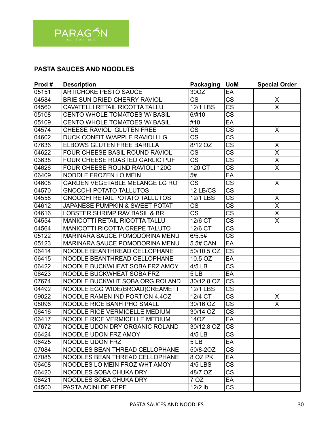

# **PASTA SAUCES AND NOODLES**

| Prod# | <b>Description</b>                        | <b>Packaging</b>       | <b>UoM</b>             | <b>Special Order</b>    |
|-------|-------------------------------------------|------------------------|------------------------|-------------------------|
| 05151 | <b>ARTICHOKE PESTO SAUCE</b>              | 30OZ                   | EA                     |                         |
| 04584 | BRIE SUN DRIED CHERRY RAVIOLI             | $\overline{\text{CS}}$ | $\overline{\text{CS}}$ | X                       |
| 04560 | CAVATELLI RETAIL RICOTTA TALLU            | 12/1 LBS               | <b>CS</b>              | $\overline{\sf x}$      |
| 05108 | CENTO WHOLE TOMATOES W/ BASIL             | 6/#10                  | $\overline{\text{CS}}$ |                         |
| 05109 | CENTO WHOLE TOMATOES W/ BASIL             | #10                    | EA                     |                         |
| 04574 | CHEESE RAVIOLI GLUTEN FREE                | $\overline{\text{CS}}$ | <b>CS</b>              | X                       |
| 04602 | DUCK CONFIT W/APPLE RAVIOLI LG            | $\overline{\text{CS}}$ | $\overline{\text{CS}}$ |                         |
| 07636 | ELBOWS GLUTEN FREE BARILLA                | $8/12$ OZ              | $\overline{\text{cs}}$ | X                       |
| 04622 | FOUR CHEESE BASIL ROUND RAVIOL            | $\overline{\text{cs}}$ | $\overline{\text{cs}}$ | $\overline{\mathsf{X}}$ |
| 03638 | FOUR CHEESE ROASTED GARLIC PUF            | $\overline{\text{CS}}$ | $\overline{\text{CS}}$ | X                       |
| 04626 | FOUR CHEESE ROUND RAVIOLI 120C            | 120 CT                 | $\overline{\text{CS}}$ | $\overline{\sf X}$      |
| 06409 | NODDLE FROZEN LO MEIN                     | $\overline{5#}$        | EA                     |                         |
| 04608 | <b>GARDEN VEGETABLE MELANGE LG RO</b>     | <b>CS</b>              | $\overline{\text{CS}}$ | X                       |
| 04570 | <b>GNOCCHI POTATO TALLUTOS</b>            | 12 LB/CS               | $\overline{\text{CS}}$ |                         |
| 04558 | <b>GNOCCHI RETAIL POTATO TALLUTOS</b>     | <b>12/1 LBS</b>        | $\overline{\text{cs}}$ | Χ                       |
| 04612 | <b>JAPANESE PUMPKIN &amp; SWEET POTAT</b> | CS                     | $\overline{\text{CS}}$ | $\overline{\mathsf{X}}$ |
| 04616 | LOBSTER SHRIMP RAV BASIL & BR             | $\overline{\text{CS}}$ | $\overline{\text{CS}}$ | X                       |
| 04554 | <b>MANICOTTI RETAIL RICOTTA TALLU</b>     | 12/6 CT                | $\overline{\text{cs}}$ | $\overline{\mathsf{x}}$ |
| 04564 | <b>MANICOTTI RICOTTA CREPE TALUTO</b>     | 12/6 CT                | $\overline{\text{CS}}$ |                         |
| 05122 | <b>MARINARA SAUCE POMODORINA MENU</b>     | 6/5.5#                 | $\overline{\text{CS}}$ |                         |
| 05123 | MARINARA SAUCE POMODORINA MENU            | 5.5# CAN               | EA                     |                         |
| 06414 | NOODLE BEANTHREAD CELLOPHANE              | 50/10.5 OZ             | <b>CS</b>              |                         |
| 06415 | NOODLE BEANTHREAD CELLOPHANE              | 10.5 OZ                | EA                     |                         |
| 06422 | NOODLE BUCKWHEAT SOBA FRZ AMOY            | 4/5 LB                 | $\overline{\text{cs}}$ |                         |
| 06423 | NOODLE BUCKWHEAT SOBA FRZ                 | 5LB                    | EA                     |                         |
| 07674 | NOODLE BUCKWHT SOBA ORG ROLAND            | 30/12.8 OZ             | $\overline{\text{CS}}$ |                         |
| 04492 | NOODLE EGG WIDE(BROAD)CREAMETT            | <b>12/1 LBS</b>        | $\overline{\text{CS}}$ |                         |
| 09022 | NOODLE RAMEN IND PORTION 4.4OZ            | 12/4 CT                | $\overline{\text{CS}}$ | X                       |
| 08096 | NOODLE RICE BANH PHO SMALL                | 30/16 OZ               | $\overline{\text{CS}}$ | X                       |
| 06416 | NOODLE RICE VERMICELLE MEDIUM             | 30/14 OZ               | $\overline{\text{cs}}$ |                         |
| 06417 | NOODLE RICE VERMICELLE MEDIUM             | 14OZ                   | EA                     |                         |
| 07672 | NOODLE UDON DRY ORGANIC ROLAND            | 30/12.8 OZ             | CS                     |                         |
| 06424 | NOODLE UDON FRZ AMOY                      | $4/5$ LB               | $\overline{\text{CS}}$ |                         |
| 06425 | NOODLE UDON FRZ                           | 5 <sub>LB</sub>        | EA                     |                         |
| 07084 | NOODLES BEAN THREAD CELLOPHANE            | 50/8-20Z               | CS                     |                         |
| 07085 | NOODLES BEAN THREAD CELLOPHANE            | 8 OZ PK                | EA                     |                         |
| 06408 | NOODLES LO MEIN FROZ WHT AMOY             | 4/5 LBS                | $\overline{\text{CS}}$ |                         |
| 06420 | <b>NOODLES SOBA CHUKA DRY</b>             | 48/7 OZ                | CS                     |                         |
| 06421 | <b>NOODLES SOBA CHUKA DRY</b>             | 7 OZ                   | EA                     |                         |
| 04500 | PASTA ACINI DE PEPE                       | $12/2$ lb              | <b>CS</b>              |                         |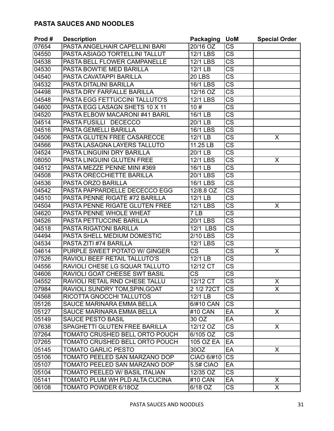# **PASTA SAUCES AND NOODLES**

| Prod# | <b>Description</b>                   | <b>Packaging</b>       | <b>UoM</b>             | <b>Special Order</b>    |
|-------|--------------------------------------|------------------------|------------------------|-------------------------|
| 07654 | PASTA ANGELHAIR CAPELLINI BARI       | 20/16 OZ               | <b>CS</b>              |                         |
| 04550 | PASTA ASIAGO TORTELLINI TALLUT       | $\overline{12/1}$ LBS  | <b>CS</b>              |                         |
| 04538 | PASTA BELL FLOWER CAMPANELLE         | 12/1 LBS               | $\overline{\text{CS}}$ |                         |
| 04530 | PASTA BOWTIE MED BARILLA             | 12/1 LB                | $\overline{\text{CS}}$ |                         |
| 04540 | PASTA CAVATAPPI BARILLA              | $\overline{20}$ LBS    | $\overline{\text{cs}}$ |                         |
| 04532 | PASTA DITALINI BARILLA               | <b>16/1 LBS</b>        | $\overline{\text{cs}}$ |                         |
| 04498 | PASTA DRY FARFALLE BARILLA           | 12/16 OZ               | $\overline{\text{CS}}$ |                         |
| 04548 | PASTA EGG FETTUCCINI TALLUTO'S       | <b>12/1 LBS</b>        | $\overline{\text{CS}}$ |                         |
| 04600 | PASTA EGG LASAGN SHETS 10 X 11       | 10#                    | $\overline{\text{CS}}$ |                         |
| 04520 | PASTA ELBOW MACARONI #41 BARIL       | 16/1 LB                | <b>CS</b>              |                         |
| 04514 | PASTA FUSILLI DECECCO                | 20/1 LB                | $\overline{\text{CS}}$ |                         |
| 04516 | PASTA GEMELLI BARILLA                | <b>16/1 LBS</b>        | $\overline{\text{cs}}$ |                         |
| 04506 | PASTA GLUTEN FREE CASARECCE          | 12/1 LB                | <b>CS</b>              | X                       |
| 04566 | PASTA LASAGNA LAYERS TALLUTO         | 11.25 LB               | $\overline{\text{CS}}$ |                         |
| 04524 | PASTA LINGUINI DRY BARILLA           | 20/1 LB                | $\overline{\text{CS}}$ |                         |
| 08050 | PASTA LINGUINI GLUTEN FREE           | $\overline{12/1}$ LBS  | $\overline{\text{CS}}$ | X                       |
| 04512 | PASTA MEZZE PENNE MINI #369          | 16/1 LB                | $\overline{\text{CS}}$ |                         |
| 04508 | PASTA ORECCHIETTE BARILLA            | 20/1 LBS               | $\overline{\text{CS}}$ |                         |
| 04536 | <b>PASTA ORZO BARILLA</b>            | <b>16/1 LBS</b>        | $\overline{\text{cs}}$ |                         |
| 04542 | PASTA PAPPARDELLE DECECCO EGG        | 12/8.8 OZ              | <b>CS</b>              |                         |
| 04510 | PASTA PENNE RIGATE #72 BARILLA       | 12/1 LB                | $\overline{\text{CS}}$ |                         |
| 04504 | PASTA PENNE RIGATE GLUTEN FREE       | <b>12/1 LBS</b>        | $\overline{\text{CS}}$ | X                       |
| 04620 | PASTA PENNE WHOLE WHEAT              | 7 LB                   | $\overline{\text{CS}}$ |                         |
| 04526 | PASTA PETTUCCINE BARILLA             | $20/1$ LBS             | $\overline{\text{CS}}$ |                         |
| 04518 | <b>PASTA RIGATONI BARILLA</b>        | 12/1 LBS               | $\overline{\text{CS}}$ |                         |
| 04494 | PASTA SHELL MEDIUM DOMESTIC          | 2/10 LBS               | $\overline{\text{CS}}$ |                         |
| 04534 | PASTA ZITI #74 BARILLA               | $\overline{12/1}$ LBS  | <b>CS</b>              |                         |
| 04614 | PURPLE SWEET POTATO W/ GINGER        | $\overline{\text{CS}}$ | $\overline{\text{CS}}$ | X                       |
| 07526 | RAVIOLI BEEF RETAIL TALLUTO'S        | 12/1 LB                | <b>CS</b>              |                         |
| 04556 | RAVIOLI CHESE LG SQUAR TALLUTO       | 12/12 CT               | $\overline{\text{CS}}$ |                         |
| 04606 | RAVIOLI GOAT CHEESE SWT BASIL        | $\overline{\text{CS}}$ | $\overline{\text{cs}}$ |                         |
| 04552 | RAVIOLI RETAIL RND CHESE TALLU       | 12/12 CT               | $\overline{\text{cs}}$ | $\lambda$<br>х          |
| 07984 | RAVIOLI SUNDRY TOM, SPIN, GOAT       | 2 1/2 72CT             | $\overline{\text{CS}}$ | $\mathsf{X}$            |
| 04568 | RICOTTA GNOCCHI TALLUTOS             | 12/1 LB                | $\overline{\text{CS}}$ |                         |
| 05126 | SAUCE MARINARA EMMA BELLA            | 6/#10 CAN              | <b>CS</b>              |                         |
| 05127 | SAUCE MARINARA EMMA BELLA            | #10 CAN                | EA                     | X                       |
| 05149 | <b>SAUCE PESTO BASIL</b>             | 30 OZ                  | EA                     |                         |
| 07638 | SPAGHETTI GLUTEN FREE BARILLA        | 12/12 OZ               | <b>CS</b>              | X.                      |
| 07264 | TOMATO CRUSHED BELL ORTO POUCH       | 6/105 OZ               | <b>CS</b>              |                         |
| 07265 | TOMATO CRUSHED BELL ORTO POUCH       | <b>105 OZ EA</b>       | EA                     |                         |
| 05145 | <b>TOMATO GARLIC PESTO</b>           | 30OZ                   | EA                     | $\mathsf{X}$            |
| 05106 | TOMATO PEELED SAN MARZANO DOP        | CIAO 6/#10             | $\overline{\text{CS}}$ |                         |
| 05107 | <b>TOMATO PEELED SAN MARZANO DOP</b> | 5.5# CIAO              | EA                     |                         |
| 05104 | TOMATO PEELED W/ BASIL ITALIAN       | 12/35 OZ               | $\overline{\text{CS}}$ |                         |
| 05141 | TOMATO PLUM WH PLD ALTA CUCINA       | #10 CAN                | EA                     | X                       |
| 06108 | TOMATO POWDER 6/18OZ                 | 6/18 OZ                | $\overline{\text{CS}}$ | $\overline{\mathsf{x}}$ |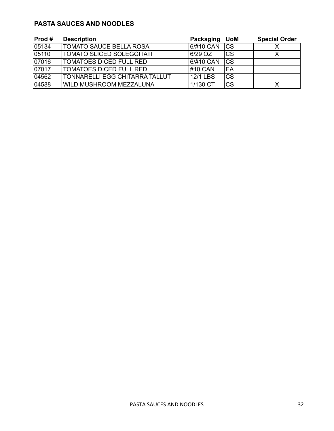#### **PASTA SAUCES AND NOODLES**

| Prod# | <b>Description</b>                    | Packaging | <b>UoM</b> | <b>Special Order</b> |
|-------|---------------------------------------|-----------|------------|----------------------|
| 05134 | <b>TOMATO SAUCE BELLA ROSA</b>        | 6/#10 CAN | <b>ICS</b> |                      |
| 05110 | TOMATO SLICED SOLEGGITATI             | $6/29$ OZ | Ics        |                      |
| 07016 | TOMATOES DICED FULL RED               | 6/#10 CAN | Ics        |                      |
| 07017 | <b>TOMATOES DICED FULL RED</b>        | #10 CAN   | IEA        |                      |
| 04562 | <b>TONNARELLI EGG CHITARRA TALLUT</b> | 12/1 LBS  | ICS        |                      |
| 04588 | <b>WILD MUSHROOM MEZZALUNA</b>        | 1/130 CT  | Ics        |                      |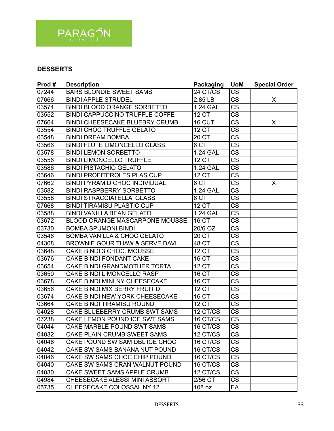

| Prod# | <b>Description</b>                     | <b>Packaging</b>     | <b>UoM</b>             | <b>Special Order</b> |
|-------|----------------------------------------|----------------------|------------------------|----------------------|
| 07244 | <b>BARS BLONDIE SWEET SAMS</b>         | $24$ CT/CS           | $\overline{\text{CS}}$ |                      |
| 07666 | <b>BINDI APPLE STRUDEL</b>             | 2.85 LB              | $\overline{\text{CS}}$ | X                    |
| 03574 | <b>BINDI BLOOD ORANGE SORBETTO</b>     | 1.24 GAL             | $\overline{\text{CS}}$ |                      |
| 03552 | <b>BINDI CAPPUCCINO TRUFFLE COFFE</b>  | <b>12 CT</b>         | $\overline{\text{cs}}$ |                      |
| 07664 | <b>BINDI CHEESECAKE BLUEBRY CRUMB</b>  | 16 CUT               | $\overline{\text{cs}}$ | X                    |
| 03554 | <b>BINDI CHOC TRUFFLE GELATO</b>       | $12$ $\overline{CT}$ | $\overline{\text{cs}}$ |                      |
| 03548 | <b>BINDI DREAM BOMBA</b>               | 20 <sub>C</sub>      | $\overline{\text{CS}}$ |                      |
| 03566 | <b>BINDI FLUTE LIMONCELLO GLASS</b>    | 6 <sub>CT</sub>      | $\overline{\text{cs}}$ |                      |
| 03578 | <b>BINDI LEMON SORBETTO</b>            | <b>1.24 GAL</b>      | $\overline{\text{cs}}$ |                      |
| 03556 | <b>BINDI LIMONCELLO TRUFFLE</b>        | <b>12 CT</b>         | $\overline{\text{CS}}$ |                      |
| 03586 | <b>BINDI PISTACHIO GELATO</b>          | <b>1.24 GAL</b>      | $\overline{\text{CS}}$ |                      |
| 03646 | <b>BINDI PROFITEROLES PLAS CUP</b>     | <b>12 CT</b>         | $\overline{\text{cs}}$ |                      |
| 07662 | <b>BINDI PYRAMID CHOC INDIVIDUAL</b>   | 6 CT                 | $\overline{\text{cs}}$ | X                    |
| 03582 | <b>BINDI RASPBERRY SORBETTO</b>        | 1.24 GAL             | $\overline{\text{CS}}$ |                      |
| 03558 | <b>BINDI STRACCIATELLA GLASS</b>       | 6 <sub>CT</sub>      | $\overline{\text{cs}}$ |                      |
| 07668 | <b>BINDI TIRAMISU PLASTIC CUP</b>      | <b>12 CT</b>         | $\overline{\text{CS}}$ |                      |
| 03588 | <b>BINDI VANILLA BEAN GELATO</b>       | <b>1.24 GAL</b>      | $\overline{\text{cs}}$ |                      |
| 03672 | <b>BLOOD ORANGE MASCARPONE MOUSSE</b>  | <b>16 CT</b>         | $\overline{\text{cs}}$ |                      |
| 03730 | <b>BOMBA SPUMONI BINDI</b>             | 20/6 OZ              | $\overline{\text{CS}}$ |                      |
| 03546 | <b>BOMBA VANILLA &amp; CHOC GELATO</b> | 20 <sub>CT</sub>     | $\overline{\text{cs}}$ |                      |
| 04308 | BROWNIE GOUR THAW & SERVE DAVI         | <b>48 CT</b>         | $\overline{\text{cs}}$ |                      |
| 03648 | CAKE BINDI 3 CHOC. MOUSSE              | <b>12 CT</b>         | $\overline{\text{CS}}$ |                      |
| 03676 | CAKE BINDI FONDANT CAKE                | <b>16 CT</b>         | $\overline{\text{CS}}$ |                      |
| 03654 | <b>CAKE BINDI GRANDMOTHER TORTA</b>    | 12CT                 | $\overline{\text{cs}}$ |                      |
| 03650 | CAKE BINDI LIMONCELLO RASP             | <b>16 CT</b>         | $\overline{\text{cs}}$ |                      |
| 03678 | CAKE BINDI MINI NY CHEESECAKE          | <b>16 CT</b>         | $\overline{\text{CS}}$ |                      |
| 03656 | CAKE BINDI MIX BERRY FRUIT DI          | <b>12 CT</b>         | $\overline{\text{CS}}$ |                      |
| 03674 | CAKE BINDI NEW YORK CHEESECAKE         | 16 CT                | $\overline{\text{CS}}$ |                      |
| 03664 | CAKE BINDI TIRAMISU ROUND              | <b>12 CT</b>         | $\overline{\text{cs}}$ |                      |
| 04028 | CAKE BLUEBERRY CRUMB SWT SAMS          | 12 CT/CS             | $\overline{\text{CS}}$ |                      |
| 07238 | CAKE LEMON POUND ICE SWT SAMS          | 16 CT/CS             | $\overline{\text{cs}}$ |                      |
| 04044 | CAKE MARBLE POUND SWT SAMS             | 16 CT/CS             | CS                     |                      |
| 04032 | CAKE PLAIN CRUMB SWEET SAMS            | 12 CT/CS             | <b>CS</b>              |                      |
| 04048 | CAKE POUND SW SAM DBL ICE CHOC         | 16 CT/CS             | $\overline{\text{CS}}$ |                      |
| 04042 | CAKE SW SAMS BANANA NUT POUND          | 16 CT/CS             | <b>CS</b>              |                      |
| 04046 | CAKE SW SAMS CHOC CHIP POUND           | 16 CT/CS             | $\overline{\text{CS}}$ |                      |
| 04040 | CAKE SW SAMS CRAN WALNUT POUND         | 16 CT/CS             | <b>CS</b>              |                      |
| 04030 | CAKE SWEET SAMS APPLE CRUMB            | 12 CT/CS             | <b>CS</b>              |                      |
| 04984 | CHEESECAKE ALESSI MINI ASSORT          | 2/56 CT              | <b>CS</b>              |                      |
| 05735 | CHEESECAKE COLOSSAL NY 12              | 108 oz               | EA                     |                      |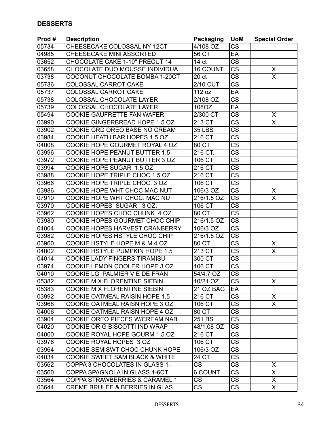| Prod# | <b>Description</b>                   | <b>Packaging</b>      | <b>UoM</b>             | <b>Special Order</b>    |
|-------|--------------------------------------|-----------------------|------------------------|-------------------------|
| 05734 | CHEESECAKE COLOSSAL NY 12CT          | $\overline{4/108}$ OZ | <b>CS</b>              |                         |
| 04985 | CHEESECAKE MINI ASSORTED             | 56 CT                 | EA                     |                         |
| 03652 | CHOCOLATE CAKE 1-10" PRECUT 14       | 14 ct                 | <b>CS</b>              |                         |
| 03658 | CHOCOLATE DUO MOUSSE INDIVIDUA       | <b>16 COUNT</b>       | $\overline{\text{CS}}$ | X                       |
| 03738 | COCONUT CHOCOLATE BOMBA 1-20CT       | 20 <sub>ct</sub>      | $\overline{\text{CS}}$ | X                       |
| 05736 | COLOSSAL CARROT CAKE                 | $2/10$ CUT            | $\overline{\text{cs}}$ |                         |
| 05737 | COLOSSAL CARROT CAKE                 | 112 oz                | EA                     |                         |
| 05738 | <b>COLOSSAL CHOCOLATE LAYER</b>      | 2/108 OZ              | $\overline{\text{CS}}$ |                         |
| 05739 | <b>COLOSSAL CHOCOLATE LAYER</b>      | 108OZ                 | EA                     |                         |
| 05494 | <b>COOKIE GAUFRETTE FAN WAFER</b>    | 2/300 CT              | <b>CS</b>              | X                       |
| 03990 | COOKIE GINGERBREAD HOPE 1.5 OZ       | 213 CT                | $\overline{\text{CS}}$ | X                       |
| 03902 | COOKIE GRD OREO BASE NO CREAM        | <b>35 LBS</b>         | $\overline{\text{cs}}$ |                         |
| 03984 | COOKIE HEATH BAR HOPES 1.5 OZ        | $2\overline{16}$ CT   | $\overline{\text{CS}}$ |                         |
| 04008 | COOKIE HOPE GOURMET ROYAL 4 OZ       | 80 CT                 | $\overline{\text{CS}}$ |                         |
| 03996 | <b>COOKIE HOPE PEANUT BUTTER 1.5</b> | 216 CT.               | $\overline{\text{cs}}$ |                         |
| 03972 | COOKIE HOPE PEANUT BUTTER 3 OZ       | 106 CT                | $\overline{\text{CS}}$ |                         |
| 03994 | COOKIE HOPE SUGAR 1.5 OZ             | 216 CT                | $\overline{\text{CS}}$ |                         |
| 03988 | COOKIE HOPE TRIPLE CHOC 1.5 OZ       | $216$ CT              | $\overline{\text{cs}}$ |                         |
| 03966 | COOKIE HOPE TRIPLE CHOC. 3 OZ        | 106 CT                | $\overline{\text{CS}}$ |                         |
| 03986 | COOKIE HOPE WHT CHOC MAC NUT         | 106/3 OZ              | $\overline{\text{cs}}$ | X                       |
| 07910 | COOKIE HOPE WHT CHOC. MAC NU         | 216/1.5 OZ            | $\overline{\text{cs}}$ | X                       |
| 03970 | COOKIE HOPES SUGAR<br>3 OZ.          | 106 CT                | $\overline{\text{CS}}$ |                         |
| 03962 | COOKIE HOPES CHOC CHUNK 4 OZ         | 80 CT                 | $\overline{\text{CS}}$ |                         |
| 03980 | COOKIE HOPES GOURMET CHOC CHIP       | 216/1.5 OZ            | $\overline{\text{cs}}$ |                         |
| 04004 | COOKIE HOPES HARVEST CRANBERRY       | 106/3 OZ              | $\overline{\text{CS}}$ |                         |
| 03982 | COOKIE HOPES HSTYLE CHOC CHIP        | 216/1.5 OZ            | <b>CS</b>              |                         |
| 03960 | COOKIE HSTYLE HOPE M & M 4 OZ        | 80 CT                 | $\overline{\text{cs}}$ | X                       |
| 04002 | COOKIE HSTYLE PUMPKIN HOPE 1.5       | $213$ CT              | <b>CS</b>              | $\overline{\sf X}$      |
| 04014 | <b>COOKIE LADY FINGERS TIRAMISU</b>  | 300 CT                | <b>CS</b>              |                         |
| 03974 | COOKIE LEMON COOLER HOPE 3 OZ.       | 106 CT                | $\overline{\text{CS}}$ |                         |
| 04010 | COOKIE LG PALMIER VIE DE FRAN        | 54/4.7 OZ             | $\overline{\text{CS}}$ |                         |
| 05382 | COOKIE MIX FLORENTINE SIEBIN         | 10/21 OZ              | CS                     | X.                      |
| 05383 | COOKIE MIX FLORENTINE SIEBIN         | 21 OZ BAG             | EA                     |                         |
| 03992 | COOKIE OATMEAL RAISIN HOPE 1.5       | 216 CT                | <b>CS</b>              | X                       |
| 03968 | COOKIE OATMEAL RAISN HOPE 3 OZ       | 106 CT                | <b>CS</b>              | $\overline{\mathsf{x}}$ |
| 04006 | COOKIE OATMEAL RAISN HOPE 4 OZ       | 80 CT                 | $\overline{\text{CS}}$ |                         |
| 03904 | COOKIE OREO PIECES W/CREAM NAB       | <b>25 LBS</b>         | <b>CS</b>              |                         |
| 04020 | COOKIE ORIG BISCOTTI IND WRAP        | 48/1.08 OZ            | <b>CS</b>              |                         |
| 04000 | COOKIE ROYAL HOPE GOURM 1.5 OZ       | $216$ CT              | $\overline{\text{CS}}$ |                         |
| 03978 | COOKIE ROYAL HOPES 3 OZ              | 106 CT                | $\overline{\text{CS}}$ |                         |
| 03964 | COOKIE SEMISWT CHOC CHUNK HOPE       | 106/3 OZ              | <b>CS</b>              |                         |
| 04034 | COOKIE SWEET SAM BLACK & WHITE       | 24 CT                 | <b>CS</b>              |                         |
| 03562 | COPPA 3 CHOCOLATES IN GLASS 1-       | <b>CS</b>             | $\overline{\text{CS}}$ | X                       |
| 03560 | COPPA SPAGNOLA IN GLASS 1-6CT        | 6 COUNT               | <b>CS</b>              | X                       |
| 03564 | COPPA STRAWBERRIES & CARAMEL 1       | <b>CS</b>             | $\overline{\text{CS}}$ | X                       |
| 03644 | CREME BRULEE & BERRIES IN GLAS       | CS                    | <b>CS</b>              | X                       |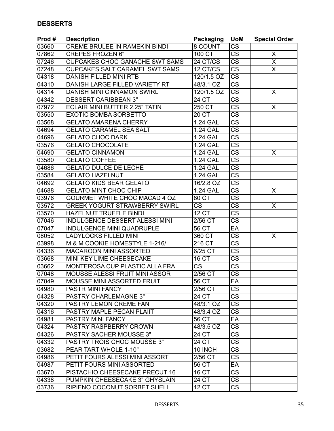| Prod# | <b>Description</b>                    | <b>Packaging</b>       | <b>UoM</b>             | <b>Special Order</b>    |
|-------|---------------------------------------|------------------------|------------------------|-------------------------|
| 03660 | <b>CREME BRULEE IN RAMEKIN BINDI</b>  | 8 COUNT                | <b>CS</b>              |                         |
| 07862 | <b>CREPES FROZEN 6"</b>               | 100 CT                 | $\overline{\text{cs}}$ | X                       |
| 07246 | CUPCAKES CHOC GANACHE SWT SAMS        | 24 CT/CS               | $\overline{\text{CS}}$ | Χ                       |
| 07248 | <b>CUPCAKES SALT CARAMEL SWT SAMS</b> | 12 CT/CS               | $\overline{\text{CS}}$ | $\overline{\mathsf{x}}$ |
| 04318 | <b>DANISH FILLED MINI RTB</b>         | 120/1.5 OZ             | $\overline{\text{CS}}$ |                         |
| 04310 | DANISH LARGE FILLED VARIETY RT        | 48/3.1 OZ              | $\overline{\text{cs}}$ |                         |
| 04314 | DANISH MINI CINNAMON SWIRL            | 120/1.5 OZ             | $\overline{\text{CS}}$ | X                       |
| 04342 | <b>DESSERT CARIBBEAN 3"</b>           | <b>24 CT</b>           | $\overline{\text{CS}}$ |                         |
| 07972 | <b>ECLAIR MINI BUTTER 2.25" TATIN</b> | 250 CT                 | $\overline{\text{CS}}$ | X                       |
| 03550 | <b>EXOTIC BOMBA SORBETTO</b>          | 20 CT                  | $\overline{\text{CS}}$ |                         |
| 03568 | <b>GELATO AMARENA CHERRY</b>          | <b>1.24 GAL</b>        | $\overline{\text{cs}}$ |                         |
| 04694 | <b>GELATO CARAMEL SEA SALT</b>        | 1.24 GAL               | $\overline{\text{cs}}$ |                         |
| 04696 | <b>GELATO CHOC DARK</b>               | 1.24 GAL               | $\overline{\text{CS}}$ |                         |
| 03576 | <b>GELATO CHOCOLATE</b>               | 1.24 GAL               | $\overline{\text{CS}}$ |                         |
| 04690 | <b>GELATO CINNAMON</b>                | <b>1.24 GAL</b>        | $\overline{\text{cs}}$ | X                       |
| 03580 | <b>GELATO COFFEE</b>                  | 1.24 GAL               | $\overline{\text{CS}}$ |                         |
| 04686 | <b>GELATO DULCE DE LECHE</b>          | 1.24 GAL               | $\overline{\text{CS}}$ |                         |
| 03584 | <b>GELATO HAZELNUT</b>                | <b>1.24 GAL</b>        | $\overline{\text{cs}}$ |                         |
| 04692 | <b>GELATO KIDS BEAR GELATO</b>        | 16/2.8 OZ              | $\overline{\text{CS}}$ |                         |
| 04688 | <b>GELATO MINT CHOC CHIP</b>          | 1.24 GAL               | $\overline{\text{cs}}$ | X                       |
| 03976 | GOURMET WHITE CHOC MACAD 4 OZ         | 80 CT                  | $\overline{\text{cs}}$ |                         |
| 03572 | <b>GREEK YOGURT STRAWBERRY SWIRL</b>  | <b>CS</b>              | $\overline{\text{cs}}$ | X                       |
| 03570 | <b>HAZELNUT TRUFFLE BINDI</b>         | <b>12 CT</b>           | $\overline{\text{cs}}$ |                         |
| 07046 | <b>INDULGENCE DESSERT ALESSI MINI</b> | 2/56 CT                | $\overline{\text{cs}}$ |                         |
| 07047 | INDULGENCE MINI QUADRUPLE             | 56 CT                  | EA                     |                         |
| 08052 | <b>LADYLOCKS FILLED MINI</b>          | 360 CT                 | $\overline{\text{CS}}$ | X                       |
| 03998 | M & M COOKIE HOMESTYLE 1-216/         | $216$ CT               | $\overline{\text{cs}}$ |                         |
| 04336 | <b>MACAROON MINI ASSORTED</b>         | 6/25 CT                | $\overline{\text{CS}}$ |                         |
| 03668 | MINI KEY LIME CHEESECAKE              | 16 CT                  | $\overline{\text{CS}}$ |                         |
| 03662 | MONTEROSA CUP PLASTIC ALLA FRA        | $\overline{\text{CS}}$ | $\overline{\text{CS}}$ |                         |
| 07048 | MOUSSE ALESSI FRUIT MINI ASSOR        | $2/56$ CT              | $\overline{\text{cs}}$ |                         |
| 07049 | <b>MOUSSE MINI ASSORTED FRUIT</b>     | 56 CT                  | EA                     |                         |
| 04980 | PASTR MINI FANCY                      | 2/56 CT                | $\overline{\text{CS}}$ |                         |
| 04328 | <b>PASTRY CHARLEMAGNE 3"</b>          | 24 CT                  | $\overline{\text{CS}}$ |                         |
| 04320 | PASTRY LEMON CREME FAN                | 48/3.1 OZ              | <b>CS</b>              |                         |
| 04316 | PASTRY MAPLE PECAN PLAIIT             | 48/3.4 OZ              | $\overline{\text{CS}}$ |                         |
| 04981 | PASTRY MINI FANCY                     | 56 CT                  | EA                     |                         |
| 04324 | PASTRY RASPBERRY CROWN                | 48/3.5 OZ              | <b>CS</b>              |                         |
| 04326 | <b>PASTRY SACHER MOUSSE 3"</b>        | 24 CT                  | $\overline{\text{CS}}$ |                         |
| 04332 | <b>PASTRY TROIS CHOC MOUSSE 3"</b>    | 24 CT                  | $\overline{\text{CS}}$ |                         |
| 03682 | PEAR TART WHOLE 1-10"                 | 10 INCH                | <b>CS</b>              |                         |
| 04986 | PETIT FOURS ALESSI MINI ASSORT        | 2/56 CT                | <b>CS</b>              |                         |
| 04987 | PETIT FOURS MINI ASSORTED             | 56 CT                  | EA                     |                         |
| 03670 | PISTACHIO CHEESECAKE PRECUT 16        | 16 CT                  | <b>CS</b>              |                         |
| 04338 | PUMPKIN CHEESECAKE 3" GHYSLAIN        | 24 CT                  | $\overline{\text{CS}}$ |                         |
| 03736 | RIPIENO COCONUT SORBET SHELL          | <b>12 CT</b>           | <b>CS</b>              |                         |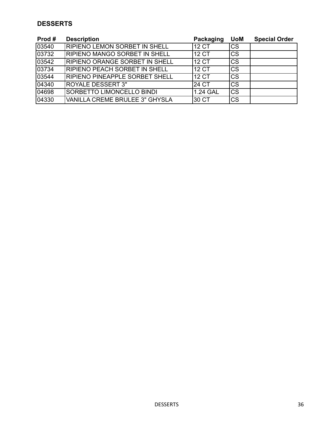| Prod# | <b>Description</b>                    | Packaging | <b>UoM</b> | <b>Special Order</b> |
|-------|---------------------------------------|-----------|------------|----------------------|
| 03540 | RIPIENO LEMON SORBET IN SHELL         | 112 CT    | Ics        |                      |
| 03732 | <b>RIPIENO MANGO SORBET IN SHELL</b>  | 112 CT    | lcs        |                      |
| 03542 | <b>RIPIENO ORANGE SORBET IN SHELL</b> | 112 CT    | lcs        |                      |
| 03734 | <b>IRIPIENO PEACH SORBET IN SHELL</b> | 12 CT     | lcs        |                      |
| 03544 | RIPIENO PINEAPPLE SORBET SHELL        | 112 CT    | Ics        |                      |
| 04340 | <b>ROYALE DESSERT 3"</b>              | 24 CT     | lcs        |                      |
| 04698 | SORBETTO LIMONCELLO BINDI             | 1.24 GAL  | <b>ICS</b> |                      |
| 04330 | <b>VANILLA CREME BRULEE 3" GHYSLA</b> | 30 CT     | lcs        |                      |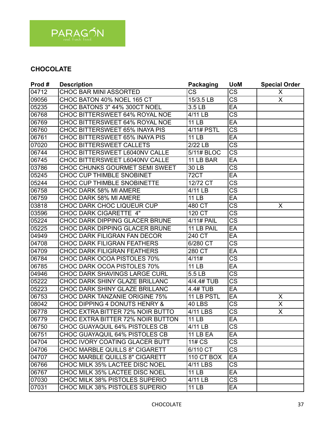

# **CHOCOLATE**

| Prod# | <b>Description</b>                    | <b>Packaging</b> | <b>UoM</b>             | <b>Special Order</b>    |
|-------|---------------------------------------|------------------|------------------------|-------------------------|
| 04712 | <b>CHOC BAR MINI ASSORTED</b>         | CS               | $\overline{\text{CS}}$ | X                       |
| 09056 | CHOC BATON 40% NOEL 165 CT            | 15/3.5 LB        | $\overline{\text{CS}}$ | X                       |
| 05235 | CHOC BATONS 3" 44% 300CT NOEL         | 3.5 LB           | EA                     |                         |
| 06768 | CHOC BITTERSWEET 64% ROYAL NOE        | 4/11 LB          | $\overline{\text{cs}}$ |                         |
| 06769 | CHOC BITTERSWEET 64% ROYAL NOE        | <b>11 LB</b>     | EA                     |                         |
| 06760 | CHOC BITTERSWEET 65% INAYA PIS        | 4/11# PSTL       | $\overline{\text{cs}}$ |                         |
| 06761 | CHOC BITTERSWEET 65% INAYA PIS        | <b>11 LB</b>     | EA                     |                         |
| 07020 | <b>CHOC BITTERSWEET CALLETS</b>       | 2/22 LB          | $\overline{\text{CS}}$ |                         |
| 06744 | CHOC BITTERSWEET L6040NV CALLE        | 5/11# BLOC       | $\overline{\text{cs}}$ |                         |
| 06745 | CHOC BITTERSWEET L6040NV CALLE        | 11 LB BAR        | EA                     |                         |
| 03786 | CHOC CHUNKS GOURMET SEMI SWEET        | 30 LB            | $\overline{\text{CS}}$ |                         |
| 05245 | <b>CHOC CUP THIMBLE SNOBINET</b>      | 72CT             | EA                     |                         |
| 05244 | CHOC CUP THIMBLE SNOBINETTE           | 12/72 CT         | $\overline{\text{CS}}$ |                         |
| 06758 | CHOC DARK 58% MI AMERE                | 4/11 LB          | <b>CS</b>              |                         |
| 06759 | CHOC DARK 58% MI AMERE                | <b>11 LB</b>     | EA                     |                         |
| 03818 | CHOC DARK CHOC LIQUEUR CUP            | 480 CT           | CS                     | X                       |
| 03596 | <b>CHOC DARK CIGARETTE 4"</b>         | 120 CT           | $\overline{\text{CS}}$ |                         |
| 05224 | CHOC DARK DIPPING GLACER BRUNE        | 4/11# PAIL       | $\overline{\text{cs}}$ |                         |
| 05225 | CHOC DARK DIPPING GLACER BRUNE        | 11 LB PAIL       | EA                     |                         |
| 04949 | CHOC DARK FILIGRAN FAN DECOR          | 240 CT           | EA                     |                         |
| 04708 | <b>CHOC DARK FILIGRAN FEATHERS</b>    | 6/280 CT         | $\overline{\text{cs}}$ |                         |
| 04709 | <b>CHOC DARK FILIGRAN FEATHERS</b>    | 280 CT           | EA                     |                         |
| 06784 | CHOC DARK OCOA PISTOLES 70%           | 4/11#            | <b>CS</b>              |                         |
| 06785 | CHOC DARK OCOA PISTOLES 70%           | <b>11 LB</b>     | EA                     |                         |
| 04946 | CHOC DARK SHAVINGS LARGE CURL         | 5.5 LB           | $\overline{\text{CS}}$ |                         |
| 05222 | CHOC DARK SHINY GLAZE BRILLANC        | 4/4.4# TUB       | $\overline{\text{CS}}$ |                         |
| 05223 | CHOC DARK SHINY GLAZE BRILLANC        | 4.4# TUB         | EA                     |                         |
| 06753 | CHOC DARK TANZANIE ORIGINE 75%        | 11 LB PSTL       | EA                     | X                       |
| 08042 | CHOC DIPPING 4 DONUTS HENRY &         | 40 LBS           | $\overline{\text{CS}}$ | $\overline{\mathsf{x}}$ |
| 06778 | CHOC EXTRA BITTER 72% NOIR BUTTO      | 4/11 LBS         | $\overline{\text{CS}}$ | X                       |
| 06779 | CHOC EXTRA BITTER 72% NOIR BUTTON     | <b>11 LB</b>     | EA                     |                         |
| 06750 | CHOC GUAYAQUIL 64% PISTOLES CB        | 4/11 LB          | CS                     |                         |
| 06751 | CHOC GUAYAQUIL 64% PISTOLES CB        | <b>11 LB EA</b>  | EA                     |                         |
| 04704 | CHOC IVORY COATING GLACER BUTT        | 11# CS           | $\overline{\text{CS}}$ |                         |
| 04706 | <b>CHOC MARBLE QUILLS 8" CIGARETT</b> | 6/110 CT         | CS                     |                         |
| 04707 | <b>CHOC MARBLE QUILLS 8" CIGARETT</b> | 110 CT BOX       | EA                     |                         |
| 06766 | CHOC MILK 35% LACTEE DISC NOEL        | 4/11 LBS         | <b>CS</b>              |                         |
| 06767 | CHOC MILK 35% LACTEE DISC NOEL        | 11 LB            | EA                     |                         |
| 07030 | CHOC MILK 38% PISTOLES SUPERIO        | 4/11 LB          | <b>CS</b>              |                         |
| 07031 | CHOC MILK 38% PISTOLES SUPERIO        | 11 LB            | EA                     |                         |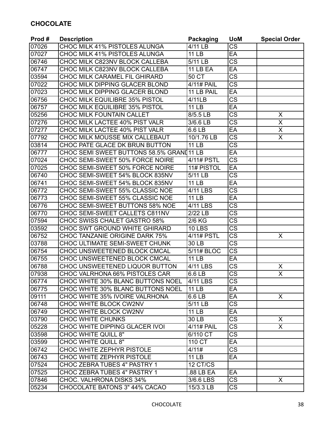# **CHOCOLATE**

| Prod# | <b>Description</b>                        | <b>Packaging</b> | <b>UoM</b>             | <b>Special Order</b>    |
|-------|-------------------------------------------|------------------|------------------------|-------------------------|
| 07026 | <b>CHOC MILK 41% PISTOLES ALUNGA</b>      | 4/11 LB          | $\overline{\text{CS}}$ |                         |
| 07027 | CHOC MILK 41% PISTOLES ALUNGA             | 11LB             | EA                     |                         |
| 06746 | CHOC MILK C823NV BLOCK CALLEBA            | 5/11 LB          | $\overline{\text{CS}}$ |                         |
| 06747 | CHOC MILK C823NV BLOCK CALLEBA            | <b>11 LB EA</b>  | EA                     |                         |
| 03594 | CHOC MILK CARAMEL FIL GHIRARD             | 50 CT            | $\overline{\text{CS}}$ |                         |
| 07022 | CHOC MILK DIPPING GLACER BLOND            | 4/11# PAIL       | $\overline{\text{cs}}$ |                         |
| 07023 | CHOC MILK DIPPING GLACER BLOND            | 11 LB PAIL       | EA                     |                         |
| 06756 | <b>CHOC MILK EQUILIBRE 35% PISTOL</b>     | 4/11LB           | $\overline{\text{CS}}$ |                         |
| 06757 | CHOC MILK EQUILIBRE 35% PISTOL            | <b>11 LB</b>     | $E$ A                  |                         |
| 05256 | <b>CHOC MILK FOUNTAIN CALLET</b>          | 8/5.5 LB         | $\overline{\text{CS}}$ | X                       |
| 07276 | CHOC MILK LACTEE 40% PIST VALR            | 3/6.6 LB         | $\overline{\text{CS}}$ | X                       |
| 07277 | CHOC MILK LACTEE 40% PIST VALR            | 6.6 LB           | EA                     | X                       |
| 07792 | CHOC MILK MOUSSE MIX CALLEBAUT            | 10/1.76 LB       | $\overline{\text{CS}}$ | $\overline{\mathsf{x}}$ |
| 03814 | CHOC PATE GLACE DK BRUN BUTTON            | <b>11 LB</b>     | <b>CS</b>              |                         |
| 06777 | CHOC SEMI SWEET BUTTONS 58.5% GRANI 11 LB |                  | EA                     |                         |
| 07024 | CHOC SEMI-SWEET 50% FORCE NOIRE           | 4/11# PSTL       | $\overline{\text{CS}}$ |                         |
| 07025 | CHOC SEMI-SWEET 50% FORCE NOIRE           | 11# PISTOL       | EA                     |                         |
| 06740 | CHOC SEMI-SWEET 54% BLOCK 835NV           | 5/11 LB          | $\overline{\text{cs}}$ |                         |
| 06741 | CHOC SEMI-SWEET 54% BLOCK 835NV           | <b>11 LB</b>     | EA                     |                         |
| 06772 | CHOC SEMI-SWEET 55% CLASSIC NOE           | 4/11 LBS         | $\overline{\text{CS}}$ |                         |
| 06773 | CHOC SEMI-SWEET 55% CLASSIC NOE           | <b>11 LB</b>     | EA                     |                         |
| 06776 | CHOC SEMI-SWEET BUTTONS 58% NOE           | 4/11 LBS         | $\overline{\text{CS}}$ |                         |
| 06770 | CHOC SEMI-SWEET CALLETS C811NV            | 2/22 LB          | $\overline{\text{CS}}$ |                         |
| 07594 | <b>CHOC SWISS CHALET GASTRO 58%</b>       | 2/6 KG           | $\overline{\text{cs}}$ |                         |
| 03592 | CHOC SWT GROUND WHITE GHIRARD             | <b>10 LBS</b>    | <b>CS</b>              |                         |
| 06752 | <b>CHOC TANZANIE ORIGINE DARK 75%</b>     | 4/11# PSTL       | $\overline{\text{CS}}$ | X                       |
| 03788 | CHOC ULTIMATE SEMI-SWEET CHUNK            | 30 LB            | $\overline{\text{cs}}$ |                         |
| 06754 | CHOC UNSWEETENED BLOCK CMCAL              | 5/11# BLOC       | $\overline{\text{CS}}$ |                         |
| 06755 | CHOC UNSWEETENED BLOCK CMCAL              | <b>11 LB</b>     | EA                     |                         |
| 06788 | CHOC UNSWEETENED LIQUOR BUTTON            | 4/11 LBS         | $\overline{\text{CS}}$ | X                       |
| 07938 | <b>CHOC VALRHONA 66% PISTOLES CAR</b>     | 6.6 LB           | $\overline{\text{cs}}$ | $\overline{\sf x}$      |
| 06774 | CHOC WHITE 30% BLANC BUTTONS NOEL         | 4/11 LBS         | СS                     |                         |
| 06775 | CHOC WHITE 30% BLANC BUTTONS NOEL         | <b>11 LB</b>     | EA                     |                         |
| 09111 | CHOC WHITE 35% IVOIRE VALRHONA            | 6.6 LB           | EA                     | X                       |
| 06748 | CHOC WHITE BLOCK CW2NV                    | 5/11 LB          | <b>CS</b>              |                         |
| 06749 | CHOC WHITE BLOCK CW2NV                    | <b>11 LB</b>     | EA                     |                         |
| 03790 | CHOC WHITE CHUNKS                         | 30 LB            | <b>CS</b>              | X                       |
| 05228 | CHOC WHITE DIPPING GLACER IVOI            | 4/11# PAIL       | <b>CS</b>              | $\mathsf{X}$            |
| 03598 | <b>CHOC WHITE QUILL 8"</b>                | 6/110 CT         | CS                     |                         |
| 03599 | <b>CHOC WHITE QUILL 8"</b>                | 110 CT           | EA                     |                         |
| 06742 | CHOC WHITE ZEPHYR PISTOLE                 | 4/11#            | <b>CS</b>              |                         |
| 06743 | CHOC WHITE ZEPHYR PISTOLE                 | <b>11 LB</b>     | EA                     |                         |
| 07524 | CHOC ZEBRA TUBES 4" PASTRY 1              | 12 CT/CS         |                        |                         |
| 07525 | CHOC ZEBRA TUBES 4" PASTRY 1              | .88 LB EA        | EA                     |                         |
| 07846 | CHOC. VALHRONA DISKS 34%                  | 3/6.6 LBS        | <b>CS</b>              | X.                      |
| 05234 | CHOCOLATE BATONS 3" 44% CACAO             | $15/3.3$ LB      | $\overline{\text{CS}}$ |                         |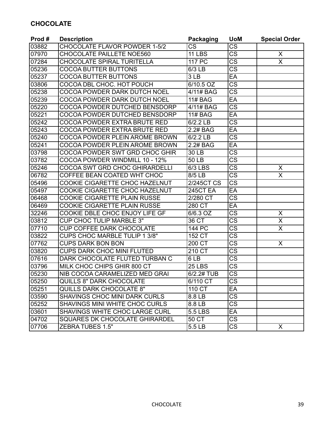# **CHOCOLATE**

| Prod# | <b>Description</b>                   | <b>Packaging</b>  | <b>UoM</b>             | <b>Special Order</b>    |
|-------|--------------------------------------|-------------------|------------------------|-------------------------|
| 03882 | <b>CHOCOLATE FLAVOR POWDER 1-5/2</b> | <b>CS</b>         | <b>CS</b>              |                         |
| 07970 | <b>CHOCOLATE PAILLETE NOE560</b>     | 11 LBS            | $\overline{\text{CS}}$ | X                       |
| 07284 | CHOCOLATE SPIRAL TURITELLA           | <b>117 PC</b>     | <b>CS</b>              | X                       |
| 05236 | <b>COCOA BUTTER BUTTONS</b>          | 6/3 LB            | CS                     |                         |
| 05237 | <b>COCOA BUTTER BUTTONS</b>          | 3LB               | EA                     |                         |
| 03806 | COCOA DBL CHOC. HOT POUCH            | 6/10.5 OZ         | CS                     |                         |
| 05238 | COCOA POWDER DARK DUTCH NOEL         | 4/11# BAG         | $\overline{\text{CS}}$ |                         |
| 05239 | COCOA POWDER DARK DUTCH NOEL         | <b>11# BAG</b>    | EA                     |                         |
| 05220 | COCOA POWDER DUTCHED BENSDORP        | 4/11# BAG         | <b>CS</b>              |                         |
| 05221 | COCOA POWDER DUTCHED BENSDORP        | <b>11# BAG</b>    | EA                     |                         |
| 05242 | <b>COCOA POWDER EXTRA BRUTE RED</b>  | 6/2.2 LB          | $\overline{\text{CS}}$ |                         |
| 05243 | <b>COCOA POWDER EXTRA BRUTE RED</b>  | 2.2# BAG          | EA                     |                         |
| 05240 | COCOA POWDER PLEIN AROME BROWN       | 6/2.2 LB          | $\overline{\text{CS}}$ |                         |
| 05241 | COCOA POWDER PLEIN AROME BROWN       | 2.2# BAG          | EA                     |                         |
| 03798 | COCOA POWDER SWT GRD CHOC GHIR       | 30 LB             | $\overline{\text{cs}}$ |                         |
| 03782 | COCOA POWDER WINDMILL 10 - 12%       | 50 LB             | <b>CS</b>              |                         |
| 05246 | COCOA SWT GRD CHOC GHIRARDELLI       | <b>6/3 LBS</b>    | <b>CS</b>              | X                       |
| 06782 | COFFEE BEAN COATED WHT CHOC          | 8/5 LB            | <b>CS</b>              | X                       |
| 05496 | COOKIE CIGARETTE CHOC HAZELNUT       | <b>2/245CT CS</b> | $\overline{\text{CS}}$ |                         |
| 05497 | COOKIE CIGARETTE CHOC HAZELNUT       | 245CT EA          | EA                     |                         |
| 06468 | COOKIE CIGARETTE PLAIN RUSSE         | 2/280 CT          | $\overline{\text{cs}}$ |                         |
| 06469 | COOKIE CIGARETTE PLAIN RUSSE         | 280 CT            | EA                     |                         |
| 32246 | COOKIE DBLE CHOC ENJOY LIFE GF       | 6/6.3 OZ          | $\overline{\text{CS}}$ | X                       |
| 03812 | <b>CUP CHOC TULIP MARBLE 3"</b>      | 36 CT             | $\overline{\text{CS}}$ | $\overline{\mathsf{x}}$ |
| 07710 | <b>CUP COFFEE DARK CHOCOLATE</b>     | 144 PC            | <b>CS</b>              | $\overline{\mathsf{x}}$ |
| 03822 | <b>CUPS CHOC MARBLE TULIP 1 3/8"</b> | 152 CT            | $\overline{\text{CS}}$ |                         |
| 07762 | <b>CUPS DARK BON BON</b>             | 200 CT            | $\overline{\text{CS}}$ | X                       |
| 03820 | <b>CUPS DARK CHOC MINI FLUTED</b>    | 210 CT            | <b>CS</b>              |                         |
| 07616 | DARK CHOCOLATE FLUTED TURBAN C       | 6LB               | <b>CS</b>              |                         |
| 03796 | MILK CHOC CHIPS GHIR 800 CT          | 25 LBS            | $\overline{\text{CS}}$ |                         |
| 05230 | NIB COCOA CARAMELIZED MED GRAI       | 6/2.2# TUB        | $\overline{\text{CS}}$ |                         |
| 05250 | <b>QUILLS 8" DARK CHOCOLATE</b>      | 6/110 CT          | CS                     |                         |
| 05251 | <b>QUILLS DARK CHOCOLATE 8"</b>      | 110 CT            | EA                     |                         |
| 03590 | SHAVINGS CHOC MINI DARK CURLS        | 8.8 LB            | <b>CS</b>              |                         |
| 05252 | SHAVINGS MINI WHITE CHOC CURLS       | 8.8 LB            | CS                     |                         |
| 03601 | SHAVINGS WHITE CHOC LARGE CURL       | 5.5 LBS           | EA                     |                         |
| 04702 | SQUARES DK CHOCOLATE GHIRARDEL       | 50 CT             | $\overline{\text{CS}}$ |                         |
| 07706 | <b>ZEBRA TUBES 1.5"</b>              | 5.5 LB            | <b>CS</b>              | X                       |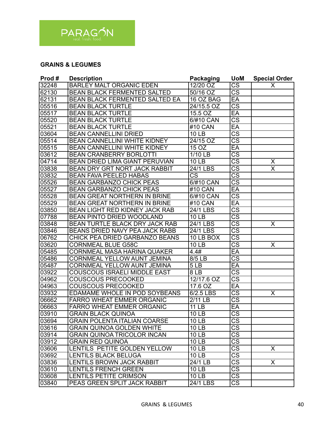

#### **GRAINS & LEGUMES**

| Prod#  | <b>Description</b>                    | <b>Packaging</b>       | <b>UoM</b>             | <b>Special Order</b>    |
|--------|---------------------------------------|------------------------|------------------------|-------------------------|
| 32248  | <b>BARLEY MALT ORGANIC EDEN</b>       | 12/20 OZ               | <b>CS</b>              | X                       |
| 62130  | <b>BEAN BLACK FERMENTED SALTED</b>    | 50/16 OZ               | $\overline{\text{cs}}$ |                         |
| 62131  | BEAN BLACK FERMENTED SALTED EA        | 16 OZ BAG              | EA                     |                         |
| 05516  | <b>BEAN BLACK TURTLE</b>              | 24/15.5 OZ             | $\overline{\text{cs}}$ |                         |
| 05517  | <b>BEAN BLACK TURTLE</b>              | 15.5 OZ                | EA                     |                         |
| 05520  | <b>BEAN BLACK TURTLE</b>              | 6/#10 CAN              | $\overline{\text{cs}}$ |                         |
| 05521  | <b>BEAN BLACK TURTLE</b>              | #10 CAN                | EA                     |                         |
| 03604  | <b>BEAN CANNELLINI DRIED</b>          | <b>10 LB</b>           | $\overline{\text{cs}}$ |                         |
| 05514  | <b>BEAN CANNELLINI WHITE KIDNEY</b>   | 24/15 OZ               | $\overline{\text{CS}}$ |                         |
| 05515  | <b>BEAN CANNELLINI WHITE KIDNEY</b>   | 15 OZ                  | EA                     |                         |
| 03612  | <b>BEAN CRANBERRY BORLOTTI</b>        | 1/10 LB                | $\overline{\text{CS}}$ |                         |
| 04714  | BEAN DRIED LIMA GIANT PERUVIAN        | <b>10 LB</b>           | $\overline{\text{CS}}$ | X                       |
| 03838  | <b>BEAN DRY GRT NORT JACK RABBIT</b>  | 24/1 LBS               | $\overline{\text{cs}}$ | $\overline{\mathsf{x}}$ |
| 03832  | <b>BEAN FAVA PEELED HABAS</b>         | $\overline{\text{cs}}$ | $\overline{\text{cs}}$ |                         |
| 05526  | <b>BEAN GARBANZO CHICK PEAS</b>       | 6/#10 CAN              | $\overline{\text{cs}}$ |                         |
| 05527  | <b>BEAN GARBANZO CHICK PEAS</b>       | #10 CAN                | EA                     |                         |
| 05528  | <b>BEAN GREAT NORTHERN IN BRINE</b>   | 6/#10 CAN              | $\overline{\text{CS}}$ |                         |
| 05529  | <b>BEAN GREAT NORTHERN IN BRINE</b>   | #10 CAN                | EA                     |                         |
| 03850  | <b>BEAN LIGHT RED KIDNEY JACK RAB</b> | 24/1 LBS               | $\overline{\text{cs}}$ |                         |
| 07788  | <b>BEAN PINTO DRIED WOODLAND</b>      | <b>10 LB</b>           | $\overline{\text{CS}}$ |                         |
| 03848  | BEAN TURTLE BLACK DRY JACK RAB        | 24/1 LBS               | $\overline{\text{CS}}$ | X                       |
| 03846  | <b>BEANS DRIED NAVY PEA JACK RABB</b> | 24/1 LBS               | $\overline{\text{CS}}$ |                         |
| 06762  | CHICK PEA DRIED GARBANZO BEANS        | 10 LB BOX              | $\overline{\text{cs}}$ |                         |
| 03620  | <b>CORNMEAL BLUE G58C</b>             | <b>10 LB</b>           | $\overline{\text{CS}}$ | X                       |
| 05485  | <b>CORNMEAL MASA HARINA QUAKER</b>    | 4.4#                   | EA                     |                         |
| 05486  | <b>CORNMEAL YELLOW AUNT JEMINA</b>    | 8/5 LB                 | $\overline{\text{cs}}$ |                         |
| 05487  | <b>CORNMEAL YELLOW AUNT JEMINA</b>    | 5LB                    | EA                     |                         |
| 03922  | <b>COUSCOUS ISRAELI MIDDLE EAST</b>   | $\overline{8}$ LB      | $\overline{\text{CS}}$ |                         |
| 04962  | <b>COUSCOUS PRECOOKED</b>             | $12/17.6$ OZ           | $\overline{\text{cs}}$ |                         |
| 04963  | <b>COUSCOUS PRECOOKED</b>             | 17.6 OZ                | EA                     |                         |
| 03932  | EDAMAME WHOLE IN POD SOYBEANS         | 6/2.5 LBS              | $\overline{\text{cs}}$ | Χ                       |
| 06662  | <b>FARRO WHEAT EMMER ORGANIC</b>      | 2/11 LB                | $\overline{\text{CS}}$ |                         |
| 06663  | <b>FARRO WHEAT EMMER ORGANIC</b>      | <b>11 LB</b>           | EA                     |                         |
| 03910  | <b>GRAIN BLACK QUINOA</b>             | 10 LB                  | $\overline{\text{CS}}$ |                         |
| 03694  | <b>GRAIN POLENTA ITALIAN COARSE</b>   | <b>10 LB</b>           | CS                     |                         |
| 03616  | <b>GRAIN QUINOA GOLDEN WHITE</b>      | <b>10 LB</b>           | $\overline{\text{CS}}$ |                         |
| 03914  | <b>GRAIN QUINOA TRICOLOR INCAN</b>    | <b>10 LB</b>           | $\overline{\text{cs}}$ |                         |
| 03912  | <b>GRAIN RED QUINOA</b>               | <b>10 LB</b>           | $\overline{\text{CS}}$ |                         |
| 03606  | LENTILS PETITE GOLDEN YELLOW          | <b>10 LB</b>           | $\overline{\text{cs}}$ | X.                      |
| 03692  | <b>LENTILS BLACK BELUGA</b>           | <b>10 LB</b>           | $\overline{\text{cs}}$ |                         |
| 103836 | <b>LENTILS BROWN JACK RABBIT</b>      | 24/1 LB                | $\overline{\text{cs}}$ | X                       |
| 03610  | <b>LENTILS FRENCH GREEN</b>           | 10 LB                  | $\overline{\text{CS}}$ |                         |
| 03608  | LENTILS PETITE CRIMSON                | 10 <sub>LB</sub>       | $\overline{\text{CS}}$ |                         |
| 03840  | PEAS GREEN SPLIT JACK RABBIT          | 24/1 LBS               | $\overline{\text{CS}}$ |                         |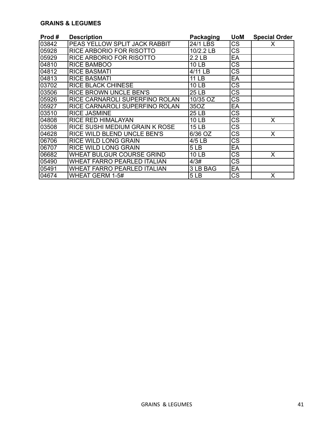#### **GRAINS & LEGUMES**

| Prod # | <b>Description</b>                 | <b>Packaging</b>  | <b>UoM</b>             | <b>Special Order</b> |
|--------|------------------------------------|-------------------|------------------------|----------------------|
| 03842  | PEAS YELLOW SPLIT JACK RABBIT      | 24/1 LBS          | CS                     | х                    |
| 05928  | RICE ARBORIO FOR RISOTTO           | 10/2.2 LB         | CS                     |                      |
| 05929  | RICE ARBORIO FOR RISOTTO           | 2.2 <sub>LB</sub> | EA                     |                      |
| 04810  | <b>RICE BAMBOO</b>                 | 10 LB             | CS                     |                      |
| 04812  | <b>RICE BASMATI</b>                | 4/11 LB           | CS                     |                      |
| 04813  | <b>RICE BASMATI</b>                | 11 LB             | EA                     |                      |
| 03702  | <b>RICE BLACK CHINESE</b>          | 10 LB             | $\overline{\text{CS}}$ |                      |
| 03506  | RICE BROWN UNCLE BEN'S             | 25 LB             | $\overline{\text{CS}}$ |                      |
| 05926  | RICE CARNAROLI SUPERFINO ROLAN     | 10/35 OZ          | $\overline{\text{CS}}$ |                      |
| 05927  | RICE CARNAROLI SUPERFINO ROLAN     | 35OZ              | EA                     |                      |
| 03510  | <b>RICE JASMINE</b>                | 25 LB             | CS                     |                      |
| 04808  | <b>RICE RED HIMALAYAN</b>          | <b>10 LB</b>      | $\overline{\text{CS}}$ | Χ                    |
| 03508  | RICE SUSHI MEDIUM GRAIN K ROSE     | <b>15 LB</b>      | $\overline{\text{CS}}$ |                      |
| 04628  | RICE WILD BLEND UNCLE BEN'S        | 6/36 OZ           | CS                     | X                    |
| 06706  | <b>RICE WILD LONG GRAIN</b>        | 4/5 LB            | CS                     |                      |
| 106707 | <b>RICE WILD LONG GRAIN</b>        | 5LB               | EA                     |                      |
| 06682  | WHEAT BULGUR COURSE GRIND          | 10 LB             | CS                     | X                    |
| 05490  | <b>WHEAT FARRO PEARLED ITALIAN</b> | 4/3#              | CS                     |                      |
| 05491  | WHEAT FARRO PEARLED ITALIAN        | 3 LB BAG          | EA                     |                      |
| 04674  | WHEAT GERM 1-5#                    | 5LB               | СS                     | X                    |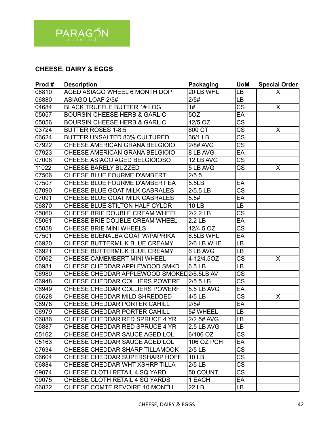

# **CHEESE, DAIRY & EGGS**

| Prod# | <b>Description</b>                      | <b>Packaging</b>  | <b>UoM</b>             | <b>Special Order</b> |
|-------|-----------------------------------------|-------------------|------------------------|----------------------|
| 06810 | <b>AGED ASIAGO WHEEL 6 MONTH DOP</b>    | 20 LB WHL         | LB                     | X                    |
| 06880 | <b>ASIAGO LOAF 2/5#</b>                 | 2/5#              | LB                     |                      |
| 04684 | <b>BLACK TRUFFLE BUTTER 1# LOG</b>      | 1#                | CS                     | X                    |
| 05057 | <b>BOURSIN CHEESE HERB &amp; GARLIC</b> | 5OZ               | EA                     |                      |
| 05056 | <b>BOURSIN CHEESE HERB &amp; GARLIC</b> | 12/5 OZ           | $\overline{\text{CS}}$ |                      |
| 03724 | <b>BUTTER ROSES 1-8.5</b>               | 600 CT            | $\overline{\text{CS}}$ | X                    |
| 06624 | <b>BUTTER UNSALTED 83% CULTURED</b>     | 36/1 LB           | $\overline{\text{CS}}$ |                      |
| 07922 | CHEESE AMERICAN GRANA BELGIOIO          | 2/8# AVG          | $\overline{\text{cs}}$ |                      |
| 07923 | CHEESE AMERICAN GRANA BELGIOIO          | 8 LB AVG          | EA                     |                      |
| 07008 | CHEESE ASIAGO AGED BELGIOIOSO           | 12 LB AVG         | <b>CS</b>              |                      |
| 11022 | <b>CHEESE BARELY BUZZED</b>             | 5 LB AVG          | $\overline{\text{CS}}$ | X                    |
| 07506 | CHEESE BLUE FOURME D'AMBERT             | 2/5.5             |                        |                      |
| 07507 | CHEESE BLUE FOURME D'AMBERT EA          | 5.5LB             | EA                     |                      |
| 07090 | CHEESE BLUE GOAT MILK CABRALES          | $2/5.5$ LB        | $\overline{\text{CS}}$ |                      |
| 07091 | CHEESE BLUE GOAT MILK CABRALES          | 5.5#              | EA                     |                      |
| 06870 | CHEESE BLUE STILTON HALF CYLDR          | 10 LB             | LB                     |                      |
| 05060 | CHEESE BRIE DOUBLE CREAM WHEEL          | $2/2.2$ LB        | $\overline{\text{CS}}$ |                      |
| 05061 | CHEESE BRIE DOUBLE CREAM WHEEL          | 2.2 <sub>LB</sub> | EA                     |                      |
| 05058 | CHEESE BRIE MINI WHEELS                 | 12/4.5 OZ         | CS                     |                      |
| 07501 | CHEESE BUENALBA GOAT W/PAPRIKA          | 6.5LB WHL         | EA                     |                      |
| 06920 | CHEESE BUTTERMILK BLUE CREAMY           | 2/6 LB WHE        | LB                     |                      |
| 06921 | CHEESE BUTTERMILK BLUE CREAMY           | 6 LB AVG          | LB                     |                      |
| 05062 | <b>CHEESE CAMEMBERT MINI WHEEL</b>      | 4-12/4.5OZ        | CS                     | X                    |
| 06981 | CHEESE CHEDDAR APPLEWOOD SMKD           | 6.5 LB            | LB                     |                      |
| 06980 | CHEESE CHEDDAR APPLEWOOD SMOKED         | 2/6.5LB AV        | CS                     |                      |
| 06948 | <b>CHEESE CHEDDAR COLLIERS POWERF</b>   | 2/5.5 LB          | $\overline{\text{CS}}$ |                      |
| 06949 | CHEESE CHEDDAR COLLIERS POWERF          | 5.5 LB AVG        | EA                     |                      |
| 06628 | CHEESE CHEDDAR MILD SHREDDED            | 4/5 LB            | <b>CS</b>              | X                    |
| 06978 | CHEESE CHEDDAR PORTER CAHILL            | 2/5#              | EA                     |                      |
| 06979 | CHEESE CHEDDAR PORTER CAHILL            | 5# WHEEL          | LB                     |                      |
| 06886 | CHEESE CHEDDAR RED SPRUCE 4 YR          | 2/2.5# AVG        | LB                     |                      |
| 06887 | CHEESE CHEDDAR RED SPRUCE 4 YR          | 2.5 LB AVG        | LB.                    |                      |
| 05162 | CHEESE CHEDDAR SAUCE AGED LOL           | 6/106 OZ          | <b>CS</b>              |                      |
| 05163 | CHEESE CHEDDAR SAUCE AGED LOL           | <b>106 OZ PCH</b> | EA                     |                      |
| 07634 | CHEESE CHEDDAR SHARP TILLAMOOK          | $2/5$ LB          | CS                     |                      |
| 06604 | CHEESE CHEDDAR SUPERSHARP HOFF          | <b>10 LB</b>      | CS                     |                      |
| 06884 | CHEESE CHEDDAR WHT XSHRP TILLA          | $2/5$ LB          | CS                     |                      |
| 09074 | CHEESE CLOTH RETAIL 4 SQ YARD           | 50 COUNT          | CS                     |                      |
| 09075 | CHEESE CLOTH RETAIL 4 SQ YARDS          | 1 EACH            | EA                     |                      |
| 06822 | CHEESE COMTE REVOIRE 10 MONTH           | <b>22 LB</b>      | LB                     |                      |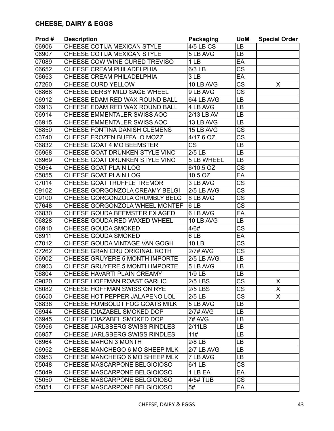| Prod# | <b>Description</b>                   | <b>Packaging</b>                  | <b>UoM</b>             | <b>Special Order</b> |
|-------|--------------------------------------|-----------------------------------|------------------------|----------------------|
| 06906 | CHEESE COTIJA MEXICAN STYLE          | 4/5 LB CS                         | LB                     |                      |
| 06907 | CHEESE COTIJA MEXICAN STYLE          | 5 LB AVG                          | LB                     |                      |
| 07089 | CHEESE COW WINE CURED TREVISO        | 1 <sub>LB</sub>                   | EA                     |                      |
| 06652 | CHEESE CREAM PHILADELPHIA            | 6/3 LB                            | $\overline{\text{CS}}$ |                      |
| 06653 | CHEESE CREAM PHILADELPHIA            | 3LB                               | EA                     |                      |
| 07260 | <b>CHEESE CURD YELLOW</b>            | 10 LB AVG                         | $\overline{\text{CS}}$ | X                    |
| 06868 | CHEESE DERBY MILD SAGE WHEEL         | 9 LB AVG                          | $\overline{\text{CS}}$ |                      |
| 06912 | CHEESE EDAM RED WAX ROUND BALL       | 6/4 LB AVG                        | LB                     |                      |
| 06913 | CHEESE EDAM RED WAX ROUND BALL       | 4 LB AVG                          | LB                     |                      |
| 06914 | CHEESE EMMENTALER SWISS AOC          | 2/13 LB AV                        | LB                     |                      |
| 06915 | CHEESE EMMENTALER SWISS AOC          | 13 LB AVG                         | LB                     |                      |
| 06850 | <b>CHEESE FONTINA DANISH CLEMENS</b> | 15 LB AVG                         | CS                     |                      |
| 03740 | <b>CHEESE FROZEN BUFFALO MOZZ</b>    | 4/17.6 OZ                         | $\overline{\text{CS}}$ |                      |
| 06832 | CHEESE GOAT 4 MO BEEMSTER            | <b>CS</b>                         | LB                     |                      |
| 06968 | CHEESE GOAT DRUNKEN STYLE VINO       | $2/5$ LB                          | LB                     |                      |
| 06969 | CHEESE GOAT DRUNKEN STYLE VINO       | <b>5 LB WHEEL</b>                 | LB                     |                      |
| 05054 | CHEESE GOAT PLAIN LOG                | 6/10.5 OZ                         | <b>CS</b>              |                      |
| 05055 | <b>CHEESE GOAT PLAIN LOG</b>         | 10.5 OZ                           | EA                     |                      |
| 07014 | <b>CHEESE GOAT TRUFFLE TREMOR</b>    | 3 LB AVG                          | CS                     |                      |
| 09102 | CHEESE GORGONZOLA CREAMY BELGI       | 2/5 LB AVG                        | $\overline{\text{CS}}$ |                      |
| 09100 | CHEESE GORGONZOLA CRUMBLY BELG       | 8 LB AVG                          | $\overline{\text{cs}}$ |                      |
| 07648 | CHEESE GORGONZOLA WHEEL MONTEF       | 6LB                               | CS                     |                      |
| 06830 | CHEESE GOUDA BEEMSTER EX AGED        | 6 LB AVG                          | EA                     |                      |
| 06828 | CHEESE GOUDA RED WAXED WHEEL         | 10 LB AVG                         | LB                     |                      |
| 06910 | <b>CHEESE GOUDA SMOKED</b>           | 4/6#                              | CS                     |                      |
| 06911 | <b>CHEESE GOUDA SMOKED</b>           | 6LB                               | EA                     |                      |
| 07012 | CHEESE GOUDA VINTAGE VAN GOGH        | <b>10 LB</b>                      | $\overline{\text{cs}}$ |                      |
| 07262 | CHEESE GRAN CRU ORIGINAL ROTH        | 2/7# AVG                          | CS                     |                      |
| 06902 | CHEESE GRUYERE 5 MONTH IMPORTE       | 2/5 LB AVG                        | LВ                     |                      |
| 06903 | CHEESE GRUYERE 5 MONTH IMPORTE       | 5 LB AVG                          | LB                     |                      |
| 06804 | CHEESE HAVARTI PLAIN CREAMY          | $1/9$ LB                          | LB                     |                      |
| 09020 | CHEESE HOFFMAN ROAST GARLIC          | <b>2/5 LBS</b>                    | CS                     | X                    |
| 08082 | CHEESE HOFFMAN SWISS ON RYE          | <b>2/5 LBS</b>                    | CS                     | X.                   |
| 06650 | CHEESE HOT PEPPER JALAPENO LOL       | $2/5$ LB                          | CS                     | X.                   |
| 06838 | CHEESE HUMBOLDT FOG GOATS MILK       | 5 LB AVG                          | LB.                    |                      |
| 06944 | CHEESE IDIAZABEL SMOKED DOP          | 2/7# AVG                          | <b>LB</b>              |                      |
| 06945 | CHEESE IDIAZABEL SMOKED DOP          | 7# AVG                            | LB                     |                      |
| 06956 | CHEESE JARLSBERG SWISS RINDLES       | 2/11LB                            | LВ                     |                      |
| 06957 | CHEESE JARLSBERG SWISS RINDLES       | 11#                               | LB.                    |                      |
| 06964 | <b>CHEESE MAHON 3 MONTH</b>          | $2/8$ LB                          | LВ                     |                      |
| 06952 | CHEESE MANCHEGO 6 MO SHEEP MLK       | 2/7 LB AVG                        | LB.                    |                      |
| 06953 | CHEESE MANCHEGO 6 MO SHEEP MLK       | 7 LB AVG                          | LB.                    |                      |
| 05048 | CHEESE MASCARPONE BELGIOIOSO         | 6/1 LB                            | $\overline{\text{CS}}$ |                      |
| 05049 | CHEESE MASCARPONE BELGIOIOSO         | 1 LB EA                           | EA                     |                      |
| 05050 | CHEESE MASCARPONE BELGIOIOSO         | $\overline{4}/\overline{5}$ # TUB | <b>CS</b>              |                      |
| 05051 | CHEESE MASCARPONE BELGIOIOSO         | 5#                                | EA                     |                      |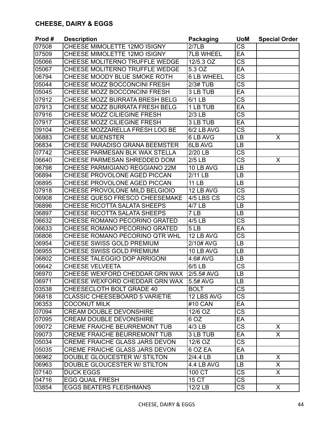| Prod# | <b>Description</b>                    | <b>Packaging</b>  | <b>UoM</b>             | <b>Special Order</b>    |
|-------|---------------------------------------|-------------------|------------------------|-------------------------|
| 07508 | CHEESE MIMOLETTE 12MO ISIGNY          | 2/7LB             | <b>CS</b>              |                         |
| 07509 | CHEESE MIMOLETTE 12MO ISIGNY          | <b>7LB WHEEL</b>  | EA                     |                         |
| 05066 | CHEESE MOLITERNO TRUFFLE WEDGE        | 12/5.3 OZ         | $\overline{\text{cs}}$ |                         |
| 05067 | <b>CHEESE MOLITERNO TRUFFLE WEDGE</b> | 5.3 OZ            | EA                     |                         |
| 06794 | <b>CHEESE MOODY BLUE SMOKE ROTH</b>   | <b>6 LB WHEEL</b> | $\overline{\text{CS}}$ |                         |
| 05044 | CHEESE MOZZ BOCCONCINI FRESH          | <b>2/3# TUB</b>   | $\overline{\text{CS}}$ |                         |
| 05045 | CHEESE MOZZ BOCCONCINI FRESH          | 3 LB TUB          | EA                     |                         |
| 07912 | CHEESE MOZZ BURRATA BRESH BELG        | 6/1 LB            | $\overline{\text{CS}}$ |                         |
| 07913 | CHEESE MOZZ BURRATA FRESH BELG        | 1 LB TUB          | EA                     |                         |
| 07916 | CHEESE MOZZ CILIEGINE FRESH           | $2/3$ LB          | $\overline{\text{CS}}$ |                         |
| 07917 | CHEESE MOZZ CILIEGINE FRESH           | 3 LB TUB          | EA                     |                         |
| 09104 | CHEESE MOZZARELLA FRESH LOG BE        | 6/2 LB AVG        | $\overline{\text{CS}}$ |                         |
| 06883 | <b>CHEESE MUENSTER</b>                | 6 LB AVG          | LB                     | X                       |
| 06834 | CHEESE PARADISO GRANA BEEMSTER        | 6LB AVG           | LB                     |                         |
| 07742 | CHEESE PARMESAN BLK WAX STELLA        | 2/20 LB           | $\overline{\text{cs}}$ |                         |
| 06640 | CHEESE PARMESAN SHREDDED DOM          | $2/5$ LB          | <b>CS</b>              | X                       |
| 06798 | CHEESE PARMIGIANO REGGIANO 22M        | 10 LB AVG         | <b>LB</b>              |                         |
| 06894 | CHEESE PROVOLONE AGED PICCAN          | 2/11 LB           | LB                     |                         |
| 06895 | CHEESE PROVOLONE AGED PICCAN          | <b>11 LB</b>      | LB                     |                         |
| 07918 | CHEESE PROVOLONE MILD BELGIOIO        | 12 LB AVG         | <b>CS</b>              |                         |
| 06908 | CHEESE QUESO FRESCO CHEESEMAKE        | 4/5 LBS CS        | $\overline{\text{cs}}$ |                         |
| 06896 | CHEESE RICOTTA SALATA SHEEPS          | 4/7 LB            | LB                     |                         |
| 06897 | <b>CHEESE RICOTTA SALATA SHEEPS</b>   | 7 LB              | LB                     |                         |
| 06632 | CHEESE ROMANO PECORINO GRATED         | $4/5$ LB          | $\overline{\text{CS}}$ |                         |
| 06633 | CHEESE ROMANO PECORINO GRATED         | 5LB               | EA                     |                         |
| 06806 | CHEESE ROMANO PECORINO QTR WHL        | 12 LB AVG         | $\overline{\text{CS}}$ |                         |
| 06954 | CHEESE SWISS GOLD PREMIUM             | 2/10# AVG         | LB                     |                         |
| 06955 | CHEESE SWISS GOLD PREMIUM             | 10 LB AVG         | LB                     |                         |
| 06802 | CHEESE TALEGGIO DOP ARRIGONI          | 4.6# AVG          | LB                     |                         |
| 06642 | <b>CHEESE VELVEETA</b>                | 6/5 LB            | <b>CS</b>              |                         |
| 06970 | CHEESE WEXFORD CHEDDAR GRN WAX        | 2/5.5# AVG        | LB                     |                         |
| 06971 | CHEESE WEXFORD CHEDDAR GRN WAX        | 5.5# AVG          | <b>LB</b>              |                         |
| 03538 | CHEESECLOTH BOLT GRADE 40             | <b>BOLT</b>       | CS                     |                         |
| 06818 | <b>CLASSIC CHEESEBOARD 5 VARIETIE</b> | 12 LBS AVG        | $\overline{\text{CS}}$ |                         |
| 06353 | <b>COCONUT MILK</b>                   | #10 CAN           | EA                     |                         |
| 07094 | <b>CREAM DOUBLE DEVONSHIRE</b>        | 12/6 OZ           | CS                     |                         |
| 07095 | <b>CREAM DOUBLE DEVONSHIRE</b>        | 6 OZ              | EA                     |                         |
| 09072 | <b>CREME FRAICHE BEURREMONT TUB</b>   | $4/3$ LB          | <b>CS</b>              | X                       |
| 09073 | <b>CREME FRAICHE BEURREMONT TUB</b>   | 3 LB TUB          | EA                     | $\overline{\mathsf{x}}$ |
| 05034 | <b>CREME FRAICHE GLASS JARS DEVON</b> | 12/6 OZ           | $\overline{\text{CS}}$ |                         |
| 05035 | CREME FRAICHE GLASS JARS DEVON        | 6 OZ EA           | EA                     |                         |
| 06962 | DOUBLE GLOUCESTER W/ STILTON          | 2/4.4 LB          | LB                     | X                       |
| 06963 | DOUBLE GLOUCESTER W/ STILTON          | 4.4 LB AVG        | <b>LB</b>              | X                       |
| 07140 | <b>DUCK EGGS</b>                      | 100 CT            | <b>CS</b>              | X.                      |
| 04716 | <b>EGG QUAIL FRESH</b>                | 15 CT             | <b>CS</b>              |                         |
| 03854 | <b>EGGS BEATERS FLEISHMANS</b>        | 12/2 LB           | CS                     | X                       |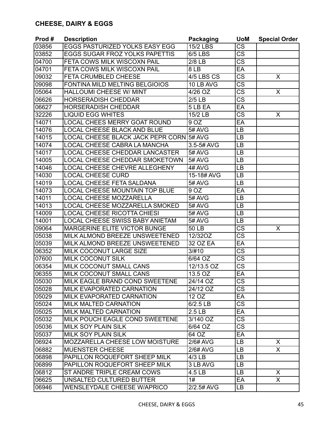| Prod# | <b>Description</b>                       | Packaging         | <b>UoM</b>             | <b>Special Order</b> |
|-------|------------------------------------------|-------------------|------------------------|----------------------|
| 03856 | EGGS PASTURIZED YOLKS EASY EGG           | $15/2$ LBS        | $\overline{\text{CS}}$ |                      |
| 03852 | <b>EGGS SUGAR FROZ YOLKS PAPETTIS</b>    | <b>6/5 LBS</b>    | $\overline{\text{CS}}$ |                      |
| 04700 | FETA COWS MILK WISCOXN PAIL              | $2/8$ LB          | CS                     |                      |
| 04701 | FETA COWS MILK WISCOXN PAIL              | 8LB               | EA                     |                      |
| 09032 | FETA CRUMBLED CHEESE                     | 4/5 LBS CS        | $\overline{\text{cs}}$ | X                    |
| 09098 | FONTINA MILD MELTING BELGIOIOS           | 10 LB AVG         | $\overline{\text{CS}}$ |                      |
| 05064 | <b>HALLOUMI CHEESE W/ MINT</b>           | 4/26 OZ           | $\overline{\text{CS}}$ | X                    |
| 06626 | <b>HORSERADISH CHEDDAR</b>               | $2/5$ LB          | $\overline{\text{CS}}$ |                      |
| 06627 | <b>HORSERADISH CHEDDAR</b>               | 5 LB EA           | EA                     |                      |
| 32226 | <b>LIQUID EGG WHITES</b>                 | 15/2 LB           | $\overline{\text{CS}}$ | X                    |
| 14071 | <b>LOCAL CHEES MERRY GOAT ROUND</b>      | 9 OZ              | EA                     |                      |
| 14076 | <b>LOCAL CHEESE BLACK AND BLUE</b>       | $5#$ AVG          | LB                     |                      |
| 14015 | <b>LOCAL CHEESE BLACK JACK PEPR CORN</b> | 5# AVG            | LB                     |                      |
| 14074 | LOCAL CHEESE CABRA LA MANCHA             | 3.5-5# AVG        | LB                     |                      |
| 14017 | <b>LOCAL CHEESE CHEDDAR LANCASTER</b>    | 5# AVG            | LB                     |                      |
| 14005 | LOCAL CHEESE CHEDDAR SMOKETOWN           | 5# AVG            | LB                     |                      |
| 14046 | LOCAL CHEESE CHEVRE ALLEGHENY            | 4# AVG            | LB                     |                      |
| 14030 | <b>LOCAL CHEESE CURD</b>                 | 15-18# AVG        | LB                     |                      |
| 14019 | <b>LOCAL CHEESE FETA SALDANA</b>         | 5# AVG            | LB                     |                      |
| 14073 | <b>LOCAL CHEESE MOUNTAIN TOP BLUE</b>    | 9 OZ              | EA                     |                      |
| 14011 | <b>LOCAL CHEESE MOZZARELLA</b>           | 5# AVG            | LB                     |                      |
| 14013 | LOCAL CHEESE MOZZARELLA SMOKED           | 5# AVG            | LB                     |                      |
| 14009 | <b>LOCAL CHEESE RICOTTA CHIESI</b>       | 5# AVG            | LB                     |                      |
| 14001 | <b>LOCAL CHEESE SWISS BABY ANIETAM</b>   | 5# AVG            | LB                     |                      |
| 09064 | <b>MARGERINE ELITE VICTOR BUNGE</b>      | <b>50 LB</b>      | CS                     | X                    |
| 05038 | MILK ALMOND BREEZE UNSWEETENED           | 12/32OZ           | $\overline{\text{cs}}$ |                      |
| 05039 | MILK ALMOND BREEZE UNSWEETENED           | 32 OZ EA          | EA                     |                      |
| 06352 | MILK COCONUT LARGE SIZE                  | 3/#10             | CS                     |                      |
| 07600 | <b>MILK COCONUT SILK</b>                 | 6/64 OZ           | $\overline{\text{CS}}$ |                      |
| 06354 | MILK COCONUT SMALL CANS                  | 12/13.5 OZ        | $\overline{\text{cs}}$ |                      |
| 06355 | MILK COCONUT SMALL CANS                  | 13.5 OZ           | EA                     |                      |
| 05030 | MILK EAGLE BRAND COND SWEETENE           | 24/14 OZ          | <b>CS</b>              |                      |
| 05028 | MILK EVAPORATED CARNATION                | 24/12 OZ          | $\overline{\text{CS}}$ |                      |
| 05029 | MILK EVAPORATED CARNATION                | 12 OZ             | EA                     |                      |
| 05024 | <b>MILK MALTED CARNATION</b>             | $6/2.5$ LB        | $\overline{\text{CS}}$ |                      |
| 05025 | <b>MILK MALTED CARNATION</b>             | 2.5 <sub>LB</sub> | EA                     |                      |
| 05032 | MILK POUCH EAGLE COND SWEETENE           | 3/140 OZ          | $\overline{\text{CS}}$ |                      |
| 05036 | <b>MILK SOY PLAIN SILK</b>               | 6/64 OZ           | CS                     |                      |
| 05037 | <b>MILK SOY PLAIN SILK</b>               | 64 OZ             | EA                     |                      |
| 06924 | MOZZARELLA CHEESE LOW MOISTURE           | 2/6# AVG          | LB                     | X.                   |
| 06882 | <b>MUENSTER CHEESE</b>                   | 2/6# AVG          | LB.                    | X                    |
| 06898 | PAPILLON ROQUEFORT SHEEP MILK            | $4/3$ LB          | LB                     |                      |
| 06899 | PAPILLON ROQUEFORT SHEEP MILK            | 3 LB AVG          | LB                     |                      |
| 06812 | ST ANDRE TRIPLE CREAM COWS               | 4.5 LB            | LB.                    | X                    |
| 06625 | UNSALTED CULTURED BUTTER                 | 1#                | EA                     | X.                   |
| 06946 | <b>WENSLEYDALE CHEESE W/APRICO</b>       | 2/2.5# AVG        | LB                     |                      |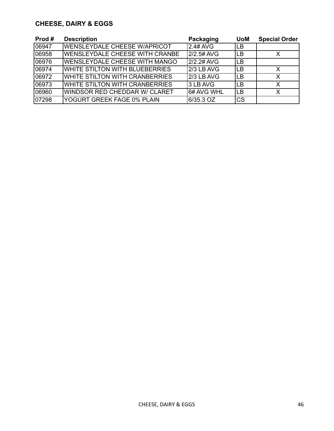# **CHEESE, DAIRY & EGGS**

| Prod # | <b>Description</b>                  | Packaging   | <b>UoM</b> | <b>Special Order</b> |
|--------|-------------------------------------|-------------|------------|----------------------|
| 06947  | <b>WENSLEYDALE CHEESE W/APRICOT</b> | 2.4# AVG    | <b>LB</b>  |                      |
| 06958  | WENSLEYDALE CHEESE WITH CRANBE      | 2/2.5# AVG  | <b>LB</b>  |                      |
| 06976  | WENSLEYDALE CHEESE WITH MANGO       | 2/2.2# AVG  | <b>LB</b>  |                      |
| 06974  | WHITE STILTON WITH BLUEBERRIES      | l2/3 LB AVG | <b>LB</b>  |                      |
| 06972  | WHITE STILTON WITH CRANBERRIES      | l2/3 LB AVG | <b>LB</b>  |                      |
| 06973  | WHITE STILTON WITH CRANBERRIES      | l3 LB AVG   | LВ         | X                    |
| 06960  | WINDSOR RED CHEDDAR W/ CLARET       | 16# AVG WHL | <b>LB</b>  | X                    |
| 07298  | YOGURT GREEK FAGE 0% PLAIN          | 6/35.3 OZ   | <b>CS</b>  |                      |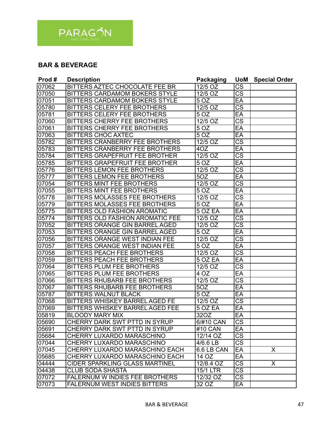

# **BAR & BEVERAGE**

| Prod# | <b>Description</b>                    | <b>Packaging</b>     | <b>UoM</b>             | <b>Special Order</b>    |
|-------|---------------------------------------|----------------------|------------------------|-------------------------|
| 07062 | BITTERS AZTEC CHOCOLATE FEE BR        | 12/5 OZ              | <b>CS</b>              |                         |
| 07050 | BITTERS CARDAMOM BOKERS STYLE         | 12/5 OZ              | $\overline{\text{CS}}$ |                         |
| 07051 | BITTERS CARDAMOM BOKERS STYLE         | 5 OZ                 | EA                     |                         |
| 05780 | <b>BITTERS CELERY FEE BROTHERS</b>    | 12/5 OZ              | $\overline{\text{CS}}$ |                         |
| 05781 | <b>BITTERS CELERY FEE BROTHERS</b>    | 5 OZ                 | EA                     |                         |
| 07060 | <b>BITTERS CHERRY FEE BROTHERS</b>    | 12/5 OZ              | $\overline{\text{cs}}$ |                         |
| 07061 | <b>BITTERS CHERRY FEE BROTHERS</b>    | 5 OZ                 | EA                     |                         |
| 07063 | <b>BITTERS CHOC AXTEC</b>             | 5 OZ                 | EA                     |                         |
| 05782 | BITTERS CRANBERRY FEE BROTHERS        | 12/5 OZ              | $\overline{\text{CS}}$ |                         |
| 05783 | BITTERS CRANBERRY FEE BROTHERS        | 4OZ                  | EA                     |                         |
| 05784 | BITTERS GRAPEFRUIT FEE BROTHER        | $12/5$ OZ            | $\overline{\text{CS}}$ |                         |
| 05785 | BITTERS GRAPEFRUIT FEE BROTHER        | 5 OZ                 | EA                     |                         |
| 05776 | <b>BITTERS LEMON FEE BROTHERS</b>     | 12/5 OZ              | $\overline{\text{CS}}$ |                         |
| 05777 | <b>BITTERS LEMON FEE BROTHERS</b>     | 50Z                  | $E$ A                  |                         |
| 07054 | <b>BITTERS MINT FEE BROTHERS</b>      | $12/5$ OZ            | $\overline{\text{cs}}$ |                         |
| 07055 | <b>BITTERS MINT FEE BROTHERS</b>      | 5OZ                  | EA                     |                         |
| 05778 | BITTERS MOLASSES FEE BROTHERS         | 12/5 OZ              | $\overline{\text{CS}}$ |                         |
| 05779 | BITTERS MOLASSES FEE BROTHERS         | 5 OZ                 | EA                     |                         |
| 05775 | <b>BITTERS OLD FASHION AROMATIC</b>   | 5 OZ EA              | EA                     |                         |
| 05774 | BITTERS OLD FASHION AROMATIC FEE      | $12/5$ OZ            | $\overline{\text{CS}}$ |                         |
| 07052 | BITTERS ORANGE GIN BARREL AGED        | 12/5 OZ              | $\overline{\text{CS}}$ |                         |
| 07053 | BITTERS ORANGE GIN BARREL AGED        | 5 OZ                 | EA                     |                         |
| 07056 | BITTERS ORANGE WEST INDIAN FEE        | 12/5 OZ              | $\overline{\text{cs}}$ |                         |
| 07057 | BITTERS ORANGE WEST INDIAN FEE        | 5 OZ                 | EA                     |                         |
| 07058 | <b>BITTERS PEACH FEE BROTHERS</b>     | 12/5 OZ              | $\overline{\text{cs}}$ |                         |
| 07059 | <b>BITTERS PEACH FEE BROTHERS</b>     | 5 OZ EA              | EA                     |                         |
| 07064 | <b>BITTERS PLUM FEE BROTHERS</b>      | 12/5 OZ              | $\overline{\text{cs}}$ |                         |
| 07065 | <b>BITTERS PLUM FEE BROTHERS</b>      | 4 OZ                 | EA                     |                         |
| 07066 | <b>BITTERS RHUBARB FEE BROTHERS</b>   | $\overline{12/5}$ OZ | $\overline{\text{CS}}$ |                         |
| 07067 | <b>BITTERS RHUBARB FEE BROTHERS</b>   | 5OZ                  | EA                     |                         |
| 05787 | <b>BITTERS WALNUT BLACK</b>           | 5 OZ                 | EA                     |                         |
| 07068 | <b>BITTERS WHISKEY BARREL AGED FE</b> | 12/5 OZ              | $\overline{\text{CS}}$ |                         |
| 07069 | BITTERS WHISKEY BARREL AGED FEE       | 5 OZ EA              | EA                     |                         |
| 05819 | <b>BLOODY MARY MIX</b>                | 32OZ                 | EA                     |                         |
| 05690 | CHERRY DARK SWT PTTD IN SYRUP         | 6/#10 CAN            | $\overline{\text{CS}}$ |                         |
| 05691 | CHERRY DARK SWT PTTD IN SYRUP         | #10 CAN              | EA                     |                         |
| 05684 | CHERRY LUXARDO MARASCHINO             | 12/14 OZ             | $\overline{\text{CS}}$ |                         |
| 07044 | CHERRY LUXARDO MARASCHINO             | $4/6.6$ LB           | $\overline{\text{CS}}$ |                         |
| 07045 | CHERRY LUXARDO MARASCHINO EACH        | 6.6 LB CAN           | $E$ A                  | $\overline{\mathsf{x}}$ |
| 05685 | CHERRY LUXARDO MARASCHINO EACH        | 14 OZ                | EA                     |                         |
| 04444 | <b>CIDER SPARKLING GLASS MARTINEL</b> | 12/8.4 OZ            | $\overline{\text{CS}}$ | X                       |
| 04438 | <b>CLUB SODA SHASTA</b>               | 15/1 LTR             | $\overline{\text{CS}}$ |                         |
| 07072 | <b>FALERNUM W INDIES FEE BROTHERS</b> | 12/32 OZ             | $\overline{\text{CS}}$ |                         |
| 07073 | <b>FALERNUM WEST INDIES BITTERS</b>   | 32 OZ                | EA                     |                         |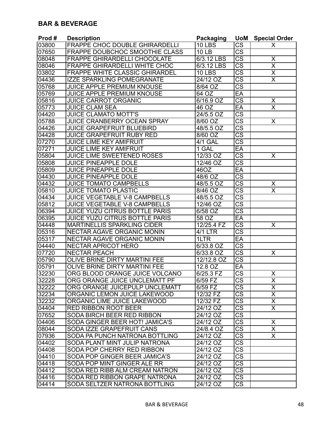#### **BAR & BEVERAGE**

| Prod# | <b>Description</b>                    | Packaging     | <b>UoM</b>             | <b>Special Order</b>    |
|-------|---------------------------------------|---------------|------------------------|-------------------------|
| 03800 | FRAPPE CHOC DOUBLE GHIRARDELLI        | <b>10 LBS</b> | CS                     | X                       |
| 07650 | FRAPPE DOUBCHOC SMOOTHIE CLASS        | <b>10 LB</b>  | <b>CS</b>              |                         |
| 08048 | <b>FRAPPE GHIRARDELLI CHOCOLATE</b>   | 6/3.12 LBS    | <b>CS</b>              | Χ                       |
| 08046 | <b>FRAPPE GHIRARDELLI WHITE CHOC</b>  | 6/3.12 LBS    | $\overline{\text{CS}}$ | $\overline{\mathsf{x}}$ |
| 03802 | <b>FRAPPE WHITE CLASSIC GHIRARDEL</b> | <b>10 LBS</b> | $\overline{\text{CS}}$ | $\overline{\mathsf{x}}$ |
| 04436 | <b>IZZE SPARKLING POMEGRANATE</b>     | 24/12 OZ      | $\overline{\text{cs}}$ | $\overline{\sf x}$      |
| 05768 | <b>JUICE APPLE PREMIUM KNOUSE</b>     | 8/64 OZ       | $\overline{\text{CS}}$ |                         |
| 05769 | <b>JUICE APPLE PREMIUM KNOUSE</b>     | 64 OZ         | EA                     |                         |
| 05816 | <b>JUICE CARROT ORGANIC</b>           | 6/16.9 OZ     | $\overline{\text{cs}}$ | X                       |
| 05773 | <b>JUICE CLAM SEA</b>                 | 46 OZ         | EA                     | $\overline{\sf x}$      |
| 04420 | <b>JUICE CLAMATO MOTT'S</b>           | 24/5.5 OZ     | $\overline{\text{CS}}$ |                         |
| 05788 | JUICE CRANBERRY OCEAN SPRAY           | 8/60 OZ       | $\overline{\text{CS}}$ | X                       |
| 04426 | <b>JUICE GRAPEFRUIT BLUEBIRD</b>      | 48/5.5 OZ     | $\overline{\text{CS}}$ |                         |
| 04428 | <b>JUICE GRAPEFRUIT RUBY RED</b>      | 8/60 OZ       | $\overline{\text{CS}}$ |                         |
| 07270 | <b>JUICE LIME KEY AMIFRUIT</b>        | 4/1 GAL       | $\overline{\text{CS}}$ |                         |
| 07271 | <b>JUICE LIME KEY AMIFRUIT</b>        | 1 GAL         | EA                     |                         |
| 05804 | <b>JUICE LIME SWEETENED ROSES</b>     | $12/33$ OZ    | $\overline{\text{CS}}$ | X                       |
| 05808 | <b>JUICE PINEAPPLE DOLE</b>           | 12/46 OZ      | $\overline{\text{cs}}$ |                         |
| 05809 | <b>JUICE PINEAPPLE DOLE</b>           | 46OZ          | EA                     |                         |
| 04430 | <b>JUICE PINEAPPLE DOLE</b>           | 48/6 OZ       | $\overline{\text{cs}}$ |                         |
| 04432 | <b>JUICE TOMATO CAMPBELLS</b>         | 48/5.5 OZ     | $\overline{\text{CS}}$ | X                       |
| 05810 | <b>JUICE TOMATO PLASTIC</b>           | 8/46 OZ       | $\overline{\text{cs}}$ | $\overline{\mathsf{x}}$ |
| 04434 | <b>JUICE VEGETABLE V-8 CAMPBELLS</b>  | 48/5.5 OZ     | $\overline{\text{CS}}$ |                         |
| 05812 | <b>JUICE VEGETABLE V-8 CAMPBELLS</b>  | 12/46 OZ      | $\overline{\text{CS}}$ |                         |
| 06394 | <b>JUICE YUZU CITRUS BOTTLE PARIS</b> | 6/58 OZ       | $\overline{\text{CS}}$ |                         |
| 06395 | <b>JUICE YUZU CITRUS BOTTLE PARIS</b> | 58 OZ         | EA                     |                         |
| 04448 | <b>MARTINELLIS SPARKLING CIDER</b>    | 12/25.4 FZ    | CS                     | X                       |
| 05316 | NECTAR AGAVE ORGANIC MONIN            | 4/1 LTR       | CS                     |                         |
| 05317 | <b>NECTAR AGAVE ORGANIC MONIN</b>     | 1LTR          | EA                     |                         |
| 04440 | <b>NECTAR APRICOT HERO</b>            | 6/33.8 OZ     | $\overline{\text{CS}}$ |                         |
| 07720 | <b>NECTAR PEACH</b>                   | $6/33.8$ OZ   | $\overline{\text{CS}}$ | X                       |
| 05790 | <b>OLIVE BRINE DIRTY MARTINI FEE</b>  | 12/12.8 OZ    | $\overline{\text{cs}}$ |                         |
| 05791 | OLIVE BRINE DIRTY MARTINI FEE         | 12.8 OZ       | EA                     |                         |
| 32230 | ORG BLOOD ORANGE JUICE VOLCANO        | 6/25.3 FZ     | $\overline{\text{cs}}$ | X                       |
| 32228 | ORG ORANGE JUICE UNCLEMATT PF         | 6/59 FZ       | <b>CS</b>              | х                       |
| 32222 | ORG ORANGE JUICEPULP UNCLEMATT        | 6/59 FZ       | $\overline{\text{CS}}$ | X                       |
| 32234 | ORGANIC LEMON JUICE LAKEWOOD          | 12/32 FZ      | $\overline{\text{CS}}$ | X                       |
| 32232 | ORGANIC LIME JUICE LAKEWOOD           | 12/32 FZ      | $\overline{\text{CS}}$ | X.                      |
| 04404 | <b>RED RIBBON ROOT BEER</b>           | 24/12 OZ      | $\overline{\text{CS}}$ | $\overline{X}$          |
| 07652 | SODA BIRCH BEER RED RIBBON            | 24/12 OZ      | $\overline{\text{CS}}$ |                         |
| 04406 | SODA GINGER BEER HOT! JAMICA'S        | 24/12 OZ      | $\overline{\text{CS}}$ | X                       |
| 08044 | SODA IZZE GRAPEFRUIT CANS             | 24/8.4 OZ     | $\overline{\text{CS}}$ | $\overline{\mathsf{x}}$ |
| 07936 | SODA PA PUNCH NATRONA BOTTLING        | 24/12 OZ      | $\overline{\text{CS}}$ | $\overline{\mathsf{x}}$ |
| 04402 | SODA PLANT MINT JULIP NATRONA         | 24/12 OZ      | $\overline{\text{CS}}$ |                         |
| 04408 | SODA POP CHERRY RED RIBBON            | 24/12 OZ      | $\overline{\text{CS}}$ |                         |
| 04410 | SODA POP GINGER BEER JAMICA'S         | 24/12 OZ      | $\overline{\text{CS}}$ |                         |
| 04418 | SODA POP MINT GINGER ALE RR           | 24/12 OZ      | $\overline{\text{CS}}$ |                         |
| 04412 | <b>SODA RED RIBB ALM CREAM NATRON</b> | 24/12 OZ      | $\overline{\text{CS}}$ |                         |
| 04416 | SODA RED RIBBON GRAPE NATRONA         | 24/12 OZ      | $\overline{\text{CS}}$ |                         |
| 04414 | SODA SELTZER NATRONA BOTTLING         | 24/12 OZ      | $\overline{\text{CS}}$ |                         |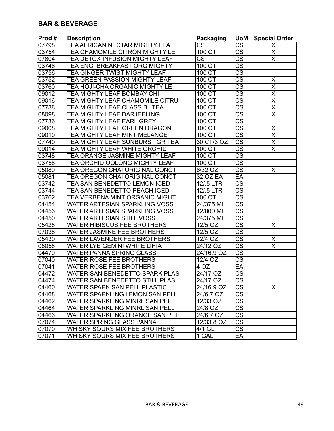#### **BAR & BEVERAGE**

| Prod#              | <b>Description</b>                    | <b>Packaging</b>       | <b>UoM</b>             | <b>Special Order</b>                |
|--------------------|---------------------------------------|------------------------|------------------------|-------------------------------------|
| 07798              | TEA AFRICAN NECTAR MIGHTY LEAF        | $\overline{\text{CS}}$ | <b>CS</b>              | X                                   |
| 03754              | TEA CHAMOMILE CITRON MIGHTY LE        | 100 CT                 | <b>CS</b>              | X                                   |
| 07804              | TEA DETOX INFUSION MIGHTY LEAF        | <b>CS</b>              | <b>CS</b>              | X                                   |
| 03746              | TEA ENG. BREAKFAST ORG MIGHTY         | 100 CT                 | $\overline{\text{CS}}$ |                                     |
| 03756              | <b>TEA GINGER TWIST MIGHTY LEAF</b>   | 100 CT                 | $\overline{\text{cs}}$ |                                     |
| 03752              | <b>TEA GREEN PASSION MIGHTY LEAF</b>  | 100 CT                 | $\overline{\text{CS}}$ | X                                   |
| 03760              | TEA HOJI-CHA ORGANIC MIGHTY LE        | 100 CT                 | $\overline{\text{CS}}$ | $\overline{\mathsf{x}}$             |
| 09012              | TEA MIGHTY LEAF BOMBAY CHI            | 100 CT                 | $\overline{\text{CS}}$ | $\overline{\mathsf{x}}$             |
| 09016              | TEA MIGHTY LEAF CHAMOMILE CITRU       | 100 CT                 | $\overline{\text{CS}}$ | $\overline{\mathsf{x}}$             |
| 07738              | TEA MIGHTY LEAF CLASS BL TEA          | 100 CT                 | $\overline{\text{CS}}$ | $\overline{\mathsf{x}}$             |
| 08098              | TEA MIGHTY LEAF DARJEELING            | 100 CT                 | $\overline{\text{CS}}$ | $\overline{\mathsf{x}}$             |
| 07736              | TEA MIGHTY LEAF EARL GREY             | 100 CT                 | $\overline{\text{CS}}$ |                                     |
| 09008              | TEA MIGHTY LEAF GREEN DRAGON          | 100 CT                 | $\overline{\text{CS}}$ | $\pmb{\mathsf{X}}$                  |
| 09010              | TEA MIGHTY LEAF MINT MELANGE          | 100 CT                 | CS                     | X                                   |
| 07740              | TEA MIGHTY LEAF SUNBURST GR TEA       | 30 CT/3 OZ             | $\overline{\text{CS}}$ | $\frac{\overline{X}}{\overline{X}}$ |
| $0901\overline{4}$ | TEA MIGHTY LEAF WHITE ORCHID          | 100 CT                 | $\overline{\text{CS}}$ |                                     |
| 03748              | TEA ORANGE JASMINE MIGHTY LEAF        | 100 CT                 | $\overline{\text{CS}}$ |                                     |
| 03758              | <b>TEA ORCHID OOLONG MIGHTY LEAF</b>  | 100 CT                 | $\overline{\text{CS}}$ |                                     |
| 05080              | <b>TEA OREGON CHAI ORIGINAL CONCT</b> | 6/32 OZ                | CS                     | X                                   |
| 05081              | TEA OREGON CHAI ORIGINAL CONCT        | 32 OZ EA               | EA                     |                                     |
| 03742              | TEA SAN BENEDETTO LEMON ICED          | 12/.5 LTR              | $\overline{\text{CS}}$ |                                     |
| 03744              | TEA SAN BENEDETTO PEACH ICED          | 12/.5 LTR              | $\overline{\text{CS}}$ |                                     |
| 03762              | TEA VERBENA MINT ORGANIC MIGHT        | 100 CT                 | $\overline{\text{CS}}$ |                                     |
| 04454              | WATER ARTESIAN SPARKLING VOSS         | 24/375 ML              | $\overline{\text{CS}}$ |                                     |
| 04456              | WATER ARTESIAN SPARKLING VOSS         | 12/800 ML              | $\overline{\text{CS}}$ |                                     |
| 04450              | <b>WATER ARTESIAN STILL VOSS</b>      | 24/375 ML              | CS                     |                                     |
| 05428              | <b>WATER HIBISCUS FEE BROTHERS</b>    | 12/5 OZ                | <b>CS</b>              | X                                   |
| 07038              | WATER JASMINE FEE BROTHERS            | 12/5 OZ                | <b>CS</b>              |                                     |
| 05430              | WATER LAVENDER FEE BROTHERS           | 12/4 OZ                | $\overline{\text{CS}}$ | X                                   |
| 08058              | <b>WATER LYE GEMINI WHITE LIHIA</b>   | 24/12 OZ               | $\overline{\text{cs}}$ | $\overline{\mathsf{x}}$             |
| 04470              | <b>WATER PANNA SPRING GLASS</b>       | 24/16.9 OZ             | $\overline{\text{cs}}$ |                                     |
| 07040              | <b>WATER ROSE FEE BROTHERS</b>        | $12/4$ OZ              | $\overline{\text{CS}}$ |                                     |
| 07041              | <b>WATER ROSE FEE BROTHERS</b>        | 4 OZ                   | EA                     |                                     |
| 04472              | WATER SAN BENEDETTO SPARK PLAS        | 24/17 OZ               | $\overline{\text{CS}}$ |                                     |
| 104474             | WATER SAN BENEDETTO STILL PLAS        | 24/17 OZ               | ∣CS                    |                                     |
| 04460              | WATER SPARK SAN PELL PLASTIC          | 24/16.9 OZ             | CS                     | X                                   |
| 04468              | WATER SPARKLING LEMON SAN PELL        | 24/6.7 OZ              | CS                     |                                     |
| 04462              | WATER SPARKLING MINRL SAN PELL        | 12/33 OZ               | $\overline{\text{CS}}$ |                                     |
| 04464              | <b>WATER SPARKLING MINRL SAN PELL</b> | 24/8 OZ                | CS                     |                                     |
| 04466              | WATER SPARKLING ORANGE SAN PEL        | 24/6.7 OZ              | CS                     |                                     |
| 07074              | WATER SPRING GLASS PANNA              | 12/33.8 OZ             | <b>CS</b>              |                                     |
| 07070              | WHISKY SOURS MIX FEE BROTHERS         | 4/1 GL                 | <b>CS</b>              |                                     |
| 07071              | WHISKY SOURS MIX FEE BROTHERS         | 1 GAL                  | EA                     |                                     |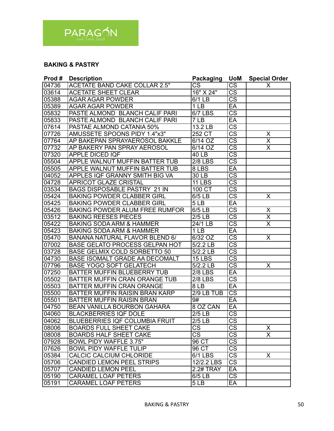

#### **BAKING & PASTRY**

| Prod# | <b>Description</b>                    | Packaging            | <b>UoM</b>             | <b>Special Order</b>    |
|-------|---------------------------------------|----------------------|------------------------|-------------------------|
| 04736 | <b>ACETATE BAND CAKE COLLAR 2.5"</b>  | CS                   | CS                     | X                       |
| 03614 | <b>ACETATE SHEET CLEAR</b>            | 16" X 24"            | $\overline{\text{CS}}$ |                         |
| 05388 | <b>AGAR AGAR POWDER</b>               | 6/1 LB               | $\overline{\text{CS}}$ |                         |
| 05389 | <b>AGAR AGAR POWDER</b>               | 1 <sub>LB</sub>      | EA                     |                         |
| 05832 | PASTE ALMOND BLANCH CALIF PARI        | <b>6/7 LBS</b>       | $\overline{\text{CS}}$ |                         |
| 05833 | PASTE ALMOND BLANCH CALIF PARI        | 7LB                  | EA                     |                         |
| 07614 | PASTAE ALMOND CATANIA 50%             | 13.2 LB              | $\overline{\text{cs}}$ |                         |
| 07726 | AMUSSETE SPOONS PIDY 1.4"x3"          | 252 CT               | $\overline{\text{CS}}$ | Χ                       |
| 07764 | AP BAKEPAN SPRAYAEROSOL BAKKLE        | 6/14 OZ              | $\overline{\text{CS}}$ | $\overline{\mathsf{x}}$ |
| 07732 | AP BAKERY PAN SPRAY AEROSOL           | $6/14$ OZ            | $\overline{\text{CS}}$ | $\overline{\mathsf{x}}$ |
| 07320 | APPLE DICED IQF                       | 40 LB                | $\overline{\text{CS}}$ |                         |
| 05504 | <b>APPLE WALNUT MUFFIN BATTER TUB</b> | <b>2/8 LBS</b>       | CS                     |                         |
| 05505 | <b>APPLE WALNUT MUFFIN BATTER TUB</b> | 8 LBS                | EA                     |                         |
| 04052 | <b>APPLES IQF GRANNY SMITH BIG VA</b> | 30 LB                | $\overline{\text{cs}}$ |                         |
| 04728 | <b>APRICOT GLAZE CRISTAL</b>          | <b>11 LBS</b>        | $\overline{\text{cs}}$ |                         |
| 03534 | <b>BAGS DISPOSABLE PASTRY 21 IN</b>   | 100 CT               | $\overline{\text{cs}}$ |                         |
| 05424 | <b>BAKING POWDER CLABBER GIRL</b>     | 6/5LB                | $\overline{\text{cs}}$ | X                       |
| 05425 | <b>BAKING POWDER CLABBER GIRL</b>     | 5LB                  | EA                     |                         |
| 05426 | <b>BAKING POWDER ALUM FREE RUMFOR</b> | 6/5 LB               | $\overline{\text{cs}}$ | X                       |
| 03512 | <b>BAKING REESES PIECES</b>           | $2/5$ LB             | $\overline{\text{CS}}$ | $\overline{\mathsf{x}}$ |
| 05422 | <b>BAKING SODA ARM &amp; HAMMER</b>   | $\overline{24/1}$ LB | $\overline{\text{CS}}$ | $\overline{\mathsf{x}}$ |
| 05423 | <b>BAKING SODA ARM &amp; HAMMER</b>   | 1 <sub>LB</sub>      | EA                     |                         |
| 05470 | <b>BANANA NATURAL FLAVOR BLEND 6/</b> | 6/32 OZ              | $\overline{\text{CS}}$ | X                       |
| 07002 | <b>BASE GELATO PROCESS GELPAN HOT</b> | 5/2.2 LB             | $\overline{\text{CS}}$ |                         |
| 03728 | <b>BASE GELMIX COLD SORBETTO 50</b>   | 5/2.2 LB             | $\overline{\text{CS}}$ |                         |
| 04730 | <b>BASE ISOMALT GRADE AA DECOMALT</b> | <b>15 LBS</b>        | $\overline{\text{cs}}$ |                         |
| 07796 | <b>BASE YOGO SOFT GELATECH</b>        | 5/2.2 LB             | $\overline{\text{CS}}$ | X                       |
| 07250 | BATTER MUFFIN BLUEBERRY TUB           | <b>2/8 LBS</b>       | EA                     |                         |
| 05502 | BATTER MUFFIN CRAN ORANGE TUB         | <b>2/8 LBS</b>       | $\overline{\text{CS}}$ |                         |
| 05503 | <b>BATTER MUFFIN CRAN ORANGE</b>      | 8LB                  | EA                     |                         |
| 05500 | BATTER MUFFIN RAISIN BRAN KARP        | $2/9$ LB TUB         | $\overline{\text{CS}}$ |                         |
| 05501 | <b>BATTER MUFFIN RAISIN BRAN</b>      | 9#                   | EA                     |                         |
| 04750 | <b>BEAN VANILLA BOURBON GAHARA</b>    | 8 OZ CAN             | EA                     |                         |
| 04060 | <b>BLACKBERRIES IQF DOLE</b>          | $2/5$ LB             | $\overline{\text{CS}}$ |                         |
| 04062 | <b>BLUEBERRIES IQF COLUMBIA FRUIT</b> | $2/5$ LB             | $\overline{\text{cs}}$ |                         |
| 08006 | <b>BOARDS FULL SHEET CAKE</b>         | <b>CS</b>            | $\overline{\text{cs}}$ | X                       |
| 08008 | <b>BOARDS HALF SHEET CAKE</b>         | CS                   | $\overline{\text{CS}}$ | $\mathsf{X}$            |
| 07928 | BOWL PIDY WAFFLE 3.75"                | 96 CT                | $\overline{\text{cs}}$ |                         |
| 07626 | <b>BOWL PIDY WAFFLE TULIP</b>         | 96 CT                | $\overline{\text{cs}}$ |                         |
| 05384 | CALCIC CALCIUM CHLORIDE               | 6/1 LBS              | $\overline{\text{cs}}$ | $\overline{\mathsf{x}}$ |
| 05706 | <b>CANDIED LEMON PEEL STRIPS</b>      | 12/2.2 LBS           | $\overline{\text{cs}}$ |                         |
| 05707 | <b>CANDIED LEMON PEEL</b>             | 2.2# <b>TRAY</b>     | $E$ A                  |                         |
| 05190 | <b>CARAMEL LOAF PETERS</b>            | $6/5$ LB             | $\overline{\text{CS}}$ |                         |
| 05191 | <b>CARAMEL LOAF PETERS</b>            | 5LB                  | $E$ A                  |                         |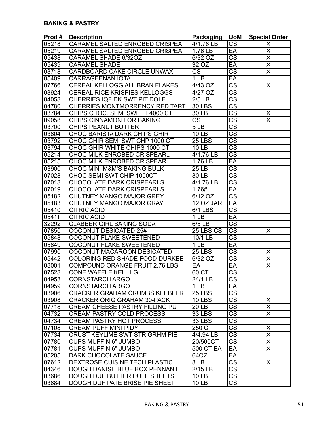| Prod#                       | <b>Description</b>                     | Packaging              | <b>UoM</b>             | <b>Special Order</b>    |
|-----------------------------|----------------------------------------|------------------------|------------------------|-------------------------|
| 05218                       | <b>CARAMEL SALTED ENROBED CRISPEA</b>  | $\frac{1}{4}$ /1.76 LB | $\overline{\text{CS}}$ | Χ                       |
| 05219                       | <b>CARAMEL SALTED ENROBED CRISPEA</b>  | 1.76 LB                | EA                     | $\overline{\mathsf{x}}$ |
| 05438                       | CARAMEL SHADE 6/32OZ                   | 6/32 OZ                | $\overline{\text{CS}}$ | $\overline{\mathsf{x}}$ |
| 05439                       | <b>CARAMEL SHADE</b>                   | 32 OZ                  | EA                     | $\overline{\mathsf{x}}$ |
| 03718                       | <b>CARDBOARD CAKE CIRCLE UNWAX</b>     | $\overline{\text{CS}}$ | $\overline{\text{cs}}$ | $\overline{\mathsf{x}}$ |
| 05409                       | <b>CARRAGEENAN IOTA</b>                | 1 <sub>LB</sub>        | EA                     |                         |
| 07766                       | CEREAL KELLOGG ALL BRAN FLAKES         | 4/43 OZ                | $\overline{\text{cs}}$ | $\overline{\mathsf{X}}$ |
| 03924                       | <b>CEREAL RICE KRISPIES KELLOGGS</b>   | $4/27$ OZ              | $\overline{\text{cs}}$ |                         |
| 04058                       | CHERRIES IQF DK SWT PIT DOLE           | $2/5$ LB               | $\overline{\text{cs}}$ |                         |
| 04780                       | <b>CHERRIES MONTMORRENCY RED TART</b>  | <b>30 LBS</b>          | $\overline{\text{cs}}$ |                         |
| 03784                       | CHIPS CHOC. SEMI SWEET 4000 CT         | 30 LB                  | $\overline{\text{cs}}$ | X                       |
| 09058                       | <b>CHIPS CINNAMON FOR BAKING</b>       | $\overline{\text{CS}}$ | $\overline{\text{cs}}$ | $\overline{\sf x}$      |
| 03700                       | <b>CHIPS PEANUT BUTTER</b>             | 5 <sub>LB</sub>        | $\overline{\text{cs}}$ |                         |
| 03804                       | <b>CHOC BARISTA DARK CHIPS GHIR</b>    | <b>10 LB</b>           | $\overline{\text{cs}}$ |                         |
| 03792                       | CHOC GHIR SEMI SWT CHP 1000 CT         | <b>25 LBS</b>          | $\overline{\text{cs}}$ |                         |
| 03794                       | CHOC GHIR WHITE CHIPS 1000 CT          | <b>10 LB</b>           | $\overline{\text{CS}}$ |                         |
| 05214                       | <b>CHOC MILK ENROBED CRISPEARL</b>     | 4/1.76 LB              | $\overline{\text{cs}}$ |                         |
| 05215                       | <b>CHOC MILK ENROBED CRISPEARL</b>     | 1.76 LB                | EA                     |                         |
| 03900                       | <b>CHOC MINI M&amp;M'S BAKING BULK</b> | 25 <sub>LB</sub>       | $\overline{\text{cs}}$ |                         |
| 07028                       | CHOC SEMI SWT CHIP 1000CT              | 30 LB                  | $\overline{\text{cs}}$ |                         |
| 07018                       | <b>CHOCOLATE DARK CRISPEARLS</b>       | $4/1.76$ LB            | $\overline{\text{cs}}$ |                         |
| 07019                       | <b>CHOCOLATE DARK CRISPEARLS</b>       | 1.76#                  | EA                     |                         |
| 05182                       | CHUTNEY MANGO MAJOR GREY               | 6/12 OZ                | $\overline{\text{cs}}$ |                         |
| 05183                       | CHUTNEY MANGO MAJOR GRAY               | 12 OZ JAR              | EA                     |                         |
| 05410                       | <b>CITRIC ACID</b>                     | $6/1$ LBS              | $\overline{\text{cs}}$ |                         |
| 05411                       | <b>CITRIC ACID</b>                     | 1 <sub>LB</sub>        | EA                     |                         |
| 32292                       | <b>CLABBER GIRL BAKING SODA</b>        | 6/5LB                  | $\overline{\text{cs}}$ |                         |
| 07850                       | <b>COCONUT DESICATED 25#</b>           | 25 LBS CS              | $\overline{\text{CS}}$ | X                       |
| 05848                       | <b>COCONUT FLAKE SWEETENED</b>         | 10/1 LB                | $\overline{\text{cs}}$ |                         |
| 05849                       | <b>COCONUT FLAKE SWEETENED</b>         | $\overline{1}$ LB      | EA                     |                         |
| 07990                       | COCONUT MACAROON DESICATED             | $25$ LBS               | $\overline{\text{CS}}$ |                         |
| 05442                       | <b>COLORING RED SHADE FOOD DURKEE</b>  | 6/32 OZ                | $\overline{\text{cs}}$ | $\frac{X}{X}$           |
| 08001                       | <b>COMPOUND ORANGE FRUIT 2.76 LBS</b>  | EA                     | EA                     | $\overline{\sf x}$      |
| 07528                       | CONE WAFFLE KELL LG                    | 60 CT                  | $\overline{\text{cs}}$ |                         |
| 04958                       | CORNSTARCH ARGO                        | 24/1 LB                | CS                     |                         |
| 04959                       | <b>CORNSTARCH ARGO</b>                 | 1 <sub>LB</sub>        | EA                     |                         |
| 03906                       | <b>CRACKER GRAHAM CRUMBS KEEBLER</b>   | <b>25 LBS</b>          | $\overline{\text{CS}}$ |                         |
| 03908                       | <b>CRACKER ORIG GRAHAM 30-PACK</b>     | $10$ LBS               | $\overline{\text{cs}}$ | X                       |
| 07718                       | <b>CREAM CHEESE PASTRY FILLING PU</b>  | 20LB                   | $\overline{\text{CS}}$ | $\overline{\mathsf{x}}$ |
| 04732                       | <b>CREAM PASTRY COLD PROCESS</b>       |                        | $\overline{\text{cs}}$ | $\overline{\mathsf{x}}$ |
|                             |                                        | 33 LBS                 | $\overline{\text{CS}}$ |                         |
| 04734                       | <b>CREAM PASTRY HOT PROCESS</b>        | <b>33 LBS</b>          |                        |                         |
| 07108<br>$\overline{077}34$ | <b>CREAM PUFF MINI PIDY</b>            | 250 CT                 | $\overline{\text{CS}}$ | X                       |
| 07780                       | <b>CRUST KEYLIME SWT STR GRHM PIE</b>  | 4/4.94 LB              | $\overline{\text{CS}}$ | X                       |
|                             | <b>CUPS MUFFIN 6" JUMBO</b>            | 20/500CT               | $\overline{\text{CS}}$ | $\overline{\mathsf{x}}$ |
| 07781                       | <b>CUPS MUFFIN 6" JUMBO</b>            | <b>500 CT EA</b>       | EA                     | $\overline{\mathsf{x}}$ |
| 05205                       | DARK CHOCOLATE SAUCE                   | 64OZ                   | EA                     |                         |
| 07612                       | <b>DEXTROSE CUISINE TECH PLASTIC</b>   | 8LB                    | $\overline{\text{cs}}$ | X                       |
| 04346                       | DOUGH DANISH BLUE BOX PENNANT          | 2/15 LB                | $\overline{\text{CS}}$ |                         |
| 03686                       | <b>DOUGH DUF BUTTER PUFF SHEETS</b>    | <b>10 LB</b>           | $\overline{\text{CS}}$ |                         |
| 03684                       | DOUGH DUF PATE BRISE PIE SHEET         | <b>10 LB</b>           | $\overline{\text{CS}}$ |                         |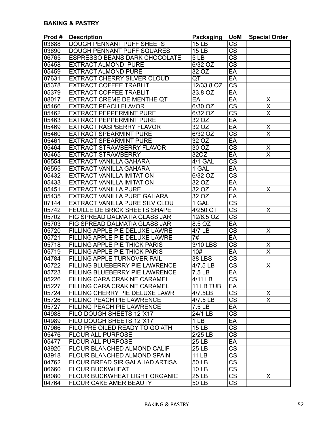| Prod# | <b>Description</b>                   | <b>Packaging</b>      | <b>UoM</b>             | <b>Special Order</b>    |
|-------|--------------------------------------|-----------------------|------------------------|-------------------------|
| 03688 | <b>DOUGH PENNANT PUFF SHEETS</b>     | <b>15 LB</b>          | <b>CS</b>              |                         |
| 03690 | <b>DOUGH PENNANT PUFF SQUARES</b>    | 15LB                  | $\overline{\text{cs}}$ |                         |
| 06765 | <b>ESPRESSO BEANS DARK CHOCOLATE</b> | 5LB                   | $\overline{\text{cs}}$ |                         |
| 05458 | <b>EXTRACT ALMOND PURE</b>           | 6/32 OZ               | $\overline{\text{CS}}$ |                         |
| 05459 | <b>EXTRACT ALMOND PURE</b>           | $32\overline{OZ}$     | EA                     |                         |
| 07631 | <b>EXTRACT CHERRY SILVER CLOUD</b>   | QT                    | EA                     |                         |
| 05378 | <b>EXTRACT COFFEE TRABLIT</b>        | 12/33.8 OZ            | $\overline{\text{cs}}$ |                         |
| 05379 | <b>EXTRACT COFFEE TRABLIT</b>        | 33.8 OZ               | EA                     |                         |
| 08017 | <b>EXTRACT CREME DE MENTHE QT</b>    | EA                    | EA                     | Χ                       |
| 05466 | <b>EXTRACT PEACH FLAVOR</b>          | $6/30$ OZ             | $\overline{\text{cs}}$ | $\overline{\mathsf{x}}$ |
| 05462 | <b>EXTRACT PEPPERMINT PURE</b>       | 6/32 OZ               | $\overline{\text{cs}}$ | $\overline{\sf x}$      |
| 05463 | <b>EXTRACT PEPPERMINT PURE</b>       | 320Z                  | $E$ A                  |                         |
| 05469 | <b>EXTRACT RASPBERRY FLAVOR</b>      | 32OZ                  | EA                     | $\overline{\mathsf{X}}$ |
| 05460 | <b>EXTRACT SPEARMINT PURE</b>        | 6/32 OZ               | $\overline{\text{cs}}$ | $\overline{\sf x}$      |
| 05461 | <b>EXTRACT SPEARMINT PURE</b>        | 32 OZ                 | EA                     |                         |
| 05464 | <b>EXTRACT STRAWBERRY FLAVOR</b>     | 30 OZ                 | $\overline{\text{CS}}$ | $\overline{\mathsf{X}}$ |
| 05465 | <b>EXTRACT STRAWBERRY</b>            | 32OZ                  | EA                     | $\overline{\sf x}$      |
| 06554 | <b>EXTRACT VANILLA GAHARA</b>        | <b>4/1 GAL</b>        | $\overline{\text{CS}}$ |                         |
| 06555 | <b>EXTRACT VANILLA GAHARA</b>        | 1 GAL                 | EA                     |                         |
| 05432 | <b>EXTRACT VANILLA IMITATION</b>     | 6/32 OZ               | $\overline{\text{cs}}$ |                         |
| 05433 | <b>EXTRACT VANILLA IMITATION</b>     | 32OZ                  | EA                     |                         |
| 05451 | <b>EXTRACT VANILLA PURE</b>          | 32OZ                  | $E$ A                  | X                       |
| 05435 | <b>EXTRACT VANILLA PURE GAHARA</b>   | 32 OZ                 | EA                     |                         |
| 07144 | EXTRACT VANILLA PURE SILV CLOU       | 1 GAL                 | $\overline{\text{cs}}$ |                         |
| 05742 | FEUILLE DE BRICK SHEETS SHAPE        | 4/250 CT              | $\overline{\text{cs}}$ | X                       |
| 05702 | FIG SPREAD DALMATIA GLASS JAR        | 12/8.5 OZ             | $\overline{\text{CS}}$ |                         |
| 05703 | FIG SPREAD DALMATIA GLASS JAR        | 8.5 OZ                | EA                     |                         |
| 05720 | FILLING APPLE PIE DELUXE LAWRE       | 4/7 LB                | $\overline{\text{CS}}$ | X                       |
| 05721 | FILLING APPLE PIE DELUXE LAWRE       | 7#                    | EA                     |                         |
| 05718 | <b>FILLING APPLE PIE THICK PARIS</b> | $\overline{3/10}$ LBS | $\overline{\text{cs}}$ | $\overline{\mathsf{X}}$ |
| 05719 | <b>FILLING APPLE PIE THICK PARIS</b> | 10#                   | EA                     | $\overline{\sf x}$      |
| 04784 | <b>FILLING APPLE TURNOVER PAIL</b>   | <b>38 LBS</b>         | $\overline{\text{cs}}$ |                         |
| 05722 | FILLING BLUEBERRY PIE LAWRENCE       | 4/7.5LB               | $\overline{\text{cs}}$ | X                       |
| 05723 | FILLING BLUEBERRY PIE LAWRENCE       | 7.5 LB                | $E$ A                  |                         |
| 05226 | FILLING CARA CRAKINE CARAMEL         | 4/11 LB               | <b>CS</b>              |                         |
| 05227 | FILLING CARA CRAKINE CARAMEL         | 11 LB TUB             | EA                     |                         |
| 05724 | FILLING CHERRY PIE DELUXE LAWR       | 4/7.5LB               | $\overline{\text{CS}}$ | X                       |
| 05726 | FILLING PEACH PIE LAWRENCE           | $4/7.5$ LB            | $\overline{\text{cs}}$ | $\overline{\mathsf{x}}$ |
| 05727 | <b>FILLING PEACH PIE LAWRENCE</b>    | 7.5 LB                | $E$ A                  |                         |
| 04988 | FILO DOUGH SHEETS 12"X17"            | 24/1 LB               | $\overline{\text{CS}}$ |                         |
| 04989 | FILO DOUGH SHEETS 12"X17"            | 1 <sub>LB</sub>       | EA                     |                         |
| 07966 | FILO PRE OILED READY TO GO ATH       | <b>15 LB</b>          | $\overline{\text{CS}}$ |                         |
| 05476 | <b>FLOUR ALL PURPOSE</b>             | $\overline{2}/25$ LB  | CS                     |                         |
| 05477 | <b>FLOUR ALL PURPOSE</b>             | <b>25 LB</b>          | EA                     |                         |
| 03920 | FLOUR BLANCHED ALMOND CALIF          | 25 LB                 | $\overline{\text{CS}}$ |                         |
| 03918 | FLOUR BLANCHED ALMOND SPAIN          | <b>11 LB</b>          | $\overline{\text{CS}}$ |                         |
| 04762 | FLOUR BREAD SIR GALAHAD ARTISA       | 50 LB                 | $\overline{\text{cs}}$ |                         |
| 06660 | <b>FLOUR BUCKWHEAT</b>               | 10LB                  | $\overline{\text{cs}}$ |                         |
| 08080 | FLOUR BUCKWHEAT LIGHT ORGANIC        | 25 LB                 | $\overline{\text{CS}}$ | X                       |
| 04764 | FLOUR CAKE AMER BEAUTY               | <b>50 LB</b>          | $\overline{\text{CS}}$ |                         |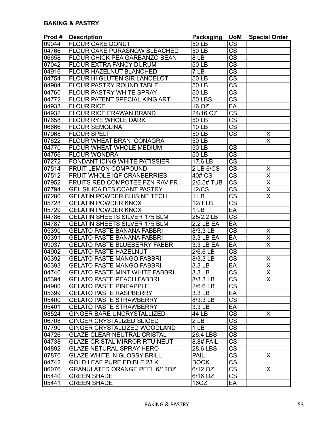| Prod# | <b>Description</b>                    | <b>Packaging</b>    | <b>UoM</b>             | <b>Special Order</b>    |
|-------|---------------------------------------|---------------------|------------------------|-------------------------|
| 09044 | <b>FLOUR CAKE DONUT</b>               | 50 LB               | <b>CS</b>              |                         |
| 04766 | <b>FLOUR CAKE PURASNOW BLEACHED</b>   | 50 LB               | $\overline{\text{CS}}$ |                         |
| 06658 | <b>FLOUR CHICK PEA GARBANZO BEAN</b>  | 8LB                 | $\overline{\text{CS}}$ |                         |
| 07042 | <b>FLOUR EXTRA FANCY DURUM</b>        | 50 LB               | $\overline{\text{cs}}$ |                         |
| 04916 | <b>FLOUR HAZELNUT BLANCHED</b>        | 7LB                 | $\overline{\text{CS}}$ |                         |
| 04754 | <b>FLOUR HI GLUTEN SIR LANCELOT</b>   | 50 LB               | $\overline{\text{cs}}$ |                         |
| 04904 | <b>FLOUR PASTRY ROUND TABLE</b>       | 50 LB               | $\overline{\text{cs}}$ |                         |
| 04760 | <b>FLOUR PASTRY WHITE SPRAY</b>       | 50 LB               | $\overline{\text{cs}}$ |                         |
| 04772 | FLOUR PATENT SPECIAL KING ART         | <b>50 LBS</b>       | $\overline{\text{CS}}$ |                         |
| 04933 | <b>FLOUR RICE</b>                     | 16 OZ               | EA                     |                         |
| 04932 | <b>FLOUR RICE ERAWAN BRAND</b>        | 24/16 OZ            | $\overline{\text{cs}}$ |                         |
| 07658 | <b>FLOUR RYE WHOLE DARK</b>           | 50 LB               | $\overline{\text{cs}}$ |                         |
| 06666 | <b>FLOUR SEMOLINA</b>                 | 10 LB               | $\overline{\text{cs}}$ |                         |
| 07968 | <b>FLOUR SPELT</b>                    | 50 LB               | $\overline{\text{cs}}$ | X                       |
| 07622 | FLOUR WHEAT BRAN CONAGRA              | 50 LB               |                        | $\overline{\mathsf{x}}$ |
| 04770 | FLOUR WHEAT WHOLE MEDIUM              | 50 LB               | <b>CS</b>              |                         |
| 04756 | <b>FLOUR WONDRA</b>                   | 50 LB               | $\overline{\text{cs}}$ |                         |
| 07272 | <b>FONDANT ICING WHITE PATISSIER</b>  | 17.6 LB             | $\overline{\text{CS}}$ |                         |
| 07514 | <b>FRUIT LEMON COMPOUND</b>           | 2 LB 6/CS           | $\overline{\text{CS}}$ | X                       |
| 07512 | <b>FRUIT WHOLE IQF CRANBERRIES</b>    | 40# CS              | $\overline{\text{CS}}$ | $\overline{\mathsf{x}}$ |
| 07952 | <b>FRUITS RED COMPOTEE FZN RAVIFR</b> | 2/5.5# TUB          | $\overline{\text{cs}}$ | $\overline{\sf x}$      |
| 07794 | <b>GEL SILICA DESICCANT PASTRY</b>    | $12\overline{C}$    | $\overline{\text{CS}}$ | $\overline{\mathsf{x}}$ |
| 07280 | <b>GELATIN POWDER CUISINE TECH</b>    | 1 <sub>LB</sub>     | $\overline{\text{CS}}$ | $\overline{\sf x}$      |
| 05728 | <b>GELATIN POWDER KNOX</b>            | 12/1 LB             | $\overline{\text{cs}}$ |                         |
| 05729 | <b>GELATIN POWDER KNOX</b>            | $\overline{1}$ LB   | EA                     |                         |
| 04786 | <b>GELATIN SHEETS SILVER 175 BLM</b>  | 25/2.2 LB           | $\overline{\text{CS}}$ |                         |
| 04787 | <b>GELATIN SHEETS SILVER 175 BLM</b>  | $2.2$ LB EA         | EA                     |                         |
| 05390 | <b>GELATO PASTE BANANA FABBRI</b>     | 8/3.3 LB            | $\overline{\text{CS}}$ | X                       |
| 05391 | <b>GELATO PASTE BANANA FABBRI</b>     | $3.3$ LB EA         | EA                     | $\overline{\mathsf{x}}$ |
| 09037 | <b>GELATO PASTE BLUEBERRY FABBRI</b>  | 3.3 LB EA           | EA                     | $\overline{\mathsf{X}}$ |
| 04902 | <b>GELATO PASTE HAZELNUT</b>          | 2/6.6 LB            | $\overline{\text{cs}}$ |                         |
| 05392 | <b>GELATO PASTE MANGO FABBRI</b>      | 8/3.3 LB            | $\overline{\text{cs}}$ | Χ                       |
| 05393 | <b>GELATO PASTE MANGO FABBRI</b>      | 3.3 <sub>LB</sub>   | EA                     | $\overline{\mathsf{x}}$ |
| 04740 | <b>GELATO PASTE MINT WHITE FABBRI</b> | $\overline{3.3}$ LB | $\overline{\text{CS}}$ | $\overline{\mathsf{x}}$ |
| 05394 | <b>GELATO PASTE PEACH FABBRI</b>      | 8/3.3 LB            | <b>CS</b>              | $\overline{\mathsf{x}}$ |
| 04900 | <b>GELATO PASTE PINEAPPLE</b>         | 2/6.6 LB            | $\overline{\text{CS}}$ |                         |
| 05399 | <b>GELATO PASTE RASPBERRY</b>         | 3.3 LB              | EA                     |                         |
| 05400 | <b>GELATO PASTE STRAWBERRY</b>        | 8/3.3 LB            | $\overline{\text{CS}}$ |                         |
| 05401 | <b>GELATO PASTE STRAWBERRY</b>        | 3.3 <sub>LB</sub>   | $E$ A                  |                         |
| 08524 | <b>GINGER BARE UNCRYSTALLIZED</b>     | 44 LB               | $\overline{\text{CS}}$ | X.                      |
| 06708 | <b>GINGER CRYSTALIZED SLICED</b>      | 2 LB                | $\overline{\text{cs}}$ |                         |
| 07790 | GINGER CRYSTALLIZED WOODLAND          | 1 <sub>LB</sub>     | $\overline{\text{CS}}$ |                         |
| 04726 | <b>GLAZE CLEAR NEUTRAL CRISTAL</b>    | 26.4 LBS            | $\overline{\text{CS}}$ |                         |
| 04738 | <b>GLAZE CRISTAL MIRROR RTU NEUT</b>  | 8.8# PAIL           | $\overline{\text{CS}}$ |                         |
| 04892 | <b>GLAZE NETURAL SPRAY HERO</b>       | 28.6 LBS            | $\overline{\text{CS}}$ |                         |
| 07870 | <b>GLAZE WHITE 'N GLOSSY BRILL</b>    | PAIL                | $\overline{\text{CS}}$ | X                       |
| 04742 | <b>GOLD LEAF PURE EDIBLE 23 K</b>     | <b>BOOK</b>         | $\overline{\text{CS}}$ |                         |
| 06076 | <b>GRANULATED ORANGE PEEL 6/12OZ</b>  | 6/12 OZ             | $\overline{\text{cs}}$ | X                       |
| 05440 | <b>GREEN SHADE</b>                    | 6/16 OZ             | $\overline{\text{CS}}$ |                         |
| 05441 | <b>GREEN SHADE</b>                    | 16OZ                | EA                     |                         |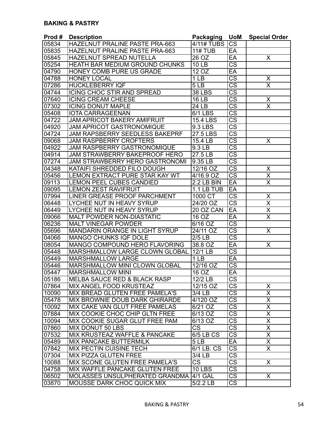| HAZELNUT PRALINE PASTE PRA-663<br><b>CS</b><br>05834<br>$11#$ TUB<br>EA<br>05835<br>HAZELNUT PRALINE PASTE PRA-663<br>05845<br>HAZELNUT SPREAD NUTELLA<br>26 OZ<br>EA<br>X<br>$\overline{\text{cs}}$<br>05254<br>HEATH BAR MEDIUM GROUND CHUNKS<br><b>10 LB</b><br>EA<br>HONEY COMB PURE US GRADE<br>12 OZ<br>04790<br>$\overline{\text{CS}}$<br>04788<br><b>HONEY LOCAL</b><br>1 <sub>LB</sub><br>$\frac{x}{x}$<br>$\overline{\text{cs}}$<br>07286<br><b>HUCKLEBERRY IQF</b><br>5LB<br>$\overline{\text{CS}}$<br>ICING CHOC STIR AND SPREAD<br><b>38 LBS</b><br>04744<br>$\overline{\text{cs}}$<br>07640<br><b>ICING CREAM CHEESE</b><br><b>16 LB</b><br>Χ<br>$\overline{\sf x}$<br>$\overline{\text{CS}}$<br>07302<br><b>ICING DONUT MAPLE</b><br>$\overline{2}$ 4 LB<br>$\overline{\text{cs}}$<br>05408<br><b>IOTA CARRAGEENAN</b><br>$6/1$ LBS<br>$\overline{\text{cs}}$<br>04722<br><b>JAM APRICOT BAKERY AMIFRUIT</b><br>15.4 LBS<br>$\overline{\text{cs}}$<br><b>JAM APRICOT GASTRONOMIQUE</b><br>9.3 LBS<br>04920<br>$\overline{\text{cs}}$<br>JAM RAPSBERRY SEEDLESS BAKEPRF<br>04724<br>27.5 LBS<br>$\overline{\text{cs}}$<br><b>JAM RASPBERRY CROFTERS</b><br>09068<br>15.4 LB<br>X<br>$\overline{\text{CS}}$<br>04922<br><b>JAM RASPBERRY GASTRONOMIQUE</b><br>9.3 LB<br>$\overline{\text{cs}}$<br>04914<br>27.5 LB<br><b>JAM STRAWBERRY BAKEPROOF HERO</b><br>$\overline{\text{CS}}$<br>07274<br>9.35 LB<br><b>JAM STRAWBERRY HERO GASTRONOMI</b><br>$\overline{\text{cs}}$<br>04348<br>12/16 OZ<br>KATAIFI SHREDDED FILO DOUGH<br>X<br>$\overline{\text{cs}}$<br>$\overline{\mathsf{x}}$<br>05456<br>LEMON EXTRACT PURE STAR KAY WT<br>4/16.9 OZ<br>EA<br>$\overline{\sf x}$<br><b>LEMON PEEL CUBES CANDIED</b><br>$2.2$ LB BIN<br>09113<br>$E$ A<br><b>LEMON ZEST RAVIFRUIT</b><br>1.1 LB TUB<br>09095<br>$\overline{\text{cs}}$<br>1000 CT<br><b>LINER GREASE PROOF PARCHMENT</b><br>07994<br>Χ<br>$\overline{\sf x}$<br>$\overline{\text{CS}}$<br>06448<br>LYCHEE NUT IN HEAVY SYRUP<br>24/20 OZ<br>$\overline{\mathsf{x}}$<br>EA<br>06449<br>LYCHEE NUT IN HEAVY SYRUP<br>20 OZ CAN<br>$\overline{\sf x}$<br>EA<br>09066<br>16 OZ<br><b>MALT POWDER NON-DIASTATIC</b><br>$\overline{\text{CS}}$<br>06236<br><b>MALT VINEGAR POWDER</b><br>6/16 OZ<br>$\overline{\text{CS}}$<br>MANDARIN ORANGE IN LIGHT SYRUP<br>24/11 OZ<br>X<br>05696<br>$\overline{\text{cs}}$<br><b>MANGO CHUNKS IQF DOLE</b><br>$2/5$ LB<br>04066<br>EA<br>MANGO COMPOUND HERO FLAVORING<br>38.8 OZ<br>08054<br>Χ<br>$\overline{\text{CS}}$<br>12/1 LB<br>05448<br>MARSHMALLOW LARGE CLOWN GLOBAL<br><b>MARSHMALLOW LARGE</b><br>EA<br>1 <sub>LB</sub><br>05449<br>$\overline{\text{cs}}$<br><b>MARSHMALLOW MINI CLOWN GLOBAL</b><br>12/16 OZ<br>05446<br>EA<br>05447<br>16 <sub>OZ</sub><br><b>MARSHMALLOW MINI</b><br>05186<br> MELBA SAUCE RED & BLACK RASP <br>12/2 LB<br>CS<br>$\overline{\text{CS}}$<br>07864<br>$\overline{12}/15$ OZ<br>MIX ANGEL FOOD KRUSTEAZ<br>X<br>$\overline{\text{CS}}$<br>$\overline{\mathsf{x}}$<br>MIX BREAD GLUTEN FREE PAMELA'S<br>3/4 LB<br>10090<br>$\overline{\text{cs}}$<br>$\overline{\mathsf{x}}$<br>MIX BROWNIE DOUB DARK GHIRARDE<br>4/120 OZ<br>05478<br>$\overline{\text{CS}}$<br>$\overline{\mathsf{x}}$<br>MIX CAKE VAN GLUT FREE PAMELAS<br>$6/21$ OZ<br>10092<br>$\overline{\text{cs}}$<br>$\overline{\mathsf{X}}$<br>MIX COOKIE CHOC CHIP GLTN FREE<br>07884<br>6/13 OZ<br>$\overline{\mathsf{X}}$<br>$\overline{\text{CS}}$<br>10094<br>MIX COOKIE SUGAR GLUT FREE PAM<br>6/13 OZ<br>$\overline{\mathsf{x}}$<br>$\overline{\text{cs}}$<br><b>CS</b><br>07860<br>MIX DONUT 50 LBS<br>$\overline{X}$<br>CS<br>07532<br><b>MIX KRUSTEAZ WAFFLE &amp; PANCAKE</b><br>6/5 LB CS<br>$\overline{\mathsf{X}}$<br>EA<br>05489<br><b>MIX PANCAKE BUTTERMILK</b><br>5LB<br>$\overline{\text{CS}}$<br>$\overline{\mathsf{x}}$<br>07842<br>MIX PECTIN CUISINE TECH<br>6/1 LB. CS<br>$\overline{\text{CS}}$<br>07304<br>MIX PIZZA GLUTEN FREE<br>3/4 LB | Prod# | <b>Description</b>             | Packaging              | <b>UoM</b>             | <b>Special Order</b> |
|--------------------------------------------------------------------------------------------------------------------------------------------------------------------------------------------------------------------------------------------------------------------------------------------------------------------------------------------------------------------------------------------------------------------------------------------------------------------------------------------------------------------------------------------------------------------------------------------------------------------------------------------------------------------------------------------------------------------------------------------------------------------------------------------------------------------------------------------------------------------------------------------------------------------------------------------------------------------------------------------------------------------------------------------------------------------------------------------------------------------------------------------------------------------------------------------------------------------------------------------------------------------------------------------------------------------------------------------------------------------------------------------------------------------------------------------------------------------------------------------------------------------------------------------------------------------------------------------------------------------------------------------------------------------------------------------------------------------------------------------------------------------------------------------------------------------------------------------------------------------------------------------------------------------------------------------------------------------------------------------------------------------------------------------------------------------------------------------------------------------------------------------------------------------------------------------------------------------------------------------------------------------------------------------------------------------------------------------------------------------------------------------------------------------------------------------------------------------------------------------------------------------------------------------------------------------------------------------------------------------------------------------------------------------------------------------------------------------------------------------------------------------------------------------------------------------------------------------------------------------------------------------------------------------------------------------------------------------------------------------------------------------------------------------------------------------------------------------------------------------------------------------------------------------------------------------------------------------------------------------------------------------------------------------------------------------------------------------------------------------------------------------------------------------------------------------------------------------------------------------------------------------------------------------------------------------------------------------------------------------------------------------------------------------------------------------------------------------------------------------------------------------------------------------------------------------------------------------------------------------------------------------------------------------------------------------------------------------------------------|-------|--------------------------------|------------------------|------------------------|----------------------|
|                                                                                                                                                                                                                                                                                                                                                                                                                                                                                                                                                                                                                                                                                                                                                                                                                                                                                                                                                                                                                                                                                                                                                                                                                                                                                                                                                                                                                                                                                                                                                                                                                                                                                                                                                                                                                                                                                                                                                                                                                                                                                                                                                                                                                                                                                                                                                                                                                                                                                                                                                                                                                                                                                                                                                                                                                                                                                                                                                                                                                                                                                                                                                                                                                                                                                                                                                                                                                                                                                                                                                                                                                                                                                                                                                                                                                                                                                                                                                                                      |       |                                | <b>4/11# TUBS</b>      |                        |                      |
|                                                                                                                                                                                                                                                                                                                                                                                                                                                                                                                                                                                                                                                                                                                                                                                                                                                                                                                                                                                                                                                                                                                                                                                                                                                                                                                                                                                                                                                                                                                                                                                                                                                                                                                                                                                                                                                                                                                                                                                                                                                                                                                                                                                                                                                                                                                                                                                                                                                                                                                                                                                                                                                                                                                                                                                                                                                                                                                                                                                                                                                                                                                                                                                                                                                                                                                                                                                                                                                                                                                                                                                                                                                                                                                                                                                                                                                                                                                                                                                      |       |                                |                        |                        |                      |
|                                                                                                                                                                                                                                                                                                                                                                                                                                                                                                                                                                                                                                                                                                                                                                                                                                                                                                                                                                                                                                                                                                                                                                                                                                                                                                                                                                                                                                                                                                                                                                                                                                                                                                                                                                                                                                                                                                                                                                                                                                                                                                                                                                                                                                                                                                                                                                                                                                                                                                                                                                                                                                                                                                                                                                                                                                                                                                                                                                                                                                                                                                                                                                                                                                                                                                                                                                                                                                                                                                                                                                                                                                                                                                                                                                                                                                                                                                                                                                                      |       |                                |                        |                        |                      |
|                                                                                                                                                                                                                                                                                                                                                                                                                                                                                                                                                                                                                                                                                                                                                                                                                                                                                                                                                                                                                                                                                                                                                                                                                                                                                                                                                                                                                                                                                                                                                                                                                                                                                                                                                                                                                                                                                                                                                                                                                                                                                                                                                                                                                                                                                                                                                                                                                                                                                                                                                                                                                                                                                                                                                                                                                                                                                                                                                                                                                                                                                                                                                                                                                                                                                                                                                                                                                                                                                                                                                                                                                                                                                                                                                                                                                                                                                                                                                                                      |       |                                |                        |                        |                      |
|                                                                                                                                                                                                                                                                                                                                                                                                                                                                                                                                                                                                                                                                                                                                                                                                                                                                                                                                                                                                                                                                                                                                                                                                                                                                                                                                                                                                                                                                                                                                                                                                                                                                                                                                                                                                                                                                                                                                                                                                                                                                                                                                                                                                                                                                                                                                                                                                                                                                                                                                                                                                                                                                                                                                                                                                                                                                                                                                                                                                                                                                                                                                                                                                                                                                                                                                                                                                                                                                                                                                                                                                                                                                                                                                                                                                                                                                                                                                                                                      |       |                                |                        |                        |                      |
|                                                                                                                                                                                                                                                                                                                                                                                                                                                                                                                                                                                                                                                                                                                                                                                                                                                                                                                                                                                                                                                                                                                                                                                                                                                                                                                                                                                                                                                                                                                                                                                                                                                                                                                                                                                                                                                                                                                                                                                                                                                                                                                                                                                                                                                                                                                                                                                                                                                                                                                                                                                                                                                                                                                                                                                                                                                                                                                                                                                                                                                                                                                                                                                                                                                                                                                                                                                                                                                                                                                                                                                                                                                                                                                                                                                                                                                                                                                                                                                      |       |                                |                        |                        |                      |
|                                                                                                                                                                                                                                                                                                                                                                                                                                                                                                                                                                                                                                                                                                                                                                                                                                                                                                                                                                                                                                                                                                                                                                                                                                                                                                                                                                                                                                                                                                                                                                                                                                                                                                                                                                                                                                                                                                                                                                                                                                                                                                                                                                                                                                                                                                                                                                                                                                                                                                                                                                                                                                                                                                                                                                                                                                                                                                                                                                                                                                                                                                                                                                                                                                                                                                                                                                                                                                                                                                                                                                                                                                                                                                                                                                                                                                                                                                                                                                                      |       |                                |                        |                        |                      |
|                                                                                                                                                                                                                                                                                                                                                                                                                                                                                                                                                                                                                                                                                                                                                                                                                                                                                                                                                                                                                                                                                                                                                                                                                                                                                                                                                                                                                                                                                                                                                                                                                                                                                                                                                                                                                                                                                                                                                                                                                                                                                                                                                                                                                                                                                                                                                                                                                                                                                                                                                                                                                                                                                                                                                                                                                                                                                                                                                                                                                                                                                                                                                                                                                                                                                                                                                                                                                                                                                                                                                                                                                                                                                                                                                                                                                                                                                                                                                                                      |       |                                |                        |                        |                      |
|                                                                                                                                                                                                                                                                                                                                                                                                                                                                                                                                                                                                                                                                                                                                                                                                                                                                                                                                                                                                                                                                                                                                                                                                                                                                                                                                                                                                                                                                                                                                                                                                                                                                                                                                                                                                                                                                                                                                                                                                                                                                                                                                                                                                                                                                                                                                                                                                                                                                                                                                                                                                                                                                                                                                                                                                                                                                                                                                                                                                                                                                                                                                                                                                                                                                                                                                                                                                                                                                                                                                                                                                                                                                                                                                                                                                                                                                                                                                                                                      |       |                                |                        |                        |                      |
|                                                                                                                                                                                                                                                                                                                                                                                                                                                                                                                                                                                                                                                                                                                                                                                                                                                                                                                                                                                                                                                                                                                                                                                                                                                                                                                                                                                                                                                                                                                                                                                                                                                                                                                                                                                                                                                                                                                                                                                                                                                                                                                                                                                                                                                                                                                                                                                                                                                                                                                                                                                                                                                                                                                                                                                                                                                                                                                                                                                                                                                                                                                                                                                                                                                                                                                                                                                                                                                                                                                                                                                                                                                                                                                                                                                                                                                                                                                                                                                      |       |                                |                        |                        |                      |
|                                                                                                                                                                                                                                                                                                                                                                                                                                                                                                                                                                                                                                                                                                                                                                                                                                                                                                                                                                                                                                                                                                                                                                                                                                                                                                                                                                                                                                                                                                                                                                                                                                                                                                                                                                                                                                                                                                                                                                                                                                                                                                                                                                                                                                                                                                                                                                                                                                                                                                                                                                                                                                                                                                                                                                                                                                                                                                                                                                                                                                                                                                                                                                                                                                                                                                                                                                                                                                                                                                                                                                                                                                                                                                                                                                                                                                                                                                                                                                                      |       |                                |                        |                        |                      |
|                                                                                                                                                                                                                                                                                                                                                                                                                                                                                                                                                                                                                                                                                                                                                                                                                                                                                                                                                                                                                                                                                                                                                                                                                                                                                                                                                                                                                                                                                                                                                                                                                                                                                                                                                                                                                                                                                                                                                                                                                                                                                                                                                                                                                                                                                                                                                                                                                                                                                                                                                                                                                                                                                                                                                                                                                                                                                                                                                                                                                                                                                                                                                                                                                                                                                                                                                                                                                                                                                                                                                                                                                                                                                                                                                                                                                                                                                                                                                                                      |       |                                |                        |                        |                      |
|                                                                                                                                                                                                                                                                                                                                                                                                                                                                                                                                                                                                                                                                                                                                                                                                                                                                                                                                                                                                                                                                                                                                                                                                                                                                                                                                                                                                                                                                                                                                                                                                                                                                                                                                                                                                                                                                                                                                                                                                                                                                                                                                                                                                                                                                                                                                                                                                                                                                                                                                                                                                                                                                                                                                                                                                                                                                                                                                                                                                                                                                                                                                                                                                                                                                                                                                                                                                                                                                                                                                                                                                                                                                                                                                                                                                                                                                                                                                                                                      |       |                                |                        |                        |                      |
|                                                                                                                                                                                                                                                                                                                                                                                                                                                                                                                                                                                                                                                                                                                                                                                                                                                                                                                                                                                                                                                                                                                                                                                                                                                                                                                                                                                                                                                                                                                                                                                                                                                                                                                                                                                                                                                                                                                                                                                                                                                                                                                                                                                                                                                                                                                                                                                                                                                                                                                                                                                                                                                                                                                                                                                                                                                                                                                                                                                                                                                                                                                                                                                                                                                                                                                                                                                                                                                                                                                                                                                                                                                                                                                                                                                                                                                                                                                                                                                      |       |                                |                        |                        |                      |
|                                                                                                                                                                                                                                                                                                                                                                                                                                                                                                                                                                                                                                                                                                                                                                                                                                                                                                                                                                                                                                                                                                                                                                                                                                                                                                                                                                                                                                                                                                                                                                                                                                                                                                                                                                                                                                                                                                                                                                                                                                                                                                                                                                                                                                                                                                                                                                                                                                                                                                                                                                                                                                                                                                                                                                                                                                                                                                                                                                                                                                                                                                                                                                                                                                                                                                                                                                                                                                                                                                                                                                                                                                                                                                                                                                                                                                                                                                                                                                                      |       |                                |                        |                        |                      |
|                                                                                                                                                                                                                                                                                                                                                                                                                                                                                                                                                                                                                                                                                                                                                                                                                                                                                                                                                                                                                                                                                                                                                                                                                                                                                                                                                                                                                                                                                                                                                                                                                                                                                                                                                                                                                                                                                                                                                                                                                                                                                                                                                                                                                                                                                                                                                                                                                                                                                                                                                                                                                                                                                                                                                                                                                                                                                                                                                                                                                                                                                                                                                                                                                                                                                                                                                                                                                                                                                                                                                                                                                                                                                                                                                                                                                                                                                                                                                                                      |       |                                |                        |                        |                      |
|                                                                                                                                                                                                                                                                                                                                                                                                                                                                                                                                                                                                                                                                                                                                                                                                                                                                                                                                                                                                                                                                                                                                                                                                                                                                                                                                                                                                                                                                                                                                                                                                                                                                                                                                                                                                                                                                                                                                                                                                                                                                                                                                                                                                                                                                                                                                                                                                                                                                                                                                                                                                                                                                                                                                                                                                                                                                                                                                                                                                                                                                                                                                                                                                                                                                                                                                                                                                                                                                                                                                                                                                                                                                                                                                                                                                                                                                                                                                                                                      |       |                                |                        |                        |                      |
|                                                                                                                                                                                                                                                                                                                                                                                                                                                                                                                                                                                                                                                                                                                                                                                                                                                                                                                                                                                                                                                                                                                                                                                                                                                                                                                                                                                                                                                                                                                                                                                                                                                                                                                                                                                                                                                                                                                                                                                                                                                                                                                                                                                                                                                                                                                                                                                                                                                                                                                                                                                                                                                                                                                                                                                                                                                                                                                                                                                                                                                                                                                                                                                                                                                                                                                                                                                                                                                                                                                                                                                                                                                                                                                                                                                                                                                                                                                                                                                      |       |                                |                        |                        |                      |
|                                                                                                                                                                                                                                                                                                                                                                                                                                                                                                                                                                                                                                                                                                                                                                                                                                                                                                                                                                                                                                                                                                                                                                                                                                                                                                                                                                                                                                                                                                                                                                                                                                                                                                                                                                                                                                                                                                                                                                                                                                                                                                                                                                                                                                                                                                                                                                                                                                                                                                                                                                                                                                                                                                                                                                                                                                                                                                                                                                                                                                                                                                                                                                                                                                                                                                                                                                                                                                                                                                                                                                                                                                                                                                                                                                                                                                                                                                                                                                                      |       |                                |                        |                        |                      |
|                                                                                                                                                                                                                                                                                                                                                                                                                                                                                                                                                                                                                                                                                                                                                                                                                                                                                                                                                                                                                                                                                                                                                                                                                                                                                                                                                                                                                                                                                                                                                                                                                                                                                                                                                                                                                                                                                                                                                                                                                                                                                                                                                                                                                                                                                                                                                                                                                                                                                                                                                                                                                                                                                                                                                                                                                                                                                                                                                                                                                                                                                                                                                                                                                                                                                                                                                                                                                                                                                                                                                                                                                                                                                                                                                                                                                                                                                                                                                                                      |       |                                |                        |                        |                      |
|                                                                                                                                                                                                                                                                                                                                                                                                                                                                                                                                                                                                                                                                                                                                                                                                                                                                                                                                                                                                                                                                                                                                                                                                                                                                                                                                                                                                                                                                                                                                                                                                                                                                                                                                                                                                                                                                                                                                                                                                                                                                                                                                                                                                                                                                                                                                                                                                                                                                                                                                                                                                                                                                                                                                                                                                                                                                                                                                                                                                                                                                                                                                                                                                                                                                                                                                                                                                                                                                                                                                                                                                                                                                                                                                                                                                                                                                                                                                                                                      |       |                                |                        |                        |                      |
|                                                                                                                                                                                                                                                                                                                                                                                                                                                                                                                                                                                                                                                                                                                                                                                                                                                                                                                                                                                                                                                                                                                                                                                                                                                                                                                                                                                                                                                                                                                                                                                                                                                                                                                                                                                                                                                                                                                                                                                                                                                                                                                                                                                                                                                                                                                                                                                                                                                                                                                                                                                                                                                                                                                                                                                                                                                                                                                                                                                                                                                                                                                                                                                                                                                                                                                                                                                                                                                                                                                                                                                                                                                                                                                                                                                                                                                                                                                                                                                      |       |                                |                        |                        |                      |
|                                                                                                                                                                                                                                                                                                                                                                                                                                                                                                                                                                                                                                                                                                                                                                                                                                                                                                                                                                                                                                                                                                                                                                                                                                                                                                                                                                                                                                                                                                                                                                                                                                                                                                                                                                                                                                                                                                                                                                                                                                                                                                                                                                                                                                                                                                                                                                                                                                                                                                                                                                                                                                                                                                                                                                                                                                                                                                                                                                                                                                                                                                                                                                                                                                                                                                                                                                                                                                                                                                                                                                                                                                                                                                                                                                                                                                                                                                                                                                                      |       |                                |                        |                        |                      |
|                                                                                                                                                                                                                                                                                                                                                                                                                                                                                                                                                                                                                                                                                                                                                                                                                                                                                                                                                                                                                                                                                                                                                                                                                                                                                                                                                                                                                                                                                                                                                                                                                                                                                                                                                                                                                                                                                                                                                                                                                                                                                                                                                                                                                                                                                                                                                                                                                                                                                                                                                                                                                                                                                                                                                                                                                                                                                                                                                                                                                                                                                                                                                                                                                                                                                                                                                                                                                                                                                                                                                                                                                                                                                                                                                                                                                                                                                                                                                                                      |       |                                |                        |                        |                      |
|                                                                                                                                                                                                                                                                                                                                                                                                                                                                                                                                                                                                                                                                                                                                                                                                                                                                                                                                                                                                                                                                                                                                                                                                                                                                                                                                                                                                                                                                                                                                                                                                                                                                                                                                                                                                                                                                                                                                                                                                                                                                                                                                                                                                                                                                                                                                                                                                                                                                                                                                                                                                                                                                                                                                                                                                                                                                                                                                                                                                                                                                                                                                                                                                                                                                                                                                                                                                                                                                                                                                                                                                                                                                                                                                                                                                                                                                                                                                                                                      |       |                                |                        |                        |                      |
|                                                                                                                                                                                                                                                                                                                                                                                                                                                                                                                                                                                                                                                                                                                                                                                                                                                                                                                                                                                                                                                                                                                                                                                                                                                                                                                                                                                                                                                                                                                                                                                                                                                                                                                                                                                                                                                                                                                                                                                                                                                                                                                                                                                                                                                                                                                                                                                                                                                                                                                                                                                                                                                                                                                                                                                                                                                                                                                                                                                                                                                                                                                                                                                                                                                                                                                                                                                                                                                                                                                                                                                                                                                                                                                                                                                                                                                                                                                                                                                      |       |                                |                        |                        |                      |
|                                                                                                                                                                                                                                                                                                                                                                                                                                                                                                                                                                                                                                                                                                                                                                                                                                                                                                                                                                                                                                                                                                                                                                                                                                                                                                                                                                                                                                                                                                                                                                                                                                                                                                                                                                                                                                                                                                                                                                                                                                                                                                                                                                                                                                                                                                                                                                                                                                                                                                                                                                                                                                                                                                                                                                                                                                                                                                                                                                                                                                                                                                                                                                                                                                                                                                                                                                                                                                                                                                                                                                                                                                                                                                                                                                                                                                                                                                                                                                                      |       |                                |                        |                        |                      |
|                                                                                                                                                                                                                                                                                                                                                                                                                                                                                                                                                                                                                                                                                                                                                                                                                                                                                                                                                                                                                                                                                                                                                                                                                                                                                                                                                                                                                                                                                                                                                                                                                                                                                                                                                                                                                                                                                                                                                                                                                                                                                                                                                                                                                                                                                                                                                                                                                                                                                                                                                                                                                                                                                                                                                                                                                                                                                                                                                                                                                                                                                                                                                                                                                                                                                                                                                                                                                                                                                                                                                                                                                                                                                                                                                                                                                                                                                                                                                                                      |       |                                |                        |                        |                      |
|                                                                                                                                                                                                                                                                                                                                                                                                                                                                                                                                                                                                                                                                                                                                                                                                                                                                                                                                                                                                                                                                                                                                                                                                                                                                                                                                                                                                                                                                                                                                                                                                                                                                                                                                                                                                                                                                                                                                                                                                                                                                                                                                                                                                                                                                                                                                                                                                                                                                                                                                                                                                                                                                                                                                                                                                                                                                                                                                                                                                                                                                                                                                                                                                                                                                                                                                                                                                                                                                                                                                                                                                                                                                                                                                                                                                                                                                                                                                                                                      |       |                                |                        |                        |                      |
|                                                                                                                                                                                                                                                                                                                                                                                                                                                                                                                                                                                                                                                                                                                                                                                                                                                                                                                                                                                                                                                                                                                                                                                                                                                                                                                                                                                                                                                                                                                                                                                                                                                                                                                                                                                                                                                                                                                                                                                                                                                                                                                                                                                                                                                                                                                                                                                                                                                                                                                                                                                                                                                                                                                                                                                                                                                                                                                                                                                                                                                                                                                                                                                                                                                                                                                                                                                                                                                                                                                                                                                                                                                                                                                                                                                                                                                                                                                                                                                      |       |                                |                        |                        |                      |
|                                                                                                                                                                                                                                                                                                                                                                                                                                                                                                                                                                                                                                                                                                                                                                                                                                                                                                                                                                                                                                                                                                                                                                                                                                                                                                                                                                                                                                                                                                                                                                                                                                                                                                                                                                                                                                                                                                                                                                                                                                                                                                                                                                                                                                                                                                                                                                                                                                                                                                                                                                                                                                                                                                                                                                                                                                                                                                                                                                                                                                                                                                                                                                                                                                                                                                                                                                                                                                                                                                                                                                                                                                                                                                                                                                                                                                                                                                                                                                                      |       |                                |                        |                        |                      |
|                                                                                                                                                                                                                                                                                                                                                                                                                                                                                                                                                                                                                                                                                                                                                                                                                                                                                                                                                                                                                                                                                                                                                                                                                                                                                                                                                                                                                                                                                                                                                                                                                                                                                                                                                                                                                                                                                                                                                                                                                                                                                                                                                                                                                                                                                                                                                                                                                                                                                                                                                                                                                                                                                                                                                                                                                                                                                                                                                                                                                                                                                                                                                                                                                                                                                                                                                                                                                                                                                                                                                                                                                                                                                                                                                                                                                                                                                                                                                                                      |       |                                |                        |                        |                      |
|                                                                                                                                                                                                                                                                                                                                                                                                                                                                                                                                                                                                                                                                                                                                                                                                                                                                                                                                                                                                                                                                                                                                                                                                                                                                                                                                                                                                                                                                                                                                                                                                                                                                                                                                                                                                                                                                                                                                                                                                                                                                                                                                                                                                                                                                                                                                                                                                                                                                                                                                                                                                                                                                                                                                                                                                                                                                                                                                                                                                                                                                                                                                                                                                                                                                                                                                                                                                                                                                                                                                                                                                                                                                                                                                                                                                                                                                                                                                                                                      |       |                                |                        |                        |                      |
|                                                                                                                                                                                                                                                                                                                                                                                                                                                                                                                                                                                                                                                                                                                                                                                                                                                                                                                                                                                                                                                                                                                                                                                                                                                                                                                                                                                                                                                                                                                                                                                                                                                                                                                                                                                                                                                                                                                                                                                                                                                                                                                                                                                                                                                                                                                                                                                                                                                                                                                                                                                                                                                                                                                                                                                                                                                                                                                                                                                                                                                                                                                                                                                                                                                                                                                                                                                                                                                                                                                                                                                                                                                                                                                                                                                                                                                                                                                                                                                      |       |                                |                        |                        |                      |
|                                                                                                                                                                                                                                                                                                                                                                                                                                                                                                                                                                                                                                                                                                                                                                                                                                                                                                                                                                                                                                                                                                                                                                                                                                                                                                                                                                                                                                                                                                                                                                                                                                                                                                                                                                                                                                                                                                                                                                                                                                                                                                                                                                                                                                                                                                                                                                                                                                                                                                                                                                                                                                                                                                                                                                                                                                                                                                                                                                                                                                                                                                                                                                                                                                                                                                                                                                                                                                                                                                                                                                                                                                                                                                                                                                                                                                                                                                                                                                                      |       |                                |                        |                        |                      |
|                                                                                                                                                                                                                                                                                                                                                                                                                                                                                                                                                                                                                                                                                                                                                                                                                                                                                                                                                                                                                                                                                                                                                                                                                                                                                                                                                                                                                                                                                                                                                                                                                                                                                                                                                                                                                                                                                                                                                                                                                                                                                                                                                                                                                                                                                                                                                                                                                                                                                                                                                                                                                                                                                                                                                                                                                                                                                                                                                                                                                                                                                                                                                                                                                                                                                                                                                                                                                                                                                                                                                                                                                                                                                                                                                                                                                                                                                                                                                                                      |       |                                |                        |                        |                      |
|                                                                                                                                                                                                                                                                                                                                                                                                                                                                                                                                                                                                                                                                                                                                                                                                                                                                                                                                                                                                                                                                                                                                                                                                                                                                                                                                                                                                                                                                                                                                                                                                                                                                                                                                                                                                                                                                                                                                                                                                                                                                                                                                                                                                                                                                                                                                                                                                                                                                                                                                                                                                                                                                                                                                                                                                                                                                                                                                                                                                                                                                                                                                                                                                                                                                                                                                                                                                                                                                                                                                                                                                                                                                                                                                                                                                                                                                                                                                                                                      |       |                                |                        |                        |                      |
|                                                                                                                                                                                                                                                                                                                                                                                                                                                                                                                                                                                                                                                                                                                                                                                                                                                                                                                                                                                                                                                                                                                                                                                                                                                                                                                                                                                                                                                                                                                                                                                                                                                                                                                                                                                                                                                                                                                                                                                                                                                                                                                                                                                                                                                                                                                                                                                                                                                                                                                                                                                                                                                                                                                                                                                                                                                                                                                                                                                                                                                                                                                                                                                                                                                                                                                                                                                                                                                                                                                                                                                                                                                                                                                                                                                                                                                                                                                                                                                      |       |                                |                        |                        |                      |
|                                                                                                                                                                                                                                                                                                                                                                                                                                                                                                                                                                                                                                                                                                                                                                                                                                                                                                                                                                                                                                                                                                                                                                                                                                                                                                                                                                                                                                                                                                                                                                                                                                                                                                                                                                                                                                                                                                                                                                                                                                                                                                                                                                                                                                                                                                                                                                                                                                                                                                                                                                                                                                                                                                                                                                                                                                                                                                                                                                                                                                                                                                                                                                                                                                                                                                                                                                                                                                                                                                                                                                                                                                                                                                                                                                                                                                                                                                                                                                                      |       |                                |                        |                        |                      |
|                                                                                                                                                                                                                                                                                                                                                                                                                                                                                                                                                                                                                                                                                                                                                                                                                                                                                                                                                                                                                                                                                                                                                                                                                                                                                                                                                                                                                                                                                                                                                                                                                                                                                                                                                                                                                                                                                                                                                                                                                                                                                                                                                                                                                                                                                                                                                                                                                                                                                                                                                                                                                                                                                                                                                                                                                                                                                                                                                                                                                                                                                                                                                                                                                                                                                                                                                                                                                                                                                                                                                                                                                                                                                                                                                                                                                                                                                                                                                                                      |       |                                |                        |                        |                      |
|                                                                                                                                                                                                                                                                                                                                                                                                                                                                                                                                                                                                                                                                                                                                                                                                                                                                                                                                                                                                                                                                                                                                                                                                                                                                                                                                                                                                                                                                                                                                                                                                                                                                                                                                                                                                                                                                                                                                                                                                                                                                                                                                                                                                                                                                                                                                                                                                                                                                                                                                                                                                                                                                                                                                                                                                                                                                                                                                                                                                                                                                                                                                                                                                                                                                                                                                                                                                                                                                                                                                                                                                                                                                                                                                                                                                                                                                                                                                                                                      |       |                                |                        |                        |                      |
|                                                                                                                                                                                                                                                                                                                                                                                                                                                                                                                                                                                                                                                                                                                                                                                                                                                                                                                                                                                                                                                                                                                                                                                                                                                                                                                                                                                                                                                                                                                                                                                                                                                                                                                                                                                                                                                                                                                                                                                                                                                                                                                                                                                                                                                                                                                                                                                                                                                                                                                                                                                                                                                                                                                                                                                                                                                                                                                                                                                                                                                                                                                                                                                                                                                                                                                                                                                                                                                                                                                                                                                                                                                                                                                                                                                                                                                                                                                                                                                      |       |                                |                        |                        |                      |
|                                                                                                                                                                                                                                                                                                                                                                                                                                                                                                                                                                                                                                                                                                                                                                                                                                                                                                                                                                                                                                                                                                                                                                                                                                                                                                                                                                                                                                                                                                                                                                                                                                                                                                                                                                                                                                                                                                                                                                                                                                                                                                                                                                                                                                                                                                                                                                                                                                                                                                                                                                                                                                                                                                                                                                                                                                                                                                                                                                                                                                                                                                                                                                                                                                                                                                                                                                                                                                                                                                                                                                                                                                                                                                                                                                                                                                                                                                                                                                                      |       |                                |                        |                        |                      |
|                                                                                                                                                                                                                                                                                                                                                                                                                                                                                                                                                                                                                                                                                                                                                                                                                                                                                                                                                                                                                                                                                                                                                                                                                                                                                                                                                                                                                                                                                                                                                                                                                                                                                                                                                                                                                                                                                                                                                                                                                                                                                                                                                                                                                                                                                                                                                                                                                                                                                                                                                                                                                                                                                                                                                                                                                                                                                                                                                                                                                                                                                                                                                                                                                                                                                                                                                                                                                                                                                                                                                                                                                                                                                                                                                                                                                                                                                                                                                                                      |       |                                |                        |                        |                      |
|                                                                                                                                                                                                                                                                                                                                                                                                                                                                                                                                                                                                                                                                                                                                                                                                                                                                                                                                                                                                                                                                                                                                                                                                                                                                                                                                                                                                                                                                                                                                                                                                                                                                                                                                                                                                                                                                                                                                                                                                                                                                                                                                                                                                                                                                                                                                                                                                                                                                                                                                                                                                                                                                                                                                                                                                                                                                                                                                                                                                                                                                                                                                                                                                                                                                                                                                                                                                                                                                                                                                                                                                                                                                                                                                                                                                                                                                                                                                                                                      |       |                                |                        |                        |                      |
|                                                                                                                                                                                                                                                                                                                                                                                                                                                                                                                                                                                                                                                                                                                                                                                                                                                                                                                                                                                                                                                                                                                                                                                                                                                                                                                                                                                                                                                                                                                                                                                                                                                                                                                                                                                                                                                                                                                                                                                                                                                                                                                                                                                                                                                                                                                                                                                                                                                                                                                                                                                                                                                                                                                                                                                                                                                                                                                                                                                                                                                                                                                                                                                                                                                                                                                                                                                                                                                                                                                                                                                                                                                                                                                                                                                                                                                                                                                                                                                      |       |                                |                        |                        |                      |
|                                                                                                                                                                                                                                                                                                                                                                                                                                                                                                                                                                                                                                                                                                                                                                                                                                                                                                                                                                                                                                                                                                                                                                                                                                                                                                                                                                                                                                                                                                                                                                                                                                                                                                                                                                                                                                                                                                                                                                                                                                                                                                                                                                                                                                                                                                                                                                                                                                                                                                                                                                                                                                                                                                                                                                                                                                                                                                                                                                                                                                                                                                                                                                                                                                                                                                                                                                                                                                                                                                                                                                                                                                                                                                                                                                                                                                                                                                                                                                                      | 10088 | MIX SCONE GLUTEN FREE PAMELA'S | $\overline{\text{CS}}$ | $\overline{\text{cs}}$ | X                    |
| $\overline{\text{CS}}$<br>MIX WAFFLE PANCAKE GLUTEN FREE<br>04758<br><b>10 LBS</b>                                                                                                                                                                                                                                                                                                                                                                                                                                                                                                                                                                                                                                                                                                                                                                                                                                                                                                                                                                                                                                                                                                                                                                                                                                                                                                                                                                                                                                                                                                                                                                                                                                                                                                                                                                                                                                                                                                                                                                                                                                                                                                                                                                                                                                                                                                                                                                                                                                                                                                                                                                                                                                                                                                                                                                                                                                                                                                                                                                                                                                                                                                                                                                                                                                                                                                                                                                                                                                                                                                                                                                                                                                                                                                                                                                                                                                                                                                   |       |                                |                        |                        |                      |
| $\overline{\text{CS}}$<br>$\overline{\mathsf{x}}$<br>MOLASSES UNSULPHERATED GRANDMA 4/1 GAL<br>06502                                                                                                                                                                                                                                                                                                                                                                                                                                                                                                                                                                                                                                                                                                                                                                                                                                                                                                                                                                                                                                                                                                                                                                                                                                                                                                                                                                                                                                                                                                                                                                                                                                                                                                                                                                                                                                                                                                                                                                                                                                                                                                                                                                                                                                                                                                                                                                                                                                                                                                                                                                                                                                                                                                                                                                                                                                                                                                                                                                                                                                                                                                                                                                                                                                                                                                                                                                                                                                                                                                                                                                                                                                                                                                                                                                                                                                                                                 |       |                                |                        |                        |                      |
| $\overline{\text{CS}}$<br>03870<br>MOUSSE DARK CHOC QUICK MIX<br>5/2.2 LB                                                                                                                                                                                                                                                                                                                                                                                                                                                                                                                                                                                                                                                                                                                                                                                                                                                                                                                                                                                                                                                                                                                                                                                                                                                                                                                                                                                                                                                                                                                                                                                                                                                                                                                                                                                                                                                                                                                                                                                                                                                                                                                                                                                                                                                                                                                                                                                                                                                                                                                                                                                                                                                                                                                                                                                                                                                                                                                                                                                                                                                                                                                                                                                                                                                                                                                                                                                                                                                                                                                                                                                                                                                                                                                                                                                                                                                                                                            |       |                                |                        |                        |                      |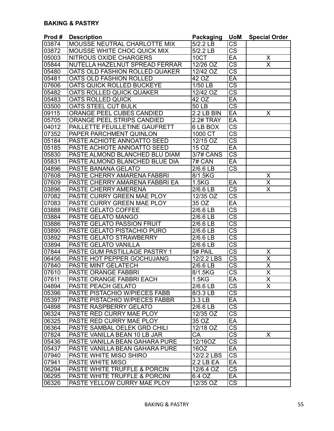| Prod# | <b>Description</b>                      | <b>Packaging</b>      | <b>UoM</b>             | <b>Special Order</b>    |
|-------|-----------------------------------------|-----------------------|------------------------|-------------------------|
| 03874 | <b>MOUSSE NEUTRAL CHARLOTTE MIX</b>     | 5/2.2 LB              | $\overline{\text{CS}}$ |                         |
| 03872 | MOUSSE WHITE CHOC QUICK MIX             | 5/2.2 LB              | $\overline{\text{CS}}$ |                         |
| 05003 | <b>NITROUS OXIDE CHARGERS</b>           | 10CT                  | $E$ A                  | X                       |
| 05844 | NUTELLA HAZELNUT SPREAD FERRAR          | 12/26 OZ              | $\overline{\text{cs}}$ | $\overline{\mathsf{X}}$ |
| 05480 | OATS OLD FASHION ROLLED QUAKER          | $12/42$ OZ            | $\overline{\text{cs}}$ |                         |
| 05481 | OATS OLD FASHION ROLLED                 | 42 OZ                 | EA                     |                         |
| 07606 | OATS QUICK ROLLED BUCKEYE               | $1/50$ LB             | $\overline{\text{cs}}$ |                         |
| 05482 | OATS ROLLED QUICK QUAKER                | 12/42 OZ              | $\overline{\text{cs}}$ |                         |
| 05483 | <b>OATS ROLLED QUICK</b>                | 42 OZ                 | $E$ A                  |                         |
| 03500 | OATS STEEL CUT BULK                     | <b>50 LB</b>          | $\overline{\text{cs}}$ |                         |
| 09115 | ORANGE PEEL CUBES CANDIED               | 2.2 LB BIN            | $E$ A                  | X                       |
| 05705 | ORANGE PEEL STRIPS CANDIED              | <b>2.2# TRAY</b>      | EA                     |                         |
| 04012 | PAILLETTE FEUILLETINE GAUFRETT          | 6 LB BOX              | $\overline{\text{cs}}$ |                         |
| 07352 | PAPER PARCHMENT QUINLON                 | 1000 CT               | $\overline{\text{cs}}$ |                         |
| 05184 | PASTE ACHIOTE ANNOATTO SEED             | 12/15 OZ              | $\overline{\text{cs}}$ |                         |
| 05185 | PASTE ACHIOTE ANNOATTO SEED             | 15 OZ                 | $E$ A                  |                         |
| 05830 | PASTE ALMOND BLANCHED BLU DIAM          | 3/7# CANS             | $\overline{\text{CS}}$ |                         |
| 05831 | PASTE ALMOND BLANCHED BLUE DIA          | 7# CAN                | EA                     |                         |
| 04896 | <b>PASTE BANANA GELATO</b>              | $2/6.6$ LB            | $\overline{\text{CS}}$ |                         |
| 07608 | <b>PASTE CHERRY AMARENA FABBRI</b>      | 8/1.5KG               |                        | X                       |
| 07609 | PASTE CHERRY AMARENA FABBRI EA          | $1.\overline{5KG}$    | EA                     | X                       |
| 03896 | <b>PASTE CHERRY AMERENA</b>             | $2/6.6$ LB            | $\overline{\text{cs}}$ | $\overline{\sf x}$      |
| 07082 | PASTE CURRY GREEN MAE PLOY              | 12/35 OZ              | $\overline{\text{cs}}$ |                         |
| 07083 | PASTE CURRY GREEN MAE PLOY              | 35 OZ                 | $E$ A                  |                         |
| 03888 | PASTE GELATO COFFEE                     | 2/6.6 LB              | $\overline{\text{CS}}$ |                         |
| 03884 | PASTE GELATO MANGO                      | 2/6.6 LB              | $\overline{\text{cs}}$ |                         |
| 03886 | <b>PASTE GELATO PASSION FRUIT</b>       | 2/6.6 LB              | $\overline{\text{CS}}$ |                         |
| 03890 | <b>PASTE GELATO PISTACHIO PURO</b>      | 2/6.6 LB              | $\overline{\text{cs}}$ |                         |
| 03892 | PASTE GELATO STRAWBERRY                 | 2/6.6 LB              | $\overline{\text{cs}}$ |                         |
| 03894 | <b>PASTE GELATO VANILLA</b>             | $\overline{2}/6.6$ LB | $\overline{\text{cs}}$ |                         |
| 07844 | PASTE GUM PASTILLAGE PASTRY 1           | 5# PAIL               | $\overline{\text{cs}}$ | $\overline{\mathsf{X}}$ |
| 06456 | PASTE HOT PEPPER GOCHUJANG              | 12/2.2 LBS            | $\overline{\text{cs}}$ | $\overline{\mathsf{x}}$ |
| 07840 | <b>PASTE MINT GELATECH</b>              | 2/6.6 LB              | $\overline{\text{cs}}$ | $\overline{\mathsf{x}}$ |
| 07610 | PASTE ORANGE FABBRI                     | 8/1.5KG               | $\overline{\text{cs}}$ | $\overline{\sf x}$      |
| 07611 | PASTE ORANGE FABBRI EACH                | 1.5 <sub>K</sub> G    | EA                     | X                       |
| 04894 | <b>PASTE PEACH GELATO</b>               | 2/6.6 LB              | $\overline{\text{CS}}$ | $\overline{\mathsf{x}}$ |
| 05396 | PASTE PISTACHIO W/PIECES FABB           | 8/3.3 LB              | $\overline{\text{CS}}$ |                         |
| 05397 | PASTE PISTACHIO W/PIECES FABBR          | 3.3 LB                | EA                     |                         |
| 04898 | <b>PASTE RASPBERRY GELATO</b>           | 2/6.6 LB              | $\overline{\text{cs}}$ |                         |
| 06324 | PASTE RED CURRY MAE PLOY                | 12/35 OZ              | $\overline{\text{CS}}$ |                         |
| 06325 | PASTE RED CURRY MAE PLOY                | 35 OZ                 | EA                     |                         |
| 06364 | PASTE SAMBAL OELEK GRD CHILI            | 12/18 OZ              | $\overline{\text{CS}}$ |                         |
| 07824 | PASTE VANILLA BEAN 10 LB JAR            | <b>CA</b>             | <b>CS</b>              | X                       |
| 05436 | <b>PASTE VANILLA BEAN GAHARA PURE</b>   | 12/16OZ               | $\overline{\text{CS}}$ |                         |
| 05437 | <b>PASTE VANILLA BEAN GAHARA PURE</b>   | 160Z                  | EA                     |                         |
| 07940 | PASTE WHITE MISO SHIRO                  | 12/2.2 LBS            | $\overline{\text{cs}}$ |                         |
| 07941 | PASTE WHITE MISO                        | 2.2 LB EA             | EA                     |                         |
| 06294 | <b>PASTE WHITE TRUFFLE &amp; PORCIN</b> | 12/6.4 OZ             | $\overline{\text{CS}}$ |                         |
| 06295 | PASTE WHITE TRUFFLE & PORCINI           | 6.4 OZ                | EA                     |                         |
| 06326 | PASTE YELLOW CURRY MAE PLOY             | 12/35 OZ              | $\overline{\text{CS}}$ |                         |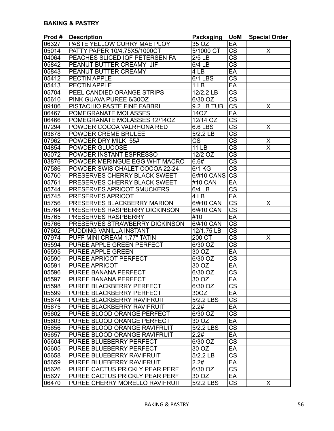| 06327<br>PASTE YELLOW CURRY MAE PLOY<br>35 OZ<br>EA                                  |                         |
|--------------------------------------------------------------------------------------|-------------------------|
|                                                                                      |                         |
| $\overline{\text{cs}}$<br>5/1000 CT<br>05014<br>PATTY PAPER 10/4.75X5/1000CT         | X                       |
| $\overline{\text{CS}}$<br>PEACHES SLICED IQF PETERSEN FA<br>04064<br>$2/5$ LB        |                         |
| $\overline{\text{cs}}$<br>05842<br>PEANUT BUTTER CREAMY JIF<br>6/4 LB                |                         |
| PEANUT BUTTER CREAMY<br>EA<br>05843<br>4 LB                                          |                         |
| $\overline{\text{cs}}$<br><b>PECTIN APPLE</b><br>6/1 LBS<br>05412                    |                         |
| $E$ A<br>05413<br><b>PECTIN APPLE</b><br>1 <sub>LB</sub>                             |                         |
| $\overline{\text{CS}}$<br>05704<br>PEEL CANDIED ORANGE STRIPS<br>12/2.2 LB           |                         |
| $\overline{\text{CS}}$<br>05610<br>6/30 OZ<br>PINK GUAVA PUREE 6/30OZ                |                         |
| $\overline{\text{cs}}$<br>09106<br>PISTACHIO PASTE FINE FABBRI<br>9.2 LB TUB         | X                       |
| 06467<br>POMEGRANATE MOLASSES<br>EA<br>14OZ                                          |                         |
| $\overline{\text{cs}}$<br>06466<br>POMEGRANATE MOLASSES 12/14OZ<br>12/14 OZ          |                         |
| $\overline{\text{cs}}$<br>07294<br>POWDER COCOA VALRHONA RED<br>6.6 LBS              | X                       |
| $\overline{\text{cs}}$<br><b>POWDER CREME BRULEE</b><br>03878<br>5/2.2 LB            |                         |
| $\overline{\text{cs}}$<br>$\overline{\text{CS}}$<br>07962<br>POWDER DRY MILK 55#     | $\overline{\mathsf{X}}$ |
| $\overline{\text{cs}}$<br>04854<br><b>POWDER GLUCOSE</b><br><b>11 LB</b>             | $\overline{\mathsf{x}}$ |
| $\overline{\text{CS}}$<br>05072<br>POWDER INSTANT ESPRESSO<br>12/2 OZ                |                         |
| $\overline{\text{CS}}$<br>03876<br>POWDER MERINGUE EGG WHT MACRO<br>6.6#             |                         |
| $\overline{\text{cs}}$<br>07586<br>POWDER SWIS CHALET COCOA 22-24<br>6/1 KG          |                         |
| $\overline{\text{cs}}$<br>05760<br><b>PRESERVES CHERRY BLACK SWEET</b><br>6/#10 CANS |                         |
| $E$ A<br>05761<br><b>PRESERVES CHERRY BLACK SWEET</b><br>#10 CAN                     |                         |
| $\overline{\text{cs}}$<br><b>PRESERVES APRICOT SMUCKERS</b><br>05744<br>6/4 LB       |                         |
| $E$ A<br><b>PRESERVES APRICOT</b><br>4 LB<br>05745                                   |                         |
| $\overline{\text{cs}}$<br>05756<br>PRESERVES BLACKBERRY MARION<br>6/#10 CAN          | X                       |
| $\overline{\text{CS}}$<br>05764<br>PRESERVES RASPBERRY DICKINSON<br>6/#10 CAN        |                         |
| 05765<br><b>PRESERVES RASPBERRY</b><br>#10<br>EA                                     |                         |
| $\overline{\text{cs}}$<br>05766<br>PRESERVES STRAWBERRY DICKINSON<br>6/#10 CAN       |                         |
| $\overline{\text{CS}}$<br>07602<br>PUDDING VANILLA INSTANT<br>12/1.75 LB             |                         |
| $\overline{\text{cs}}$<br>200 CT<br>PUFF MINI CREAM 1.77" TATIN<br>07974             | X                       |
| $\overline{\text{cs}}$<br>PUREE APPLE GREEN PERFECT<br>05594<br>6/30 OZ              |                         |
| <b>PUREE APPLE GREEN</b><br>30 OZ<br>EA<br>05595                                     |                         |
| $\overline{\text{cs}}$<br>05590<br>PUREE APRICOT PERFECT<br>6/30 OZ                  |                         |
| $\overline{30}$ OZ<br>EA<br>05591<br><b>PUREE APRICOT</b>                            |                         |
| $\overline{\text{cs}}$<br>05596<br>6/30 OZ<br>PUREE BANANA PERFECT                   |                         |
| 05597<br> PUREE BANANA PERFECT<br>30 OZ<br>EA                                        |                         |
| $\overline{\text{CS}}$<br><b>PUREE BLACKBERRY PERFECT</b><br>05598<br>6/30 OZ        |                         |
| 05599<br>PUREE BLACKBERRY PERFECT<br>30OZ<br>EA                                      |                         |
| $\overline{\text{cs}}$<br>$5/2.2$ LBS<br>PUREE BLACKBERRY RAVIFRUIT<br>05674         |                         |
| EA<br>PUREE BLACKBERRY RAVIFRUIT<br>2.2#<br>05675                                    |                         |
| $\overline{\text{CS}}$<br>PUREE BLOOD ORANGE PERFECT<br>6/30 OZ<br>05602             |                         |
| EA<br>05603<br>PUREE BLOOD ORANGE PERFECT<br>30 OZ                                   |                         |
| <b>CS</b><br>05656<br>PUREE BLOOD ORANGE RAVIFRUIT<br>5/2.2 LBS                      |                         |
| 05657<br>PUREE BLOOD ORANGE RAVIFRUIT<br>2.2#<br>EA                                  |                         |
| $\overline{\text{CS}}$<br>PUREE BLUEBERRY PERFECT<br>6/30 OZ<br>05604                |                         |
| $30 \overline{OZ}$<br>EA<br>05605<br><b>PUREE BLUEBERRY PERFECT</b>                  |                         |
| $\overline{\text{cs}}$<br>05658<br>5/2.2 LB<br>PUREE BLUEBERRY RAVIFRUIT             |                         |
| PUREE BLUEBERRY RAVIFRUIT<br>2.2#<br>EA<br>05659                                     |                         |
| $\overline{\text{cs}}$<br>PUREE CACTUS PRICKLY PEAR PERF<br>05626<br>6/30 OZ         |                         |
| PUREE CACTUS PRICKLY PEAR PERF<br>EA<br>05627<br>30 OZ                               |                         |
| $\overline{\text{CS}}$<br>PUREE CHERRY MORELLO RAVIFRUIT<br>5/2.2 LBS<br>06470       | X                       |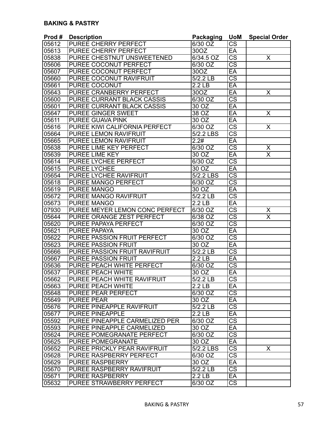| Prod # | <b>Description</b>                  | <b>Packaging</b>                      | <b>UoM</b>             | <b>Special Order</b>     |
|--------|-------------------------------------|---------------------------------------|------------------------|--------------------------|
| 05612  | <b>PUREE CHERRY PERFECT</b>         | 6/30 OZ                               | $\overline{\text{CS}}$ |                          |
| 05613  | <b>PUREE CHERRY PERFECT</b>         | 30OZ                                  | EA                     |                          |
| 05838  | PUREE CHESTNUT UNSWEETENED          | 6/34.5 OZ                             | $\overline{\text{CS}}$ | X                        |
| 05606  | PUREE COCONUT PERFECT               | 6/30 OZ                               | $\overline{\text{CS}}$ |                          |
| 05607  | PUREE COCONUT PERFECT               | 30OZ                                  | EA                     |                          |
| 05660  | PUREE COCONUT RAVIFRUIT             | $\overline{5/2}$ .2 LB                | $\overline{\text{cs}}$ |                          |
| 05661  | <b>PUREE COCONUT</b>                | 2.2 <sub>LB</sub>                     | EA                     |                          |
| 05643  | <b>PUREE CRANBERRY PERFECT</b>      | 30OZ                                  | EA                     | X                        |
| 05600  | <b>PUREE CURRANT BLACK CASSIS</b>   | 6/30 OZ                               | $\overline{\text{cs}}$ |                          |
| 05601  | PUREE CURRANT BLACK CASSIS          | 30 OZ                                 | $E$ A                  |                          |
| 05647  | <b>PUREE GINGER SWEET</b>           | 38 OZ                                 | EA                     | X                        |
| 05611  | PUREE GUAVA PINK                    | $30\,\overline{\mathrm{O}}\mathrm{Z}$ | EA                     |                          |
| 05616  | PUREE KIWI CALIFORNIA PERFECT       | 6/30 OZ                               | $\overline{\text{CS}}$ | X                        |
| 05664  | <b>PUREE LEMON RAVIFRUIT</b>        | $5/2.2$ LBS                           | $\overline{\text{cs}}$ |                          |
| 05665  | <b>PUREE LEMON RAVIFRUIT</b>        | 2.2#                                  | EA                     |                          |
| 05638  | PUREE LIME KEY PERFECT              | 6/30 OZ                               | $\overline{\text{cs}}$ | $\underline{\mathsf{X}}$ |
| 05639  | PUREE LIME KEY                      | 30 OZ                                 | EA                     | $\overline{\mathsf{x}}$  |
| 05614  | PUREE LYCHEE PERFECT                | 6/30 OZ                               | $\overline{\text{CS}}$ |                          |
| 05615  | <b>PUREE LYCHEE</b>                 | 30 OZ                                 | EA                     |                          |
| 05654  | <b>PUREE LYCHEE RAVIFRUIT</b>       | 5/2.2 LBS                             | $\overline{\text{CS}}$ |                          |
| 05618  | <b>PUREE MANGO PERFECT</b>          | 6/30 OZ                               | $\overline{\text{cs}}$ |                          |
| 05619  | <b>PUREE MANGO</b>                  | $30\overline{OZ}$                     | EA                     |                          |
| 05672  | <b>PUREE MANGO RAVIFRUIT</b>        | $5/2.2$ LB                            | $\overline{\text{cs}}$ |                          |
| 05673  | <b>PUREE MANGO</b>                  | 2.2 <sub>LB</sub>                     | $E$ A                  |                          |
| 07930  | PUREE MEYER LEMON CONC PERFECT      | $6/30$ OZ                             | $\overline{\text{CS}}$ | X                        |
| 05644  | PUREE ORANGE ZEST PERFECT           | 6/38 OZ                               | $\overline{\text{CS}}$ | $\overline{\sf x}$       |
| 05620  | PUREE PAPAYA PERFECT                | 6/30 OZ                               | $\overline{\text{CS}}$ |                          |
| 05621  | <b>PUREE PAPAYA</b>                 | 30 OZ                                 | EA                     |                          |
| 05622  | <b>PUREE PASSION FRUIT PERFECT</b>  | 6/30 OZ                               | $\overline{\text{CS}}$ |                          |
| 05623  | <b>PUREE PASSION FRUIT</b>          | 30 OZ                                 | EA                     |                          |
| 05666  | PUREE PASSION FRUIT RAVIFRUIT       | 5/2.2 LB                              | $\overline{\text{cs}}$ |                          |
| 05667  | <b>PUREE PASSION FRUIT</b>          | $2.2$ LB                              | EA                     |                          |
| 05636  | <b>PUREE PEACH WHITE PERFECT</b>    | 6/30 OZ                               | $\overline{\text{cs}}$ |                          |
| 05637  | <b>PUREE PEACH WHITE</b>            | 30OZ                                  | EA                     |                          |
| 05662  | <b>PUREE PEACH WHITE RAVIFRUIT</b>  | $5/2.2$ LB                            | $\overline{\text{CS}}$ |                          |
| 05663  | <b>PUREE PEACH WHITE</b>            | $2.2$ LB                              | EA                     |                          |
| 05648  | <b>PUREE PEAR PERFECT</b>           | 6/30 OZ                               | $\overline{\text{CS}}$ |                          |
| 05649  | <b>PUREE PEAR</b>                   | $30 \overline{OZ}$                    | EA                     |                          |
| 05676  | PUREE PINEAPPLE RAVIFRUIT           | $5/2.2$ LB                            | $\overline{\text{CS}}$ |                          |
| 05677  | <b>PUREE PINEAPPLE</b>              | 2.2 <sub>LB</sub>                     | EA                     |                          |
| 05592  | PUREE PINEAPPLE CARMELIZED PER      | 6/30 OZ                               | $\overline{\text{CS}}$ |                          |
| 05593  | PUREE PINEAPPLE CARMELIZED          | 30 OZ                                 | EA                     |                          |
| 05624  | PUREE POMEGRANATE PERFECT           | 6/30 OZ                               | CS                     |                          |
| 05625  | <b>PUREE POMEGRANATE</b>            | 30 OZ                                 | EA                     |                          |
| 05652  | <b>PUREE PRICKLY PEAR RAVIFRUIT</b> | 5/2.2 LBS                             | $\overline{\text{CS}}$ | X                        |
| 05628  | PUREE RASPBERRY PERFECT             | 6/30 OZ                               | $\overline{\text{CS}}$ |                          |
| 05629  | <b>PUREE RASPBERRY</b>              | 30 OZ                                 | EA                     |                          |
| 05670  | <b>PUREE RASPBERRY RAVIFRUIT</b>    | $5/2.2$ LB                            | $\overline{\text{cs}}$ |                          |
| 05671  | <b>PUREE RASPBERRY</b>              | 2.2 <sub>LB</sub>                     | EA                     |                          |
| 05632  | PUREE STRAWBERRY PERFECT            | 6/30 OZ                               | $\overline{\text{CS}}$ |                          |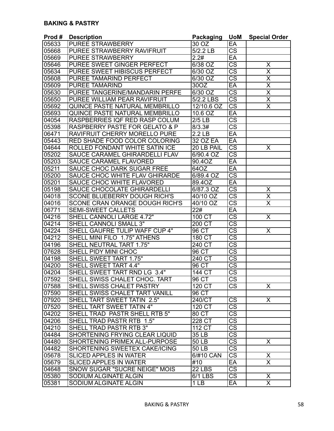| Prod# | <b>Description</b>                        | Packaging           | <b>UoM</b>             | <b>Special Order</b>    |
|-------|-------------------------------------------|---------------------|------------------------|-------------------------|
| 05633 | <b>PUREE STRAWBERRY</b>                   | 30 OZ               | EA                     |                         |
| 05668 | PUREE STRAWBERRY RAVIFRUIT                | 5/2.2 LB            | $\overline{\text{CS}}$ |                         |
| 05669 | <b>PUREE STRAWBERRY</b>                   | 2.2#                | EA                     |                         |
| 05646 | PUREE SWEET GINGER PERFECT                | 6/38 OZ             | $\overline{\text{CS}}$ | X                       |
| 05634 | PUREE SWEET HIBISCUS PERFECT              | 6/30 OZ             | $\overline{\text{CS}}$ | $\overline{\mathsf{X}}$ |
| 05608 | <b>PUREE TAMARIND PERFECT</b>             | $6/30$ OZ           | $\overline{\text{cs}}$ | $\overline{\mathsf{x}}$ |
| 05609 | <b>PUREE TAMARIND</b>                     | 30OZ                | EA                     | $\overline{\mathsf{x}}$ |
| 05630 | PUREE TANGERINE/MANDARIN PERFE            | 6/30 OZ             | $\overline{\text{cs}}$ | $\overline{\mathsf{x}}$ |
| 05650 | PUREE WILLIAM PEAR RAVIFRUIT              | 5/2.2 LBS           | $\overline{\text{CS}}$ | $\overline{\mathsf{x}}$ |
| 05692 | QUINCE PASTE NATURAL MEMBRILLO            | 12/10.6 OZ          | $\overline{\text{CS}}$ | $\overline{\sf x}$      |
| 05693 | QUINCE PASTE NATURAL MEMBRILLO            | 10.6 OZ             | EA                     |                         |
| 04054 | RASPBERRIES IQF RED RASP COLUM            | $2/5$ LB            | $\overline{\text{CS}}$ |                         |
| 05398 | <b>RASPBERRY PASTE FOR GELATO &amp; P</b> | 8/3.3#              | $\overline{\text{CS}}$ |                         |
| 06471 | RAVIFRUIT CHERRY MORELLO PURE             | 2.2 <sub>LB</sub>   | EA                     |                         |
| 05443 | <b>RED SHADE FOOD COLOR COLORING</b>      | <b>32 OZ EA</b>     | EA                     |                         |
| 04644 | <b>ROLLED FONDANT WHITE SATIN ICE</b>     | 20 LB PAIL          | $\overline{\text{CS}}$ | Χ                       |
| 05202 | SAUCE CARAMEL GHIRARDELLI FLAV            | 6/90.4 OZ           | $\overline{\text{CS}}$ |                         |
| 05203 | <b>SAUCE CARAMEL FLAVORED</b>             | 90.4OZ              | EA                     |                         |
| 05211 | <b>SAUCE CHOC DARK SUGAR FREE</b>         | 64OZ                | EA                     |                         |
| 05200 | <b>SAUCE CHOC WHITE FLAV GHIRARDE</b>     | 6/89.4 OZ           | $\overline{\text{cs}}$ |                         |
| 05201 | <b>SAUCE CHOC WHITE FLAVORED</b>          | 89.4OZ              | EA                     |                         |
| 05198 | <b>SAUCE CHOCOLATE GHIRARDELLI</b>        | 6/87.3 OZ           | $\overline{\text{cs}}$ | Χ                       |
| 04018 | <b>SCONE BLUEBERRY DOUGH RICH'S</b>       | 40/10 OZ            | $\overline{\text{cs}}$ | $\overline{\mathsf{x}}$ |
| 04016 | <b>SCONE CRAN ORANGE DOUGH RICH'S</b>     | 40/10 OZ            | $\overline{\text{cs}}$ | $\overline{\sf x}$      |
| 06771 | <b>SEMI-SWEET CALLETS</b>                 | 22#                 | EA                     |                         |
| 04216 | SHELL CANNOLI LARGE 4.72"                 | 100 CT              | $\overline{\text{cs}}$ | $\overline{\mathsf{x}}$ |
| 04214 | <b>SHELL CANNOLI SMALL 3"</b>             | 200 CT              | $\overline{\text{CS}}$ |                         |
| 04224 | SHELL GAUFRE TULIP WAFF CUP 4"            | 96 CT               | $\overline{\text{CS}}$ | X                       |
| 04212 | SHELL MINI FILO 1.75" ATHENS              | 180 CT              | $\overline{\text{cs}}$ |                         |
| 04196 | <b>SHELL NEUTRAL TART 1.75"</b>           | 240 CT              | $\overline{\text{CS}}$ |                         |
| 07628 | SHELL PIDY MINI CHOC                      | 96 CT               | $\overline{\text{cs}}$ |                         |
| 04198 | <b>SHELL SWEET TART 1.75"</b>             | 240 CT              | $\overline{\text{cs}}$ |                         |
| 04200 | <b>SHELL SWEET TART 4.4"</b>              | 96 CT               | $\overline{\text{cs}}$ |                         |
| 04204 | SHELL SWEET TART RND LG 3.4"              | 144 CT              | $\overline{\text{cs}}$ |                         |
| 07592 | SHELL SWISS CHALET CHOC. TART             | 96 CT               | CS                     |                         |
| 07588 | <b>SHELL SWISS CHALET PASTRY</b>          | $120 \overline{CT}$ | $\overline{\text{CS}}$ | X                       |
| 07590 | <b>SHELL SWISS CHALET TART VANILL</b>     | 96 CT               |                        |                         |
| 07920 | SHELL TART SWEET TATIN 2.5"               | 240/CT              | $\overline{\text{CS}}$ | $\overline{\mathsf{x}}$ |
| 07520 | SHELL TART SWEET TATIN 4"                 | $120 \overline{CT}$ | $\overline{\text{cs}}$ |                         |
| 04202 | SHELL TRAD PASTR SHELL RTB 5"             | 80 CT               | $\overline{\text{CS}}$ |                         |
| 04206 | SHELL TRAD PASTR RTB 1.5"                 | 228 CT              | $\overline{\text{cs}}$ |                         |
| 04210 | SHELL TRAD PASTR RTB 3"                   | 112 CT              | $\overline{\text{CS}}$ |                         |
| 04484 | SHORTENING FRYING CLEAR LIQUID            | 35 LB               | $\overline{\text{CS}}$ |                         |
| 04480 | <b>SHORTENING PRIMEX ALL-PURPOSE</b>      | 50 LB               | $\overline{\text{CS}}$ | X                       |
| 04482 | <b>SHORTENING SWEETEX CAKE/ICING</b>      | 50 LB               | $\overline{\text{CS}}$ |                         |
| 05678 | <b>SLICED APPLES IN WATER</b>             | 6/#10 CAN           | $\overline{\text{CS}}$ | X                       |
| 05679 | <b>SLICED APPLES IN WATER</b>             | #10                 | $E$ A                  | $\overline{\mathsf{x}}$ |
| 04648 | SNOW SUGAR "SUCRE NEIGE" MOIS             | <b>22 LBS</b>       | $\overline{\text{cs}}$ |                         |
| 05380 | SODIUM ALGINATE ALGIN                     | 6/1 LBS             | $\overline{\text{CS}}$ | X                       |
| 05381 | SODIUM ALGINATE ALGIN                     | 1 <sub>LB</sub>     | EA                     | $\overline{\mathsf{x}}$ |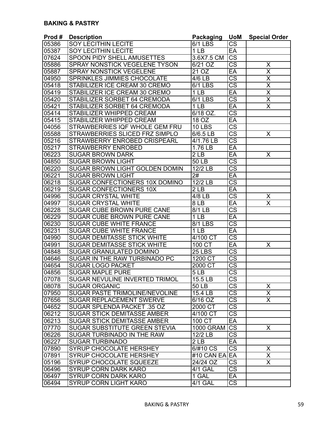| Prod# | <b>Description</b>                    | <b>Packaging</b>  | <b>UoM</b>             | <b>Special Order</b>    |
|-------|---------------------------------------|-------------------|------------------------|-------------------------|
| 05386 | <b>SOY LECITHIN LECITE</b>            | 6/1 LBS           | <b>CS</b>              |                         |
| 05387 | <b>SOY LECITHIN LECITE</b>            | 1 <sub>LB</sub>   | EA                     |                         |
| 07624 | <b>SPOON PIDY SHELL AMUSETTES</b>     | 3.6X7.5 CM        | $\overline{\text{CS}}$ |                         |
| 05886 | <b>SPRAY NONSTICK VEGELENE TYSON</b>  | 6/21 OZ           | $\overline{\text{CS}}$ | X                       |
| 05887 | <b>SPRAY NONSTICK VEGELENE</b>        | 21 $OZ$           | EA                     | X                       |
| 04950 | <b>SPRINKLES JIMMIES CHOCOLATE</b>    | 4/6 LB            | $\overline{\text{cs}}$ | $\overline{\mathsf{X}}$ |
| 05418 | STABILIZER ICE CREAM 30 CREMO         | 6/1 LBS           | $\overline{\text{cs}}$ | $\overline{\mathsf{x}}$ |
| 05419 | STABILIZER ICE CREAM 30 CREMO         | 1 <sub>LB</sub>   | EA                     | $\overline{\mathsf{x}}$ |
| 05420 | STABILIZER SORBET 64 CREMODA          | 6/1 LBS           | $\overline{\text{cs}}$ | $\overline{\mathsf{x}}$ |
| 05421 | STABILIZER SORBET 64 CREMODA          | 1 <sub>LB</sub>   | EA                     | $\overline{\sf x}$      |
| 05414 | <b>STABILIZER WHIPPED CREAM</b>       | 6/18 OZ.          | $\overline{\text{cs}}$ |                         |
| 05415 | <b>STABILIZER WHIPPED CREAM</b>       | 18 OZ             | EA                     |                         |
| 04056 | STRAWBERRIES IQF WHOLE GEM FRU        | <b>10 LBS</b>     | $\overline{\text{cs}}$ |                         |
| 05588 | STRAWBERRIES SLICED FRZ SIMPLO        | 6/6.5 LB          | $\overline{\text{cs}}$ | X                       |
| 05216 | STRAWBERRY ENROBED CRISPEARL          | 4/1.76 LB         | $\overline{\text{cs}}$ |                         |
| 05217 | <b>STRAWBERRY ENROBED</b>             | 1.76 LB           | EA                     |                         |
| 06223 | <b>SUGAR BROWN DARK</b>               | 2 <sub>LB</sub>   | EA                     | X                       |
| 04850 | <b>SUGAR BROWN LIGHT</b>              | 50 LB             | $\overline{\text{CS}}$ |                         |
| 06220 | SUGAR BROWN LIGHT GOLDEN DOMIN        | 12/2 LB           | $\overline{\text{CS}}$ |                         |
| 06221 | <b>SUGAR BROWN LIGHT</b>              | 2#                | EA                     |                         |
| 06218 | <b>SUGAR CONFECTIONERS 10X DOMINO</b> | 12/2 LB           | $\overline{\text{cs}}$ |                         |
| 06219 | <b>SUGAR CONFECTIONERS 10X</b>        | $\overline{2}$ LB | EA                     |                         |
| 04996 | <b>SUGAR CRYSTAL WHITE</b>            | 4/8 LB            | $\overline{\text{CS}}$ | X                       |
| 04997 | <b>SUGAR CRYSTAL WHITE</b>            | 8 <sub>1</sub>    | EA                     | $\overline{\sf x}$      |
| 06228 | SUGAR CUBE BROWN PURE CANE            | 8/1 LB            | $\overline{\text{CS}}$ |                         |
| 06229 | <b>SUGAR CUBE BROWN PURE CANE</b>     | 1 LB              | $E$ A                  |                         |
| 06230 | <b>SUGAR CUBE WHITE FRANCE</b>        | 8/1 LBS           | $\overline{\text{CS}}$ |                         |
| 06231 | <b>SUGAR CUBE WHITE FRANCE</b>        | 1 <sub>LB</sub>   | EA                     |                         |
| 04990 | <b>SUGAR DEMITASSE STICK WHITE</b>    | 4/100 CT          | $\overline{\text{CS}}$ |                         |
| 04991 | <b>SUGAR DEMITASSE STICK WHITE</b>    | 100 CT            | EA                     | X                       |
| 04848 | <b>SUGAR GRANULATED DOMINO</b>        | <b>25 LBS</b>     | $\overline{\text{cs}}$ |                         |
| 04646 | SUGAR IN THE RAW TURBINADO PC         | 1200 CT           | $\overline{\text{cs}}$ |                         |
| 04654 | <b>SUGAR LOGO PACKET</b>              | 2000 CT           | $\overline{\text{cs}}$ |                         |
| 04856 | <b>SUGAR MAPLE PURE</b>               | 5LB               | $\overline{\text{cs}}$ |                         |
| 07078 | <b>SUGAR NEVULINE INVERTED TRIMOL</b> | $15.5$ LB         | CS                     |                         |
| 08078 | <b>SUGAR ORGANIC</b>                  | 50 LB             | $\overline{\text{cs}}$ | X                       |
| 07950 | <b>SUGAR PASTE TRIMOLINE/NEVOLINE</b> | 15.4 LB           | $\overline{\text{CS}}$ | $\overline{\mathsf{x}}$ |
| 07656 | <b>SUGAR REPLACEMENT SWERVE</b>       | 6/16 OZ           | $\overline{\text{CS}}$ | $\overline{\mathsf{x}}$ |
| 04652 | <b>SUGAR SPLENDA PACKET .35 OZ</b>    | 2000 CT           | $\overline{\text{cs}}$ |                         |
| 06212 | <b>SUGAR STICK DEMITASSE AMBER</b>    | 4/100 CT          | $\overline{\text{cs}}$ |                         |
| 06213 | <b>SUGAR STICK DEMITASSE AMBER</b>    | 100 CT            | EA                     |                         |
| 07770 | SUGAR SUBSTITUTE GREEN STEVIA         | 1000 GRAM CS      |                        | X.                      |
| 06226 | SUGAR TURBINADO IN THE RAW            | 12/2 LB           | $\overline{\text{CS}}$ |                         |
| 06227 | <b>SUGAR TURBINADO</b>                | 2LB               | EA                     |                         |
| 07890 | <b>SYRUP CHOCOLATE HERSHEY</b>        | 6/#10 CS          | $\overline{\text{CS}}$ | X                       |
| 07891 | <b>SYRUP CHOCOLATE HERSHEY</b>        | #10 CAN EA EA     |                        | X                       |
| 05196 | <b>SYRUP CHOCOLATE SQUEEZE</b>        | 24/24 OZ          | $\overline{\text{CS}}$ | X.                      |
| 06496 | <b>SYRUP CORN DARK KARO</b>           | 4/1 GAL           | $\overline{\text{cs}}$ |                         |
| 06497 | <b>SYRUP CORN DARK KARO</b>           | 1 GAL             | EA                     |                         |
| 06494 | <b>SYRUP CORN LIGHT KARO</b>          | 4/1 GAL           | $\overline{\text{CS}}$ |                         |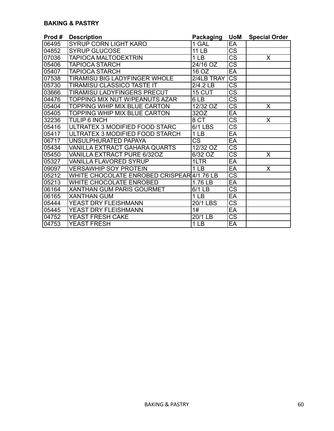#### **BAKING & PASTRY**

| Prod# | <b>Description</b>                        | <b>Packaging</b>       | <b>UoM</b>             | <b>Special Order</b>    |
|-------|-------------------------------------------|------------------------|------------------------|-------------------------|
| 06495 | <b>SYRUP CORN LIGHT KARO</b>              | 1 GAL                  | EA                     |                         |
| 04852 | <b>SYRUP GLUCOSE</b>                      | 11 LB                  | $\overline{\text{cs}}$ |                         |
| 07036 | <b>TAPIOCA MALTODEXTRIN</b>               | 1 <sub>LB</sub>        | $\overline{\text{CS}}$ | X                       |
| 05406 | <b>TAPIOCA STARCH</b>                     | 24/16 OZ               | $\overline{\text{CS}}$ |                         |
| 05407 | <b>TAPIOCA STARCH</b>                     | 16 OZ                  | EA                     |                         |
| 07538 | TIRAMISU BIG LADYFINGER WHOLE             | 2/4LB TRAY             | $\overline{\text{CS}}$ |                         |
| 05730 | TIRAMISU CLASSICO TASTE IT                | $2/4.2$ LB             | $\overline{\text{CS}}$ |                         |
| 03666 | <b>TIRAMISU LADYFINGERS PRECUT</b>        | 15 CUT                 | $\overline{\text{CS}}$ |                         |
| 04476 | TOPPING MIX NUT W/PEANUTS AZAR            | 6LB                    | $\overline{\text{CS}}$ |                         |
| 05404 | <b>TOPPING WHIP MIX BLUE CARTON</b>       | 12/32 OZ               | $\overline{\text{CS}}$ | X                       |
| 05405 | <b>TOPPING WHIP MIX BLUE CARTON</b>       | 32OZ                   | EA                     |                         |
| 32236 | <b>TULIP 6 INCH</b>                       | 8 CT                   | $\overline{\text{cs}}$ | X                       |
| 05416 | ULTRATEX 3 MODIFIED FOOD STARC            | 6/1 LBS                | $\overline{\text{CS}}$ |                         |
| 05417 | ULTRATEX 3 MODIFIED FOOD STARCH           | 1 <sub>LB</sub>        | EA                     |                         |
| 06717 | UNSULPHURATED PAPAYA                      | $\overline{\text{CS}}$ | $E$ A                  |                         |
| 05434 | VANILLA EXTRACT GAHARA QUARTS             | 12/32 OZ               | $\overline{\text{CS}}$ |                         |
| 05450 | VANILLA EXTRACT PURE 6/32OZ               | 6/32 OZ                | $\overline{\text{CS}}$ | $\overline{\mathsf{X}}$ |
| 05327 | <b>VANILLA FLAVORED SYRUP</b>             | 1LTR                   | EA                     |                         |
| 09097 | <b>VERSAWHIP SOY PROTEIN</b>              | 1 <sub>LB</sub>        | EA                     | X                       |
| 05212 | WHITE CHOCOLATE ENROBED CRISPEAR4/1.76 LB |                        | $\overline{\text{cs}}$ |                         |
| 05213 | <b>WHITE CHOCOLATE ENROBED</b>            | 1.76 LB                | EA                     |                         |
| 06164 | <b>XANTHAN GUM PARIS GOURMET</b>          | 6/1 LB                 | $\overline{\text{CS}}$ |                         |
| 06165 | <b>XANTHAN GUM</b>                        | 1 <sub>LB</sub>        | EA                     |                         |
| 05444 | YEAST DRY FLEISHMANN                      | <b>20/1 LBS</b>        | $\overline{\text{CS}}$ |                         |
| 05445 | YEAST DRY FLEISHMANN                      | 1#                     | EA                     |                         |
| 04752 | YEAST FRESH CAKE                          | $20/1$ LB              | $\overline{\text{cs}}$ |                         |
| 04753 | <b>YEAST FRESH</b>                        | 1 <sub>LB</sub>        | $E$ A                  |                         |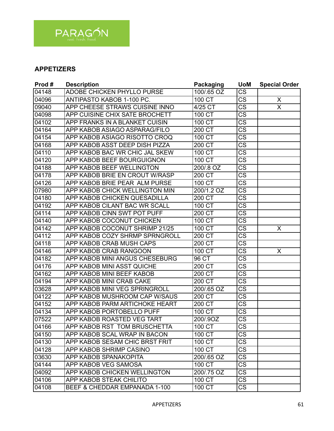

# **APPETIZERS**

| Prod# | <b>Description</b>                | <b>Packaging</b>    | <b>UoM</b>             | <b>Special Order</b>    |
|-------|-----------------------------------|---------------------|------------------------|-------------------------|
| 04148 | <b>ADOBE CHICKEN PHYLLO PURSE</b> | 100/.65 OZ          | $\overline{\text{CS}}$ |                         |
| 04096 | ANTIPASTO KABOB 1-100 PC.         | 100CT               | $\overline{\text{CS}}$ | X                       |
| 09040 | APP CHEESE STRAWS CUISINE INNO    | $4/25$ CT           | $\overline{\text{CS}}$ | $\overline{\mathsf{x}}$ |
| 04098 | APP CUISINE CHIX SATE BROCHETT    | 100 CT              | CS                     |                         |
| 04102 | APP FRANKS IN A BLANKET CUISIN    | 100 CT              | $\overline{\text{cs}}$ |                         |
| 04164 | APP KABOB ASIAGO ASPARAG/FILO     | 200 CT              | CS                     |                         |
| 04154 | APP KABOB ASIAGO RISOTTO CROQ     | 100 CT              | $\overline{\text{CS}}$ |                         |
| 04168 | APP KABOB ASST DEEP DISH PIZZA    | 200 CT              | $\overline{\text{CS}}$ |                         |
| 04110 | APP KABOB BAC WR CHIC JAL SKEW    | 100 CT              | $\overline{\text{CS}}$ |                         |
| 04120 | APP KABOB BEEF BOURGUIGNON        | 100 CT              | $\overline{\text{CS}}$ |                         |
| 04188 | APP KABOB BEEF WELLINGTON         | 200/.8 OZ           | $\overline{\text{CS}}$ |                         |
| 04178 | APP KABOB BRIE EN CROUT W/RASP    | 200 CT              | $\overline{\text{CS}}$ |                         |
| 04126 | APP KABOB BRIE PEAR ALM PURSE     | 100 CT              | $\overline{\text{CS}}$ |                         |
| 07980 | APP KABOB CHICK WELLINGTON MIN    | 200/1.2 OZ          | $\overline{\text{CS}}$ |                         |
| 04180 | APP KABOB CHICKEN QUESADILLA      | 200 CT              | $\overline{\text{CS}}$ |                         |
| 04192 | APP KABOB CILANT BAC WR SCALL     | 100 CT              | <b>CS</b>              |                         |
| 04114 | APP KABOB CINN SWT POT PUFF       | 200 CT              | $\overline{\text{CS}}$ |                         |
| 04140 | APP KABOB COCONUT CHICKEN         | $100$ CT            | $\overline{\text{CS}}$ |                         |
| 04142 | APP KABOB COCONUT SHRIMP 21/25    | 100 CT              | CS                     | X                       |
| 04112 | APP KABOB COZY SHRMP SPRNGROLL    | 200 CT              | CS                     |                         |
| 04118 | APP KABOB CRAB MUSH CAPS          | 200 CT              | $\overline{\text{cs}}$ |                         |
| 04146 | APP KABOB CRAB RANGOON            | 100 CT              | CS                     | X                       |
| 04182 | APP KABOB MINI ANGUS CHESEBURG    | 96 CT               | $\overline{\text{CS}}$ |                         |
| 04176 | APP KABOB MINI ASST QUICHE        | $200 \overline{CT}$ | $\overline{\text{CS}}$ |                         |
| 04162 | <b>APP KABOB MINI BEEF KABOB</b>  | 200 CT              | $\overline{\text{CS}}$ |                         |
| 04194 | APP KABOB MINI CRAB CAKE          | 200 CT              | $\overline{\text{CS}}$ |                         |
| 03628 | APP KABOB MINI VEG SPRINGROLL     | 200/.65 OZ          | $\overline{\text{CS}}$ |                         |
| 04122 | APP KABOB MUSHROOM CAP W/SAUS     | 200 CT              | <b>CS</b>              |                         |
| 04152 | APP KABOB PARM ARTICHOKE HEART    | 200 CT              | CS                     |                         |
| 04134 | APP KABOB PORTOBELLO PUFF         | 100 CT              | $\overline{\text{cs}}$ |                         |
| 07522 | APP KABOB ROASTED VEG TART        | 200/.9OZ            | CS                     |                         |
| 04166 | APP KABOB RST TOM BRUSCHETTA      | 100 CT              | CS                     |                         |
| 04150 | APP KABOB SCAL WRAP IN BACON      | 100 CT              | <b>CS</b>              |                         |
| 04130 | APP KABOB SESAM CHIC BRST FRIT    | 100 CT              | $\overline{\text{CS}}$ |                         |
| 04128 | APP KABOB SHRIMP CASINO           | 100 CT              | <b>CS</b>              |                         |
| 03630 | <b>APP KABOB SPANAKOPITA</b>      | 200/.65 OZ          | <b>CS</b>              |                         |
| 04144 | APP KABOB VEG SAMOSA              | 100 CT              | <b>CS</b>              |                         |
| 04092 | APP KABOB CHICKEN WELLINGTON      | 200/.75 OZ          | <b>CS</b>              |                         |
| 04106 | APP KABOB STEAK CHILITO           | 100 CT              | <b>CS</b>              |                         |
| 04108 | BEEF & CHEDDAR EMPANADA 1-100     | 100 CT              | CS                     |                         |